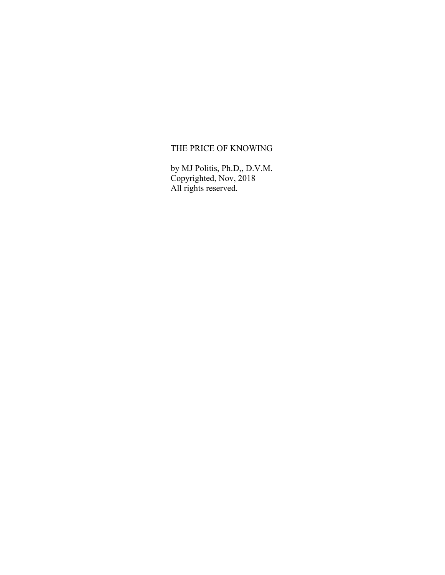# THE PRICE OF KNOWING

by MJ Politis, Ph.D,, D.V.M. Copyrighted, Nov, 2018 All rights reserved.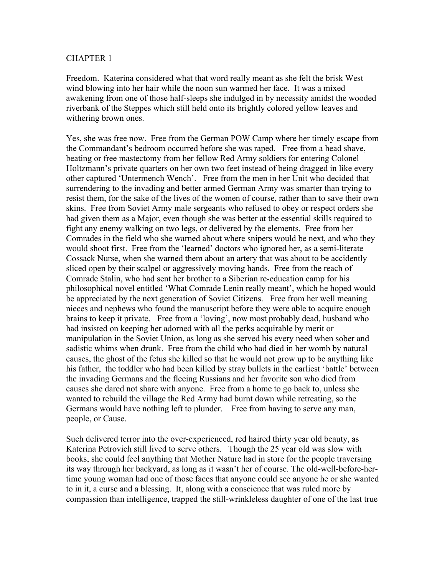Freedom. Katerina considered what that word really meant as she felt the brisk West wind blowing into her hair while the noon sun warmed her face. It was a mixed awakening from one of those half-sleeps she indulged in by necessity amidst the wooded riverbank of the Steppes which still held onto its brightly colored yellow leaves and withering brown ones.

Yes, she was free now. Free from the German POW Camp where her timely escape from the Commandant's bedroom occurred before she was raped. Free from a head shave, beating or free mastectomy from her fellow Red Army soldiers for entering Colonel Holtzmann's private quarters on her own two feet instead of being dragged in like every other captured 'Untermench Wench'. Free from the men in her Unit who decided that surrendering to the invading and better armed German Army was smarter than trying to resist them, for the sake of the lives of the women of course, rather than to save their own skins. Free from Soviet Army male sergeants who refused to obey or respect orders she had given them as a Major, even though she was better at the essential skills required to fight any enemy walking on two legs, or delivered by the elements. Free from her Comrades in the field who she warned about where snipers would be next, and who they would shoot first. Free from the 'learned' doctors who ignored her, as a semi-literate Cossack Nurse, when she warned them about an artery that was about to be accidently sliced open by their scalpel or aggressively moving hands. Free from the reach of Comrade Stalin, who had sent her brother to a Siberian re-education camp for his philosophical novel entitled 'What Comrade Lenin really meant', which he hoped would be appreciated by the next generation of Soviet Citizens. Free from her well meaning nieces and nephews who found the manuscript before they were able to acquire enough brains to keep it private. Free from a 'loving', now most probably dead, husband who had insisted on keeping her adorned with all the perks acquirable by merit or manipulation in the Soviet Union, as long as she served his every need when sober and sadistic whims when drunk. Free from the child who had died in her womb by natural causes, the ghost of the fetus she killed so that he would not grow up to be anything like his father, the toddler who had been killed by stray bullets in the earliest 'battle' between the invading Germans and the fleeing Russians and her favorite son who died from causes she dared not share with anyone. Free from a home to go back to, unless she wanted to rebuild the village the Red Army had burnt down while retreating, so the Germans would have nothing left to plunder. Free from having to serve any man, people, or Cause.

Such delivered terror into the over-experienced, red haired thirty year old beauty, as Katerina Petrovich still lived to serve others. Though the 25 year old was slow with books, she could feel anything that Mother Nature had in store for the people traversing its way through her backyard, as long as it wasn't her of course. The old-well-before-hertime young woman had one of those faces that anyone could see anyone he or she wanted to in it, a curse and a blessing. It, along with a conscience that was ruled more by compassion than intelligence, trapped the still-wrinkleless daughter of one of the last true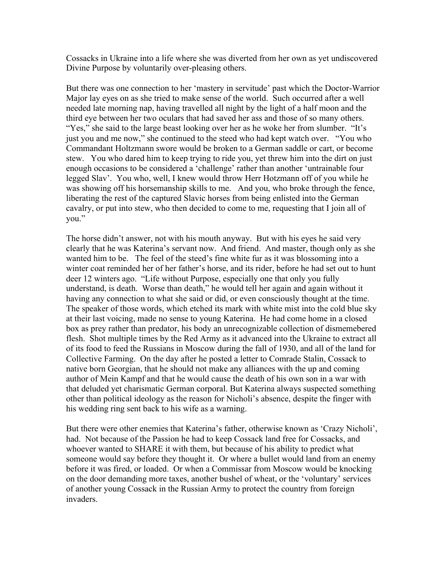Cossacks in Ukraine into a life where she was diverted from her own as yet undiscovered Divine Purpose by voluntarily over-pleasing others.

But there was one connection to her 'mastery in servitude' past which the Doctor-Warrior Major lay eyes on as she tried to make sense of the world. Such occurred after a well needed late morning nap, having travelled all night by the light of a half moon and the third eye between her two oculars that had saved her ass and those of so many others. "Yes," she said to the large beast looking over her as he woke her from slumber. "It's just you and me now," she continued to the steed who had kept watch over. "You who Commandant Holtzmann swore would be broken to a German saddle or cart, or become stew. You who dared him to keep trying to ride you, yet threw him into the dirt on just enough occasions to be considered a 'challenge' rather than another 'untrainable four legged Slav'. You who, well, I knew would throw Herr Hotzmann off of you while he was showing off his horsemanship skills to me. And you, who broke through the fence, liberating the rest of the captured Slavic horses from being enlisted into the German cavalry, or put into stew, who then decided to come to me, requesting that I join all of you."

The horse didn't answer, not with his mouth anyway. But with his eyes he said very clearly that he was Katerina's servant now. And friend. And master, though only as she wanted him to be. The feel of the steed's fine white fur as it was blossoming into a winter coat reminded her of her father's horse, and its rider, before he had set out to hunt deer 12 winters ago. "Life without Purpose, especially one that only you fully understand, is death. Worse than death," he would tell her again and again without it having any connection to what she said or did, or even consciously thought at the time. The speaker of those words, which etched its mark with white mist into the cold blue sky at their last voicing, made no sense to young Katerina. He had come home in a closed box as prey rather than predator, his body an unrecognizable collection of dismemebered flesh. Shot multiple times by the Red Army as it advanced into the Ukraine to extract all of its food to feed the Russians in Moscow during the fall of 1930, and all of the land for Collective Farming. On the day after he posted a letter to Comrade Stalin, Cossack to native born Georgian, that he should not make any alliances with the up and coming author of Mein Kampf and that he would cause the death of his own son in a war with that deluded yet charismatic German corporal. But Katerina always suspected something other than political ideology as the reason for Nicholi's absence, despite the finger with his wedding ring sent back to his wife as a warning.

But there were other enemies that Katerina's father, otherwise known as 'Crazy Nicholi', had. Not because of the Passion he had to keep Cossack land free for Cossacks, and whoever wanted to SHARE it with them, but because of his ability to predict what someone would say before they thought it. Or where a bullet would land from an enemy before it was fired, or loaded. Or when a Commissar from Moscow would be knocking on the door demanding more taxes, another bushel of wheat, or the 'voluntary' services of another young Cossack in the Russian Army to protect the country from foreign invaders.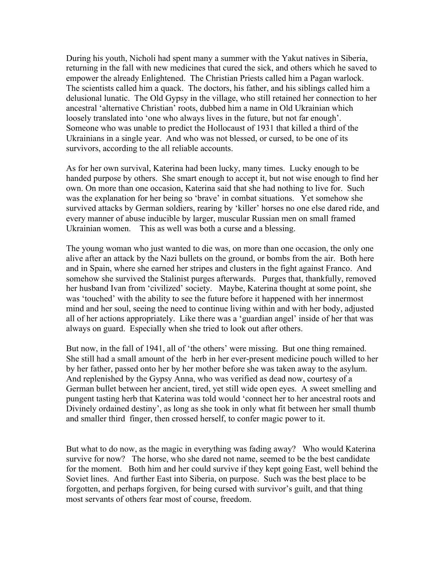During his youth, Nicholi had spent many a summer with the Yakut natives in Siberia, returning in the fall with new medicines that cured the sick, and others which he saved to empower the already Enlightened. The Christian Priests called him a Pagan warlock. The scientists called him a quack. The doctors, his father, and his siblings called him a delusional lunatic. The Old Gypsy in the village, who still retained her connection to her ancestral 'alternative Christian' roots, dubbed him a name in Old Ukrainian which loosely translated into 'one who always lives in the future, but not far enough'. Someone who was unable to predict the Hollocaust of 1931 that killed a third of the Ukrainians in a single year. And who was not blessed, or cursed, to be one of its survivors, according to the all reliable accounts.

As for her own survival, Katerina had been lucky, many times. Lucky enough to be handed purpose by others. She smart enough to accept it, but not wise enough to find her own. On more than one occasion, Katerina said that she had nothing to live for. Such was the explanation for her being so 'brave' in combat situations. Yet somehow she survived attacks by German soldiers, rearing by 'killer' horses no one else dared ride, and every manner of abuse inducible by larger, muscular Russian men on small framed Ukrainian women. This as well was both a curse and a blessing.

The young woman who just wanted to die was, on more than one occasion, the only one alive after an attack by the Nazi bullets on the ground, or bombs from the air. Both here and in Spain, where she earned her stripes and clusters in the fight against Franco. And somehow she survived the Stalinist purges afterwards. Purges that, thankfully, removed her husband Ivan from 'civilized' society. Maybe, Katerina thought at some point, she was 'touched' with the ability to see the future before it happened with her innermost mind and her soul, seeing the need to continue living within and with her body, adjusted all of her actions appropriately. Like there was a 'guardian angel' inside of her that was always on guard. Especially when she tried to look out after others.

But now, in the fall of 1941, all of 'the others' were missing. But one thing remained. She still had a small amount of the herb in her ever-present medicine pouch willed to her by her father, passed onto her by her mother before she was taken away to the asylum. And replenished by the Gypsy Anna, who was verified as dead now, courtesy of a German bullet between her ancient, tired, yet still wide open eyes. A sweet smelling and pungent tasting herb that Katerina was told would 'connect her to her ancestral roots and Divinely ordained destiny', as long as she took in only what fit between her small thumb and smaller third finger, then crossed herself, to confer magic power to it.

But what to do now, as the magic in everything was fading away? Who would Katerina survive for now? The horse, who she dared not name, seemed to be the best candidate for the moment. Both him and her could survive if they kept going East, well behind the Soviet lines. And further East into Siberia, on purpose. Such was the best place to be forgotten, and perhaps forgiven, for being cursed with survivor's guilt, and that thing most servants of others fear most of course, freedom.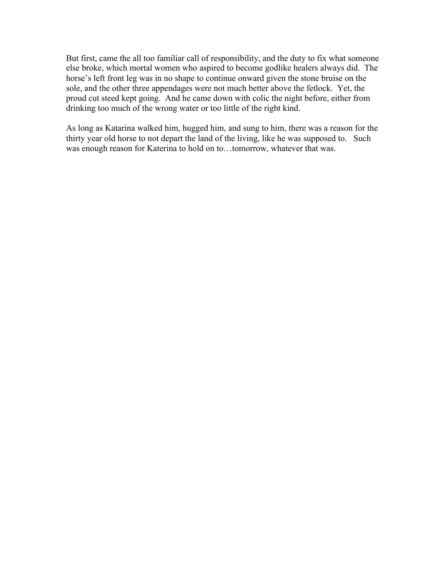But first, came the all too familiar call of responsibility, and the duty to fix what someone else broke, which mortal women who aspired to become godlike healers always did. The horse's left front leg was in no shape to continue onward given the stone bruise on the sole, and the other three appendages were not much better above the fetlock. Yet, the proud cut steed kept going. And he came down with colic the night before, either from drinking too much of the wrong water or too little of the right kind.

As long as Katarina walked him, hugged him, and sung to him, there was a reason for the thirty year old horse to not depart the land of the living, like he was supposed to. Such was enough reason for Katerina to hold on to…tomorrow, whatever that was.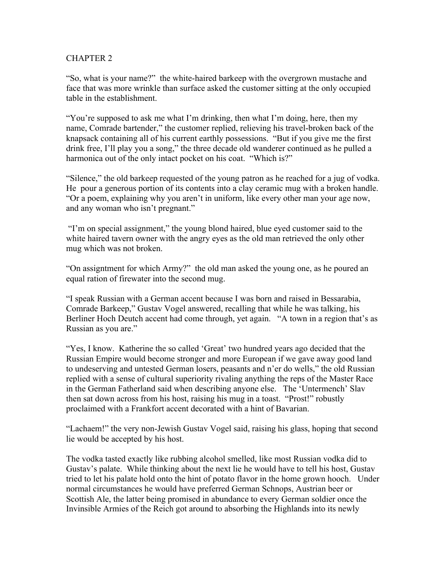"So, what is your name?" the white-haired barkeep with the overgrown mustache and face that was more wrinkle than surface asked the customer sitting at the only occupied table in the establishment.

"You're supposed to ask me what I'm drinking, then what I'm doing, here, then my name, Comrade bartender," the customer replied, relieving his travel-broken back of the knapsack containing all of his current earthly possessions. "But if you give me the first drink free, I'll play you a song," the three decade old wanderer continued as he pulled a harmonica out of the only intact pocket on his coat. "Which is?"

"Silence," the old barkeep requested of the young patron as he reached for a jug of vodka. He pour a generous portion of its contents into a clay ceramic mug with a broken handle. "Or a poem, explaining why you aren't in uniform, like every other man your age now, and any woman who isn't pregnant."

"I'm on special assignment," the young blond haired, blue eyed customer said to the white haired tavern owner with the angry eyes as the old man retrieved the only other mug which was not broken.

"On assigntment for which Army?" the old man asked the young one, as he poured an equal ration of firewater into the second mug.

"I speak Russian with a German accent because I was born and raised in Bessarabia, Comrade Barkeep," Gustav Vogel answered, recalling that while he was talking, his Berliner Hoch Deutch accent had come through, yet again. "A town in a region that's as Russian as you are."

"Yes, I know. Katherine the so called 'Great' two hundred years ago decided that the Russian Empire would become stronger and more European if we gave away good land to undeserving and untested German losers, peasants and n'er do wells," the old Russian replied with a sense of cultural superiority rivaling anything the reps of the Master Race in the German Fatherland said when describing anyone else. The 'Untermench' Slav then sat down across from his host, raising his mug in a toast. "Prost!" robustly proclaimed with a Frankfort accent decorated with a hint of Bavarian.

"Lachaem!" the very non-Jewish Gustav Vogel said, raising his glass, hoping that second lie would be accepted by his host.

The vodka tasted exactly like rubbing alcohol smelled, like most Russian vodka did to Gustav's palate. While thinking about the next lie he would have to tell his host, Gustav tried to let his palate hold onto the hint of potato flavor in the home grown hooch. Under normal circumstances he would have preferred German Schnops, Austrian beer or Scottish Ale, the latter being promised in abundance to every German soldier once the Invinsible Armies of the Reich got around to absorbing the Highlands into its newly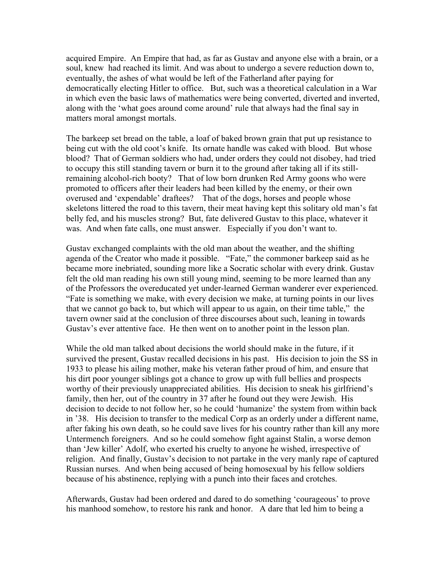acquired Empire. An Empire that had, as far as Gustav and anyone else with a brain, or a soul, knew had reached its limit. And was about to undergo a severe reduction down to, eventually, the ashes of what would be left of the Fatherland after paying for democratically electing Hitler to office. But, such was a theoretical calculation in a War in which even the basic laws of mathematics were being converted, diverted and inverted, along with the 'what goes around come around' rule that always had the final say in matters moral amongst mortals.

The barkeep set bread on the table, a loaf of baked brown grain that put up resistance to being cut with the old coot's knife. Its ornate handle was caked with blood. But whose blood? That of German soldiers who had, under orders they could not disobey, had tried to occupy this still standing tavern or burn it to the ground after taking all if its stillremaining alcohol-rich booty? That of low born drunken Red Army goons who were promoted to officers after their leaders had been killed by the enemy, or their own overused and 'expendable' draftees? That of the dogs, horses and people whose skeletons littered the road to this tavern, their meat having kept this solitary old man's fat belly fed, and his muscles strong? But, fate delivered Gustav to this place, whatever it was. And when fate calls, one must answer. Especially if you don't want to.

Gustav exchanged complaints with the old man about the weather, and the shifting agenda of the Creator who made it possible. "Fate," the commoner barkeep said as he became more inebriated, sounding more like a Socratic scholar with every drink. Gustav felt the old man reading his own still young mind, seeming to be more learned than any of the Professors the overeducated yet under-learned German wanderer ever experienced. "Fate is something we make, with every decision we make, at turning points in our lives that we cannot go back to, but which will appear to us again, on their time table," the tavern owner said at the conclusion of three discourses about such, leaning in towards Gustav's ever attentive face. He then went on to another point in the lesson plan.

While the old man talked about decisions the world should make in the future, if it survived the present, Gustav recalled decisions in his past. His decision to join the SS in 1933 to please his ailing mother, make his veteran father proud of him, and ensure that his dirt poor younger siblings got a chance to grow up with full bellies and prospects worthy of their previously unappreciated abilities. His decision to sneak his girlfriend's family, then her, out of the country in 37 after he found out they were Jewish. His decision to decide to not follow her, so he could 'humanize' the system from within back in '38. His decision to transfer to the medical Corp as an orderly under a different name, after faking his own death, so he could save lives for his country rather than kill any more Untermench foreigners. And so he could somehow fight against Stalin, a worse demon than 'Jew killer' Adolf, who exerted his cruelty to anyone he wished, irrespective of religion. And finally, Gustav's decision to not partake in the very manly rape of captured Russian nurses. And when being accused of being homosexual by his fellow soldiers because of his abstinence, replying with a punch into their faces and crotches.

Afterwards, Gustav had been ordered and dared to do something 'courageous' to prove his manhood somehow, to restore his rank and honor. A dare that led him to being a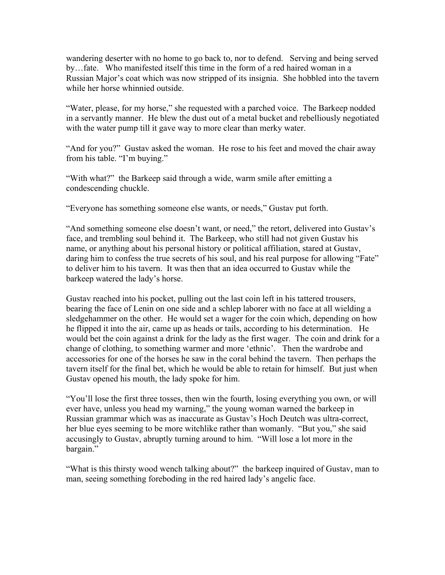wandering deserter with no home to go back to, nor to defend. Serving and being served by…fate. Who manifested itself this time in the form of a red haired woman in a Russian Major's coat which was now stripped of its insignia. She hobbled into the tavern while her horse whinnied outside.

"Water, please, for my horse," she requested with a parched voice. The Barkeep nodded in a servantly manner. He blew the dust out of a metal bucket and rebelliously negotiated with the water pump till it gave way to more clear than merky water.

"And for you?" Gustav asked the woman. He rose to his feet and moved the chair away from his table. "I'm buying."

"With what?" the Barkeep said through a wide, warm smile after emitting a condescending chuckle.

"Everyone has something someone else wants, or needs," Gustav put forth.

"And something someone else doesn't want, or need," the retort, delivered into Gustav's face, and trembling soul behind it. The Barkeep, who still had not given Gustav his name, or anything about his personal history or political affiliation, stared at Gustav, daring him to confess the true secrets of his soul, and his real purpose for allowing "Fate" to deliver him to his tavern. It was then that an idea occurred to Gustav while the barkeep watered the lady's horse.

Gustav reached into his pocket, pulling out the last coin left in his tattered trousers, bearing the face of Lenin on one side and a schlep laborer with no face at all wielding a sledgehammer on the other. He would set a wager for the coin which, depending on how he flipped it into the air, came up as heads or tails, according to his determination. He would bet the coin against a drink for the lady as the first wager. The coin and drink for a change of clothing, to something warmer and more 'ethnic'. Then the wardrobe and accessories for one of the horses he saw in the coral behind the tavern. Then perhaps the tavern itself for the final bet, which he would be able to retain for himself. But just when Gustav opened his mouth, the lady spoke for him.

"You'll lose the first three tosses, then win the fourth, losing everything you own, or will ever have, unless you head my warning," the young woman warned the barkeep in Russian grammar which was as inaccurate as Gustav's Hoch Deutch was ultra-correct, her blue eyes seeming to be more witchlike rather than womanly. "But you," she said accusingly to Gustav, abruptly turning around to him. "Will lose a lot more in the bargain."

"What is this thirsty wood wench talking about?" the barkeep inquired of Gustav, man to man, seeing something foreboding in the red haired lady's angelic face.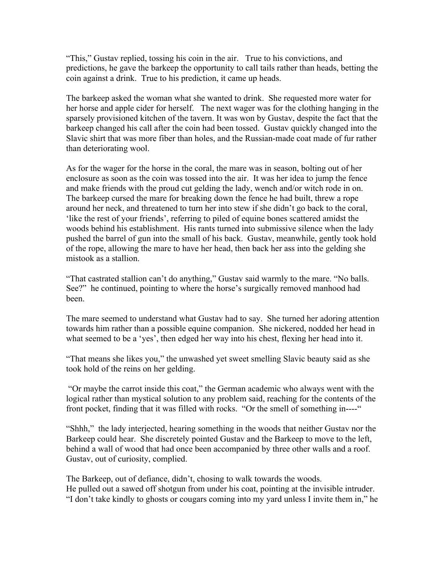"This," Gustav replied, tossing his coin in the air. True to his convictions, and predictions, he gave the barkeep the opportunity to call tails rather than heads, betting the coin against a drink. True to his prediction, it came up heads.

The barkeep asked the woman what she wanted to drink. She requested more water for her horse and apple cider for herself. The next wager was for the clothing hanging in the sparsely provisioned kitchen of the tavern. It was won by Gustav, despite the fact that the barkeep changed his call after the coin had been tossed. Gustav quickly changed into the Slavic shirt that was more fiber than holes, and the Russian-made coat made of fur rather than deteriorating wool.

As for the wager for the horse in the coral, the mare was in season, bolting out of her enclosure as soon as the coin was tossed into the air. It was her idea to jump the fence and make friends with the proud cut gelding the lady, wench and/or witch rode in on. The barkeep cursed the mare for breaking down the fence he had built, threw a rope around her neck, and threatened to turn her into stew if she didn't go back to the coral, 'like the rest of your friends', referring to piled of equine bones scattered amidst the woods behind his establishment. His rants turned into submissive silence when the lady pushed the barrel of gun into the small of his back. Gustav, meanwhile, gently took hold of the rope, allowing the mare to have her head, then back her ass into the gelding she mistook as a stallion.

"That castrated stallion can't do anything," Gustav said warmly to the mare. "No balls. See?" he continued, pointing to where the horse's surgically removed manhood had been.

The mare seemed to understand what Gustav had to say. She turned her adoring attention towards him rather than a possible equine companion. She nickered, nodded her head in what seemed to be a 'yes', then edged her way into his chest, flexing her head into it.

"That means she likes you," the unwashed yet sweet smelling Slavic beauty said as she took hold of the reins on her gelding.

"Or maybe the carrot inside this coat," the German academic who always went with the logical rather than mystical solution to any problem said, reaching for the contents of the front pocket, finding that it was filled with rocks. "Or the smell of something in----"

"Shhh," the lady interjected, hearing something in the woods that neither Gustav nor the Barkeep could hear. She discretely pointed Gustav and the Barkeep to move to the left, behind a wall of wood that had once been accompanied by three other walls and a roof. Gustav, out of curiosity, complied.

The Barkeep, out of defiance, didn't, chosing to walk towards the woods. He pulled out a sawed off shotgun from under his coat, pointing at the invisible intruder. "I don't take kindly to ghosts or cougars coming into my yard unless I invite them in," he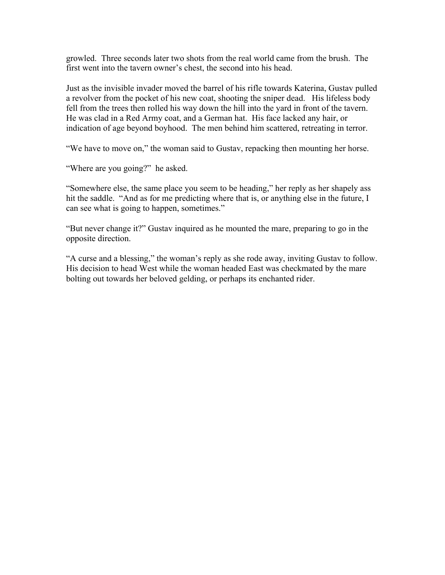growled. Three seconds later two shots from the real world came from the brush. The first went into the tavern owner's chest, the second into his head.

Just as the invisible invader moved the barrel of his rifle towards Katerina, Gustav pulled a revolver from the pocket of his new coat, shooting the sniper dead. His lifeless body fell from the trees then rolled his way down the hill into the yard in front of the tavern. He was clad in a Red Army coat, and a German hat. His face lacked any hair, or indication of age beyond boyhood. The men behind him scattered, retreating in terror.

"We have to move on," the woman said to Gustav, repacking then mounting her horse.

"Where are you going?" he asked.

"Somewhere else, the same place you seem to be heading," her reply as her shapely ass hit the saddle. "And as for me predicting where that is, or anything else in the future, I can see what is going to happen, sometimes."

"But never change it?" Gustav inquired as he mounted the mare, preparing to go in the opposite direction.

"A curse and a blessing," the woman's reply as she rode away, inviting Gustav to follow. His decision to head West while the woman headed East was checkmated by the mare bolting out towards her beloved gelding, or perhaps its enchanted rider.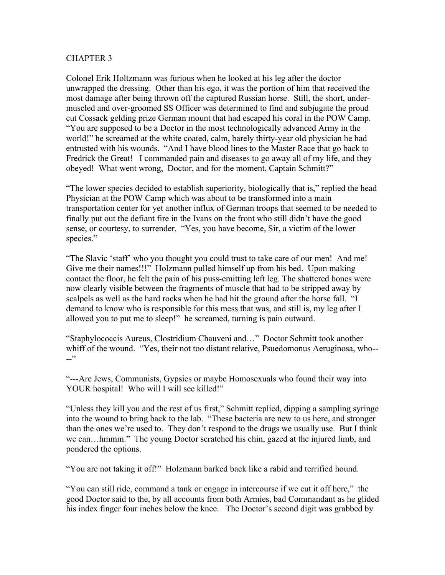Colonel Erik Holtzmann was furious when he looked at his leg after the doctor unwrapped the dressing. Other than his ego, it was the portion of him that received the most damage after being thrown off the captured Russian horse. Still, the short, undermuscled and over-groomed SS Officer was determined to find and subjugate the proud cut Cossack gelding prize German mount that had escaped his coral in the POW Camp. "You are supposed to be a Doctor in the most technologically advanced Army in the world!" he screamed at the white coated, calm, barely thirty-year old physician he had entrusted with his wounds. "And I have blood lines to the Master Race that go back to Fredrick the Great! I commanded pain and diseases to go away all of my life, and they obeyed! What went wrong, Doctor, and for the moment, Captain Schmitt?"

"The lower species decided to establish superiority, biologically that is," replied the head Physician at the POW Camp which was about to be transformed into a main transportation center for yet another influx of German troops that seemed to be needed to finally put out the defiant fire in the Ivans on the front who still didn't have the good sense, or courtesy, to surrender. "Yes, you have become, Sir, a victim of the lower species."

"The Slavic 'staff' who you thought you could trust to take care of our men! And me! Give me their names!!!" Holzmann pulled himself up from his bed. Upon making contact the floor, he felt the pain of his puss-emitting left leg. The shattered bones were now clearly visible between the fragments of muscle that had to be stripped away by scalpels as well as the hard rocks when he had hit the ground after the horse fall. "I demand to know who is responsible for this mess that was, and still is, my leg after I allowed you to put me to sleep!" he screamed, turning is pain outward.

"Staphylococcis Aureus, Clostridium Chauveni and…" Doctor Schmitt took another whiff of the wound. "Yes, their not too distant relative, Psuedomonus Aeruginosa, who--  $-$ "

"---Are Jews, Communists, Gypsies or maybe Homosexuals who found their way into YOUR hospital! Who will I will see killed!"

"Unless they kill you and the rest of us first," Schmitt replied, dipping a sampling syringe into the wound to bring back to the lab. "These bacteria are new to us here, and stronger than the ones we're used to. They don't respond to the drugs we usually use. But I think we can…hmmm." The young Doctor scratched his chin, gazed at the injured limb, and pondered the options.

"You are not taking it off!" Holzmann barked back like a rabid and terrified hound.

"You can still ride, command a tank or engage in intercourse if we cut it off here," the good Doctor said to the, by all accounts from both Armies, bad Commandant as he glided his index finger four inches below the knee. The Doctor's second digit was grabbed by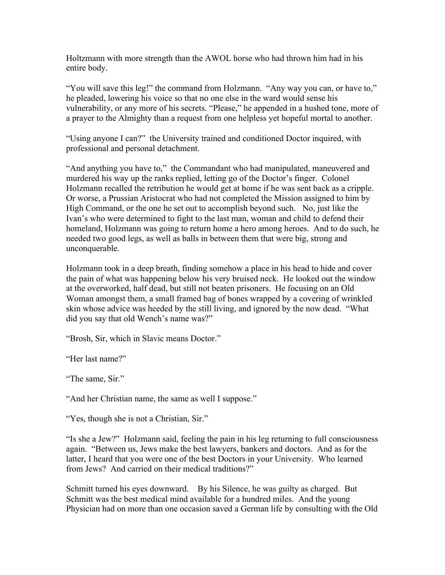Holtzmann with more strength than the AWOL horse who had thrown him had in his entire body.

"You will save this leg!" the command from Holzmann. "Any way you can, or have to," he pleaded, lowering his voice so that no one else in the ward would sense his vulnerability, or any more of his secrets. "Please," he appended in a hushed tone, more of a prayer to the Almighty than a request from one helpless yet hopeful mortal to another.

"Using anyone I can?" the University trained and conditioned Doctor inquired, with professional and personal detachment.

"And anything you have to," the Commandant who had manipulated, maneuvered and murdered his way up the ranks replied, letting go of the Doctor's finger. Colonel Holzmann recalled the retribution he would get at home if he was sent back as a cripple. Or worse, a Prussian Aristocrat who had not completed the Mission assigned to him by High Command, or the one he set out to accomplish beyond such. No, just like the Ivan's who were determined to fight to the last man, woman and child to defend their homeland, Holzmann was going to return home a hero among heroes. And to do such, he needed two good legs, as well as balls in between them that were big, strong and unconquerable.

Holzmann took in a deep breath, finding somehow a place in his head to hide and cover the pain of what was happening below his very bruised neck. He looked out the window at the overworked, half dead, but still not beaten prisoners. He focusing on an Old Woman amongst them, a small framed bag of bones wrapped by a covering of wrinkled skin whose advice was heeded by the still living, and ignored by the now dead. "What did you say that old Wench's name was?"

"Brosh, Sir, which in Slavic means Doctor."

"Her last name?"

"The same, Sir."

"And her Christian name, the same as well I suppose."

"Yes, though she is not a Christian, Sir."

"Is she a Jew?" Holzmann said, feeling the pain in his leg returning to full consciousness again. "Between us, Jews make the best lawyers, bankers and doctors. And as for the latter, I heard that you were one of the best Doctors in your University. Who learned from Jews? And carried on their medical traditions?"

Schmitt turned his eyes downward. By his Silence, he was guilty as charged. But Schmitt was the best medical mind available for a hundred miles. And the young Physician had on more than one occasion saved a German life by consulting with the Old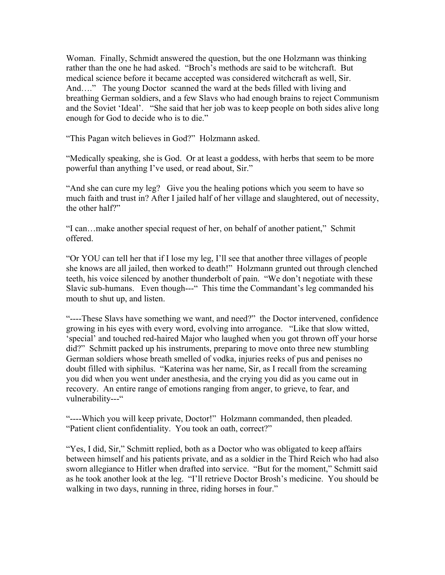Woman. Finally, Schmidt answered the question, but the one Holzmann was thinking rather than the one he had asked. "Broch's methods are said to be witchcraft. But medical science before it became accepted was considered witchcraft as well, Sir. And…." The young Doctor scanned the ward at the beds filled with living and breathing German soldiers, and a few Slavs who had enough brains to reject Communism and the Soviet 'Ideal'. "She said that her job was to keep people on both sides alive long enough for God to decide who is to die."

"This Pagan witch believes in God?" Holzmann asked.

"Medically speaking, she is God. Or at least a goddess, with herbs that seem to be more powerful than anything I've used, or read about, Sir."

"And she can cure my leg? Give you the healing potions which you seem to have so much faith and trust in? After I jailed half of her village and slaughtered, out of necessity, the other half?"

"I can…make another special request of her, on behalf of another patient," Schmit offered.

"Or YOU can tell her that if I lose my leg, I'll see that another three villages of people she knows are all jailed, then worked to death!" Holzmann grunted out through clenched teeth, his voice silenced by another thunderbolt of pain. "We don't negotiate with these Slavic sub-humans. Even though---" This time the Commandant's leg commanded his mouth to shut up, and listen.

"----These Slavs have something we want, and need?" the Doctor intervened, confidence growing in his eyes with every word, evolving into arrogance. "Like that slow witted, 'special' and touched red-haired Major who laughed when you got thrown off your horse did?" Schmitt packed up his instruments, preparing to move onto three new stumbling German soldiers whose breath smelled of vodka, injuries reeks of pus and penises no doubt filled with siphilus. "Katerina was her name, Sir, as I recall from the screaming you did when you went under anesthesia, and the crying you did as you came out in recovery. An entire range of emotions ranging from anger, to grieve, to fear, and vulnerability---"

"----Which you will keep private, Doctor!" Holzmann commanded, then pleaded. "Patient client confidentiality. You took an oath, correct?"

"Yes, I did, Sir," Schmitt replied, both as a Doctor who was obligated to keep affairs between himself and his patients private, and as a soldier in the Third Reich who had also sworn allegiance to Hitler when drafted into service. "But for the moment," Schmitt said as he took another look at the leg. "I'll retrieve Doctor Brosh's medicine. You should be walking in two days, running in three, riding horses in four."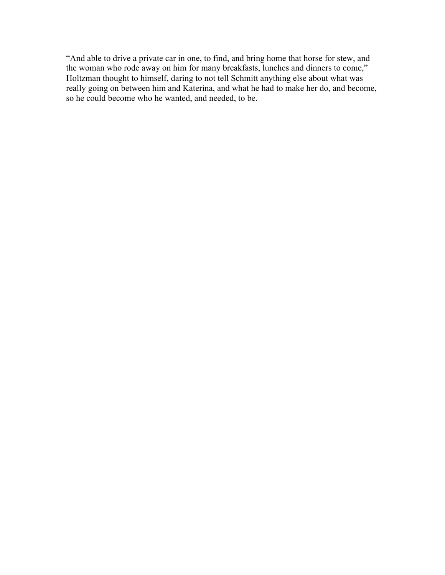"And able to drive a private car in one, to find, and bring home that horse for stew, and the woman who rode away on him for many breakfasts, lunches and dinners to come," Holtzman thought to himself, daring to not tell Schmitt anything else about what was really going on between him and Katerina, and what he had to make her do, and become, so he could become who he wanted, and needed, to be.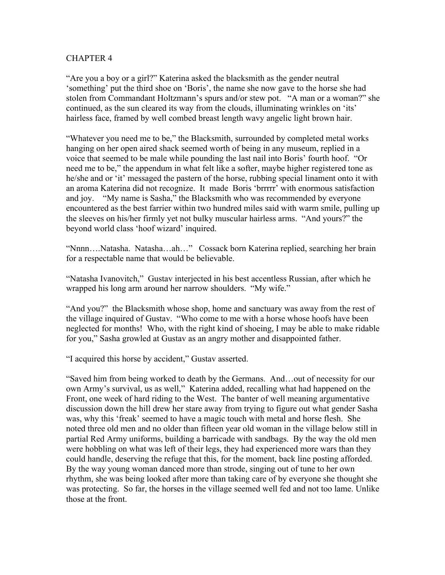"Are you a boy or a girl?" Katerina asked the blacksmith as the gender neutral 'something' put the third shoe on 'Boris', the name she now gave to the horse she had stolen from Commandant Holtzmann's spurs and/or stew pot. "A man or a woman?" she continued, as the sun cleared its way from the clouds, illuminating wrinkles on 'its' hairless face, framed by well combed breast length wavy angelic light brown hair.

"Whatever you need me to be," the Blacksmith, surrounded by completed metal works hanging on her open aired shack seemed worth of being in any museum, replied in a voice that seemed to be male while pounding the last nail into Boris' fourth hoof. "Or need me to be," the appendum in what felt like a softer, maybe higher registered tone as he/she and or 'it' messaged the pastern of the horse, rubbing special linament onto it with an aroma Katerina did not recognize. It made Boris 'brrrrr' with enormous satisfaction and joy. "My name is Sasha," the Blacksmith who was recommended by everyone encountered as the best farrier within two hundred miles said with warm smile, pulling up the sleeves on his/her firmly yet not bulky muscular hairless arms. "And yours?" the beyond world class 'hoof wizard' inquired.

"Nnnn….Natasha. Natasha…ah…" Cossack born Katerina replied, searching her brain for a respectable name that would be believable.

"Natasha Ivanovitch," Gustav interjected in his best accentless Russian, after which he wrapped his long arm around her narrow shoulders. "My wife."

"And you?" the Blacksmith whose shop, home and sanctuary was away from the rest of the village inquired of Gustav. "Who come to me with a horse whose hoofs have been neglected for months! Who, with the right kind of shoeing, I may be able to make ridable for you," Sasha growled at Gustav as an angry mother and disappointed father.

"I acquired this horse by accident," Gustav asserted.

"Saved him from being worked to death by the Germans. And…out of necessity for our own Army's survival, us as well," Katerina added, recalling what had happened on the Front, one week of hard riding to the West. The banter of well meaning argumentative discussion down the hill drew her stare away from trying to figure out what gender Sasha was, why this 'freak' seemed to have a magic touch with metal and horse flesh. She noted three old men and no older than fifteen year old woman in the village below still in partial Red Army uniforms, building a barricade with sandbags. By the way the old men were hobbling on what was left of their legs, they had experienced more wars than they could handle, deserving the refuge that this, for the moment, back line posting afforded. By the way young woman danced more than strode, singing out of tune to her own rhythm, she was being looked after more than taking care of by everyone she thought she was protecting. So far, the horses in the village seemed well fed and not too lame. Unlike those at the front.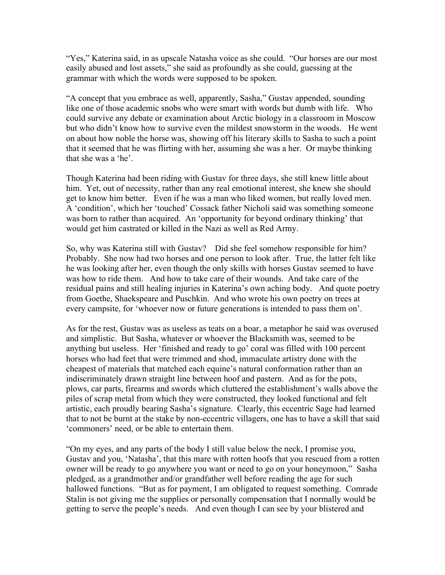"Yes," Katerina said, in as upscale Natasha voice as she could. "Our horses are our most easily abused and lost assets," she said as profoundly as she could, guessing at the grammar with which the words were supposed to be spoken.

"A concept that you embrace as well, apparently, Sasha," Gustav appended, sounding like one of those academic snobs who were smart with words but dumb with life. Who could survive any debate or examination about Arctic biology in a classroom in Moscow but who didn't know how to survive even the mildest snowstorm in the woods. He went on about how noble the horse was, showing off his literary skills to Sasha to such a point that it seemed that he was flirting with her, assuming she was a her. Or maybe thinking that she was a 'he'.

Though Katerina had been riding with Gustav for three days, she still knew little about him. Yet, out of necessity, rather than any real emotional interest, she knew she should get to know him better. Even if he was a man who liked women, but really loved men. A 'condition', which her 'touched' Cossack father Nicholi said was something someone was born to rather than acquired. An 'opportunity for beyond ordinary thinking' that would get him castrated or killed in the Nazi as well as Red Army.

So, why was Katerina still with Gustav? Did she feel somehow responsible for him? Probably. She now had two horses and one person to look after. True, the latter felt like he was looking after her, even though the only skills with horses Gustav seemed to have was how to ride them. And how to take care of their wounds. And take care of the residual pains and still healing injuries in Katerina's own aching body. And quote poetry from Goethe, Shaekspeare and Puschkin. And who wrote his own poetry on trees at every campsite, for 'whoever now or future generations is intended to pass them on'.

As for the rest, Gustav was as useless as teats on a boar, a metaphor he said was overused and simplistic. But Sasha, whatever or whoever the Blacksmith was, seemed to be anything but useless. Her 'finished and ready to go' coral was filled with 100 percent horses who had feet that were trimmed and shod, immaculate artistry done with the cheapest of materials that matched each equine's natural conformation rather than an indiscriminately drawn straight line between hoof and pastern. And as for the pots, plows, car parts, firearms and swords which cluttered the establishment's walls above the piles of scrap metal from which they were constructed, they looked functional and felt artistic, each proudly bearing Sasha's signature. Clearly, this eccentric Sage had learned that to not be burnt at the stake by non-eccentric villagers, one has to have a skill that said 'commoners' need, or be able to entertain them.

"On my eyes, and any parts of the body I still value below the neck, I promise you, Gustav and you, 'Natasha', that this mare with rotten hoofs that you rescued from a rotten owner will be ready to go anywhere you want or need to go on your honeymoon," Sasha pledged, as a grandmother and/or grandfather well before reading the age for such hallowed functions. "But as for payment, I am obligated to request something. Comrade Stalin is not giving me the supplies or personally compensation that I normally would be getting to serve the people's needs. And even though I can see by your blistered and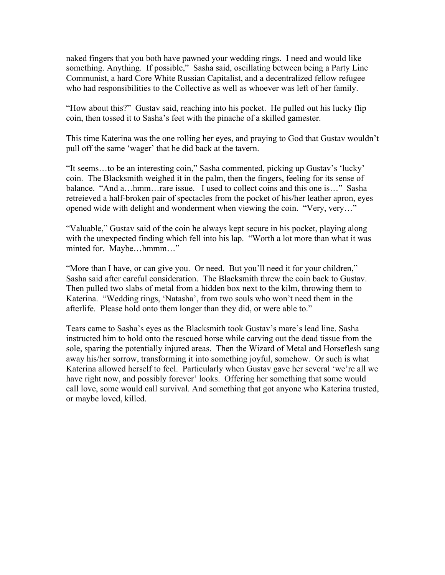naked fingers that you both have pawned your wedding rings. I need and would like something. Anything. If possible," Sasha said, oscillating between being a Party Line Communist, a hard Core White Russian Capitalist, and a decentralized fellow refugee who had responsibilities to the Collective as well as whoever was left of her family.

"How about this?" Gustav said, reaching into his pocket. He pulled out his lucky flip coin, then tossed it to Sasha's feet with the pinache of a skilled gamester.

This time Katerina was the one rolling her eyes, and praying to God that Gustav wouldn't pull off the same 'wager' that he did back at the tavern.

"It seems…to be an interesting coin," Sasha commented, picking up Gustav's 'lucky' coin. The Blacksmith weighed it in the palm, then the fingers, feeling for its sense of balance. "And a…hmm…rare issue. I used to collect coins and this one is…" Sasha retreieved a half-broken pair of spectacles from the pocket of his/her leather apron, eyes opened wide with delight and wonderment when viewing the coin. "Very, very…"

"Valuable," Gustav said of the coin he always kept secure in his pocket, playing along with the unexpected finding which fell into his lap. "Worth a lot more than what it was minted for. Maybe…hmmm…"

"More than I have, or can give you. Or need. But you'll need it for your children," Sasha said after careful consideration. The Blacksmith threw the coin back to Gustav. Then pulled two slabs of metal from a hidden box next to the kilm, throwing them to Katerina. "Wedding rings, 'Natasha', from two souls who won't need them in the afterlife. Please hold onto them longer than they did, or were able to."

Tears came to Sasha's eyes as the Blacksmith took Gustav's mare's lead line. Sasha instructed him to hold onto the rescued horse while carving out the dead tissue from the sole, sparing the potentially injured areas. Then the Wizard of Metal and Horseflesh sang away his/her sorrow, transforming it into something joyful, somehow. Or such is what Katerina allowed herself to feel. Particularly when Gustav gave her several 'we're all we have right now, and possibly forever' looks. Offering her something that some would call love, some would call survival. And something that got anyone who Katerina trusted, or maybe loved, killed.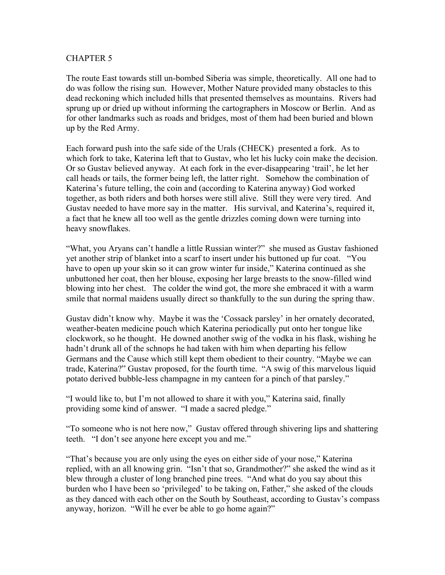The route East towards still un-bombed Siberia was simple, theoretically. All one had to do was follow the rising sun. However, Mother Nature provided many obstacles to this dead reckoning which included hills that presented themselves as mountains. Rivers had sprung up or dried up without informing the cartographers in Moscow or Berlin. And as for other landmarks such as roads and bridges, most of them had been buried and blown up by the Red Army.

Each forward push into the safe side of the Urals (CHECK) presented a fork. As to which fork to take, Katerina left that to Gustav, who let his lucky coin make the decision. Or so Gustav believed anyway. At each fork in the ever-disappearing 'trail', he let her call heads or tails, the former being left, the latter right. Somehow the combination of Katerina's future telling, the coin and (according to Katerina anyway) God worked together, as both riders and both horses were still alive. Still they were very tired. And Gustav needed to have more say in the matter. His survival, and Katerina's, required it, a fact that he knew all too well as the gentle drizzles coming down were turning into heavy snowflakes.

"What, you Aryans can't handle a little Russian winter?" she mused as Gustav fashioned yet another strip of blanket into a scarf to insert under his buttoned up fur coat. "You have to open up your skin so it can grow winter fur inside," Katerina continued as she unbuttoned her coat, then her blouse, exposing her large breasts to the snow-filled wind blowing into her chest. The colder the wind got, the more she embraced it with a warm smile that normal maidens usually direct so thankfully to the sun during the spring thaw.

Gustav didn't know why. Maybe it was the 'Cossack parsley' in her ornately decorated, weather-beaten medicine pouch which Katerina periodically put onto her tongue like clockwork, so he thought. He downed another swig of the vodka in his flask, wishing he hadn't drunk all of the schnops he had taken with him when departing his fellow Germans and the Cause which still kept them obedient to their country. "Maybe we can trade, Katerina?" Gustav proposed, for the fourth time. "A swig of this marvelous liquid potato derived bubble-less champagne in my canteen for a pinch of that parsley."

"I would like to, but I'm not allowed to share it with you," Katerina said, finally providing some kind of answer. "I made a sacred pledge."

"To someone who is not here now," Gustav offered through shivering lips and shattering teeth. "I don't see anyone here except you and me."

"That's because you are only using the eyes on either side of your nose," Katerina replied, with an all knowing grin. "Isn't that so, Grandmother?" she asked the wind as it blew through a cluster of long branched pine trees. "And what do you say about this burden who I have been so 'privileged' to be taking on, Father," she asked of the clouds as they danced with each other on the South by Southeast, according to Gustav's compass anyway, horizon. "Will he ever be able to go home again?"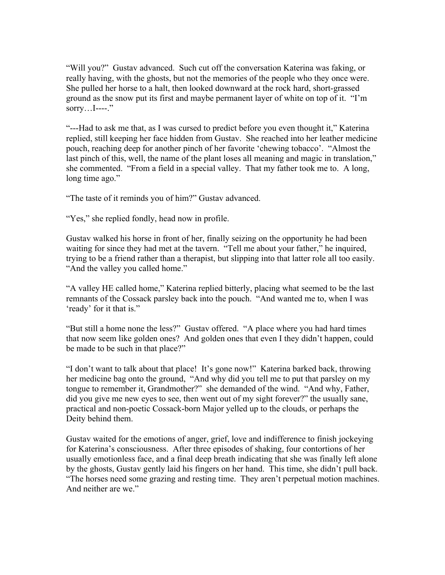"Will you?" Gustav advanced. Such cut off the conversation Katerina was faking, or really having, with the ghosts, but not the memories of the people who they once were. She pulled her horse to a halt, then looked downward at the rock hard, short-grassed ground as the snow put its first and maybe permanent layer of white on top of it. "I'm sorry... $I$ ----."

"---Had to ask me that, as I was cursed to predict before you even thought it," Katerina replied, still keeping her face hidden from Gustav. She reached into her leather medicine pouch, reaching deep for another pinch of her favorite 'chewing tobacco'. "Almost the last pinch of this, well, the name of the plant loses all meaning and magic in translation," she commented. "From a field in a special valley. That my father took me to. A long, long time ago."

"The taste of it reminds you of him?" Gustav advanced.

"Yes," she replied fondly, head now in profile.

Gustav walked his horse in front of her, finally seizing on the opportunity he had been waiting for since they had met at the tavern. "Tell me about your father," he inquired, trying to be a friend rather than a therapist, but slipping into that latter role all too easily. "And the valley you called home."

"A valley HE called home," Katerina replied bitterly, placing what seemed to be the last remnants of the Cossack parsley back into the pouch. "And wanted me to, when I was 'ready' for it that is."

"But still a home none the less?" Gustav offered. "A place where you had hard times that now seem like golden ones? And golden ones that even I they didn't happen, could be made to be such in that place?"

"I don't want to talk about that place! It's gone now!" Katerina barked back, throwing her medicine bag onto the ground, "And why did you tell me to put that parsley on my tongue to remember it, Grandmother?" she demanded of the wind. "And why, Father, did you give me new eyes to see, then went out of my sight forever?" the usually sane, practical and non-poetic Cossack-born Major yelled up to the clouds, or perhaps the Deity behind them.

Gustav waited for the emotions of anger, grief, love and indifference to finish jockeying for Katerina's consciousness. After three episodes of shaking, four contortions of her usually emotionless face, and a final deep breath indicating that she was finally left alone by the ghosts, Gustav gently laid his fingers on her hand. This time, she didn't pull back. "The horses need some grazing and resting time. They aren't perpetual motion machines. And neither are we."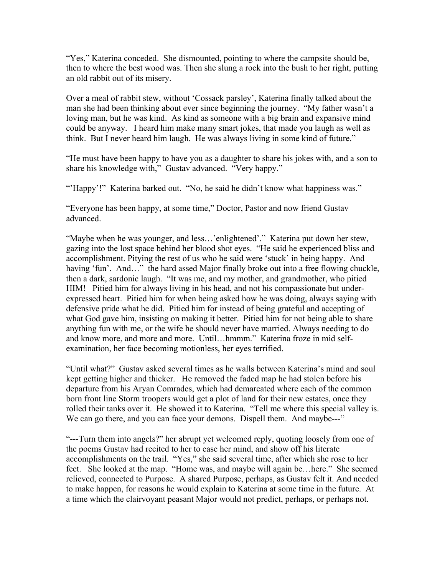"Yes," Katerina conceded. She dismounted, pointing to where the campsite should be, then to where the best wood was. Then she slung a rock into the bush to her right, putting an old rabbit out of its misery.

Over a meal of rabbit stew, without 'Cossack parsley', Katerina finally talked about the man she had been thinking about ever since beginning the journey. "My father wasn't a loving man, but he was kind. As kind as someone with a big brain and expansive mind could be anyway. I heard him make many smart jokes, that made you laugh as well as think. But I never heard him laugh. He was always living in some kind of future."

"He must have been happy to have you as a daughter to share his jokes with, and a son to share his knowledge with," Gustav advanced. "Very happy."

"'Happy'!" Katerina barked out. "No, he said he didn't know what happiness was."

"Everyone has been happy, at some time," Doctor, Pastor and now friend Gustav advanced.

"Maybe when he was younger, and less…'enlightened'." Katerina put down her stew, gazing into the lost space behind her blood shot eyes. "He said he experienced bliss and accomplishment. Pitying the rest of us who he said were 'stuck' in being happy. And having 'fun'. And..." the hard assed Major finally broke out into a free flowing chuckle, then a dark, sardonic laugh. "It was me, and my mother, and grandmother, who pitied HIM! Pitied him for always living in his head, and not his compassionate but underexpressed heart. Pitied him for when being asked how he was doing, always saying with defensive pride what he did. Pitied him for instead of being grateful and accepting of what God gave him, insisting on making it better. Pitied him for not being able to share anything fun with me, or the wife he should never have married. Always needing to do and know more, and more and more. Until…hmmm." Katerina froze in mid selfexamination, her face becoming motionless, her eyes terrified.

"Until what?" Gustav asked several times as he walls between Katerina's mind and soul kept getting higher and thicker. He removed the faded map he had stolen before his departure from his Aryan Comrades, which had demarcated where each of the common born front line Storm troopers would get a plot of land for their new estates, once they rolled their tanks over it. He showed it to Katerina. "Tell me where this special valley is. We can go there, and you can face your demons. Dispell them. And maybe---"

"---Turn them into angels?" her abrupt yet welcomed reply, quoting loosely from one of the poems Gustav had recited to her to ease her mind, and show off his literate accomplishments on the trail. "Yes," she said several time, after which she rose to her feet. She looked at the map. "Home was, and maybe will again be…here." She seemed relieved, connected to Purpose. A shared Purpose, perhaps, as Gustav felt it. And needed to make happen, for reasons he would explain to Katerina at some time in the future. At a time which the clairvoyant peasant Major would not predict, perhaps, or perhaps not.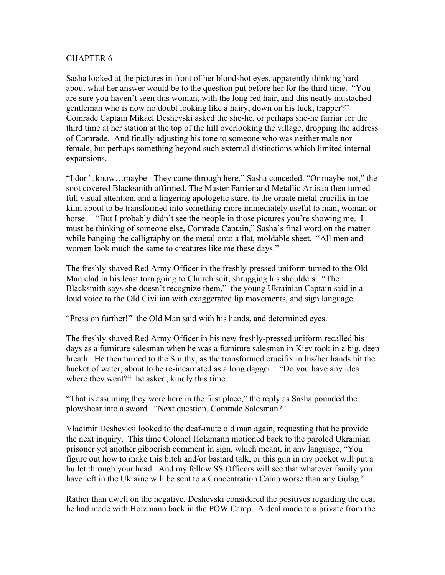Sasha looked at the pictures in front of her bloodshot eyes, apparently thinking hard about what her answer would be to the question put before her for the third time. "You are sure you haven't seen this woman, with the long red hair, and this neatly mustached gentleman who is now no doubt looking like a hairy, down on his luck, trapper?" Comrade Captain Mikael Deshevski asked the she-he, or perhaps she-he farriar for the third time at her station at the top of the hill overlooking the village, dropping the address of Comrade. And finally adjusting his tone to someone who was neither male nor female, but perhaps something beyond such external distinctions which limited internal expansions.

"I don't know…maybe. They came through here," Sasha conceded. "Or maybe not," the soot covered Blacksmith affirmed. The Master Farrier and Metallic Artisan then turned full visual attention, and a lingering apologetic stare, to the ornate metal crucifix in the kilm about to be transformed into something more immediately useful to man, woman or horse. "But I probably didn't see the people in those pictures you're showing me. I must be thinking of someone else, Comrade Captain," Sasha's final word on the matter while banging the calligraphy on the metal onto a flat, moldable sheet. "All men and women look much the same to creatures like me these days."

The freshly shaved Red Army Officer in the freshly-pressed uniform turned to the Old Man clad in his least torn going to Church suit, shrugging his shoulders. "The Blacksmith says she doesn't recognize them," the young Ukrainian Captain said in a loud voice to the Old Civilian with exaggerated lip movements, and sign language.

"Press on further!" the Old Man said with his hands, and determined eyes.

The freshly shaved Red Army Officer in his new freshly-pressed uniform recalled his days as a furniture salesman when he was a furniture salesman in Kiev took in a big, deep breath. He then turned to the Smithy, as the transformed crucifix in his/her hands hit the bucket of water, about to be re-incarnated as a long dagger. "Do you have any idea where they went?" he asked, kindly this time.

"That is assuming they were here in the first place," the reply as Sasha pounded the plowshear into a sword. "Next question, Comrade Salesman?"

Vladimir Deshevksi looked to the deaf-mute old man again, requesting that he provide the next inquiry. This time Colonel Holzmann motioned back to the paroled Ukrainian prisoner yet another gibberish comment in sign, which meant, in any language, "You figure out how to make this bitch and/or bastard talk, or this gun in my pocket will put a bullet through your head. And my fellow SS Officers will see that whatever family you have left in the Ukraine will be sent to a Concentration Camp worse than any Gulag."

Rather than dwell on the negative, Deshevski considered the positives regarding the deal he had made with Holzmann back in the POW Camp. A deal made to a private from the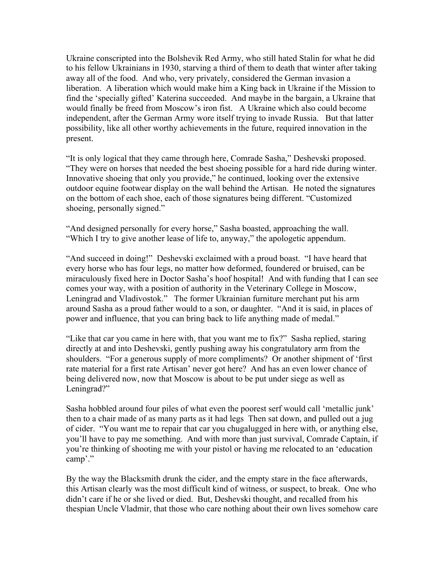Ukraine conscripted into the Bolshevik Red Army, who still hated Stalin for what he did to his fellow Ukrainians in 1930, starving a third of them to death that winter after taking away all of the food. And who, very privately, considered the German invasion a liberation. A liberation which would make him a King back in Ukraine if the Mission to find the 'specially gifted' Katerina succeeded. And maybe in the bargain, a Ukraine that would finally be freed from Moscow's iron fist. A Ukraine which also could become independent, after the German Army wore itself trying to invade Russia. But that latter possibility, like all other worthy achievements in the future, required innovation in the present.

"It is only logical that they came through here, Comrade Sasha," Deshevski proposed. "They were on horses that needed the best shoeing possible for a hard ride during winter. Innovative shoeing that only you provide," he continued, looking over the extensive outdoor equine footwear display on the wall behind the Artisan. He noted the signatures on the bottom of each shoe, each of those signatures being different. "Customized shoeing, personally signed."

"And designed personally for every horse," Sasha boasted, approaching the wall. "Which I try to give another lease of life to, anyway," the apologetic appendum.

"And succeed in doing!" Deshevski exclaimed with a proud boast. "I have heard that every horse who has four legs, no matter how deformed, foundered or bruised, can be miraculously fixed here in Doctor Sasha's hoof hospital! And with funding that I can see comes your way, with a position of authority in the Veterinary College in Moscow, Leningrad and Vladivostok." The former Ukrainian furniture merchant put his arm around Sasha as a proud father would to a son, or daughter. "And it is said, in places of power and influence, that you can bring back to life anything made of medal."

"Like that car you came in here with, that you want me to fix?" Sasha replied, staring directly at and into Deshevski, gently pushing away his congratulatory arm from the shoulders. "For a generous supply of more compliments? Or another shipment of 'first rate material for a first rate Artisan' never got here? And has an even lower chance of being delivered now, now that Moscow is about to be put under siege as well as Leningrad?"

Sasha hobbled around four piles of what even the poorest serf would call 'metallic junk' then to a chair made of as many parts as it had legs Then sat down, and pulled out a jug of cider. "You want me to repair that car you chugalugged in here with, or anything else, you'll have to pay me something. And with more than just survival, Comrade Captain, if you're thinking of shooting me with your pistol or having me relocated to an 'education camp'."

By the way the Blacksmith drunk the cider, and the empty stare in the face afterwards, this Artisan clearly was the most difficult kind of witness, or suspect, to break. One who didn't care if he or she lived or died. But, Deshevski thought, and recalled from his thespian Uncle Vladmir, that those who care nothing about their own lives somehow care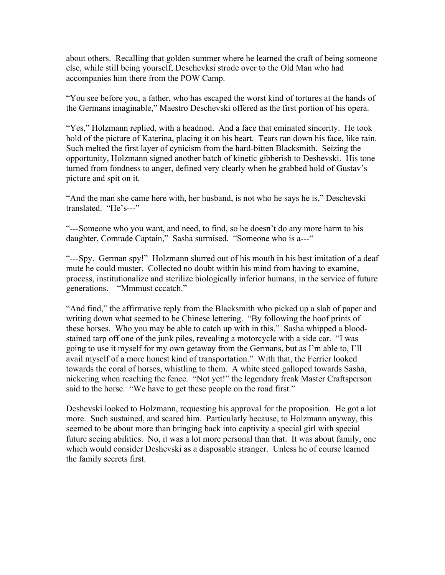about others. Recalling that golden summer where he learned the craft of being someone else, while still being yourself, Deschevksi strode over to the Old Man who had accompanies him there from the POW Camp.

"You see before you, a father, who has escaped the worst kind of tortures at the hands of the Germans imaginable," Maestro Deschevski offered as the first portion of his opera.

"Yes," Holzmann replied, with a headnod. And a face that eminated sincerity. He took hold of the picture of Katerina, placing it on his heart. Tears ran down his face, like rain. Such melted the first layer of cynicism from the hard-bitten Blacksmith. Seizing the opportunity, Holzmann signed another batch of kinetic gibberish to Deshevski. His tone turned from fondness to anger, defined very clearly when he grabbed hold of Gustav's picture and spit on it.

"And the man she came here with, her husband, is not who he says he is," Deschevski translated. "He's---"

"---Someone who you want, and need, to find, so he doesn't do any more harm to his daughter, Comrade Captain," Sasha surmised. "Someone who is a---"

"---Spy. German spy!" Holzmann slurred out of his mouth in his best imitation of a deaf mute he could muster. Collected no doubt within his mind from having to examine, process, institutionalize and sterilize biologically inferior humans, in the service of future generations. "Mmmust cccatch."

"And find," the affirmative reply from the Blacksmith who picked up a slab of paper and writing down what seemed to be Chinese lettering. "By following the hoof prints of these horses. Who you may be able to catch up with in this." Sasha whipped a bloodstained tarp off one of the junk piles, revealing a motorcycle with a side car. "I was going to use it myself for my own getaway from the Germans, but as I'm able to, I'll avail myself of a more honest kind of transportation." With that, the Ferrier looked towards the coral of horses, whistling to them. A white steed galloped towards Sasha, nickering when reaching the fence. "Not yet!" the legendary freak Master Craftsperson said to the horse. "We have to get these people on the road first."

Deshevski looked to Holzmann, requesting his approval for the proposition. He got a lot more. Such sustained, and scared him. Particularly because, to Holzmann anyway, this seemed to be about more than bringing back into captivity a special girl with special future seeing abilities. No, it was a lot more personal than that. It was about family, one which would consider Deshevski as a disposable stranger. Unless he of course learned the family secrets first.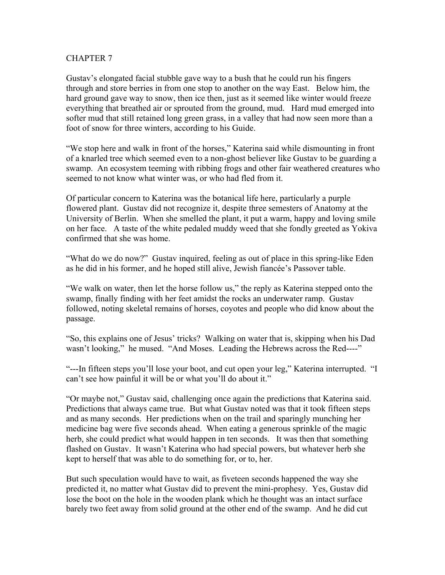Gustav's elongated facial stubble gave way to a bush that he could run his fingers through and store berries in from one stop to another on the way East. Below him, the hard ground gave way to snow, then ice then, just as it seemed like winter would freeze everything that breathed air or sprouted from the ground, mud. Hard mud emerged into softer mud that still retained long green grass, in a valley that had now seen more than a foot of snow for three winters, according to his Guide.

"We stop here and walk in front of the horses," Katerina said while dismounting in front of a knarled tree which seemed even to a non-ghost believer like Gustav to be guarding a swamp. An ecosystem teeming with ribbing frogs and other fair weathered creatures who seemed to not know what winter was, or who had fled from it.

Of particular concern to Katerina was the botanical life here, particularly a purple flowered plant. Gustav did not recognize it, despite three semesters of Anatomy at the University of Berlin. When she smelled the plant, it put a warm, happy and loving smile on her face. A taste of the white pedaled muddy weed that she fondly greeted as Yokiva confirmed that she was home.

"What do we do now?" Gustav inquired, feeling as out of place in this spring-like Eden as he did in his former, and he hoped still alive, Jewish fiancée's Passover table.

"We walk on water, then let the horse follow us," the reply as Katerina stepped onto the swamp, finally finding with her feet amidst the rocks an underwater ramp. Gustav followed, noting skeletal remains of horses, coyotes and people who did know about the passage.

"So, this explains one of Jesus' tricks? Walking on water that is, skipping when his Dad wasn't looking," he mused. "And Moses. Leading the Hebrews across the Red----"

"---In fifteen steps you'll lose your boot, and cut open your leg," Katerina interrupted. "I can't see how painful it will be or what you'll do about it."

"Or maybe not," Gustav said, challenging once again the predictions that Katerina said. Predictions that always came true. But what Gustav noted was that it took fifteen steps and as many seconds. Her predictions when on the trail and sparingly munching her medicine bag were five seconds ahead. When eating a generous sprinkle of the magic herb, she could predict what would happen in ten seconds. It was then that something flashed on Gustav. It wasn't Katerina who had special powers, but whatever herb she kept to herself that was able to do something for, or to, her.

But such speculation would have to wait, as fiveteen seconds happened the way she predicted it, no matter what Gustav did to prevent the mini-prophesy. Yes, Gustav did lose the boot on the hole in the wooden plank which he thought was an intact surface barely two feet away from solid ground at the other end of the swamp. And he did cut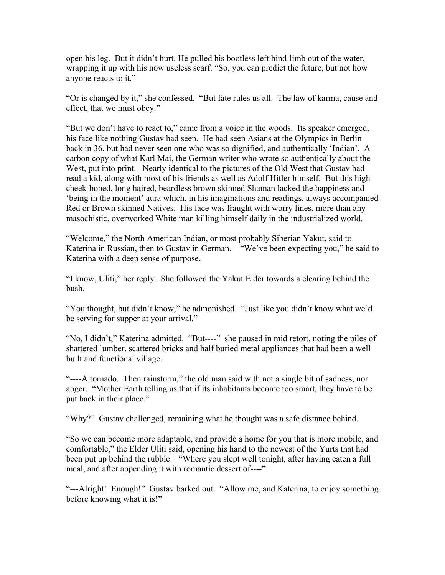open his leg. But it didn't hurt. He pulled his bootless left hind-limb out of the water, wrapping it up with his now useless scarf. "So, you can predict the future, but not how anyone reacts to it."

"Or is changed by it," she confessed. "But fate rules us all. The law of karma, cause and effect, that we must obey."

"But we don't have to react to," came from a voice in the woods. Its speaker emerged, his face like nothing Gustav had seen. He had seen Asians at the Olympics in Berlin back in 36, but had never seen one who was so dignified, and authentically 'Indian'. A carbon copy of what Karl Mai, the German writer who wrote so authentically about the West, put into print. Nearly identical to the pictures of the Old West that Gustav had read a kid, along with most of his friends as well as Adolf Hitler himself. But this high cheek-boned, long haired, beardless brown skinned Shaman lacked the happiness and 'being in the moment' aura which, in his imaginations and readings, always accompanied Red or Brown skinned Natives. His face was fraught with worry lines, more than any masochistic, overworked White man killing himself daily in the industrialized world.

"Welcome," the North American Indian, or most probably Siberian Yakut, said to Katerina in Russian, then to Gustav in German. "We've been expecting you," he said to Katerina with a deep sense of purpose.

"I know, Uliti," her reply. She followed the Yakut Elder towards a clearing behind the bush.

"You thought, but didn't know," he admonished. "Just like you didn't know what we'd be serving for supper at your arrival."

"No, I didn't," Katerina admitted. "But----" she paused in mid retort, noting the piles of shattered lumber, scattered bricks and half buried metal appliances that had been a well built and functional village.

"----A tornado. Then rainstorm," the old man said with not a single bit of sadness, nor anger. "Mother Earth telling us that if its inhabitants become too smart, they have to be put back in their place."

"Why?" Gustav challenged, remaining what he thought was a safe distance behind.

"So we can become more adaptable, and provide a home for you that is more mobile, and comfortable," the Elder Uliti said, opening his hand to the newest of the Yurts that had been put up behind the rubble. "Where you slept well tonight, after having eaten a full meal, and after appending it with romantic dessert of----"

"---Alright! Enough!" Gustav barked out. "Allow me, and Katerina, to enjoy something before knowing what it is!"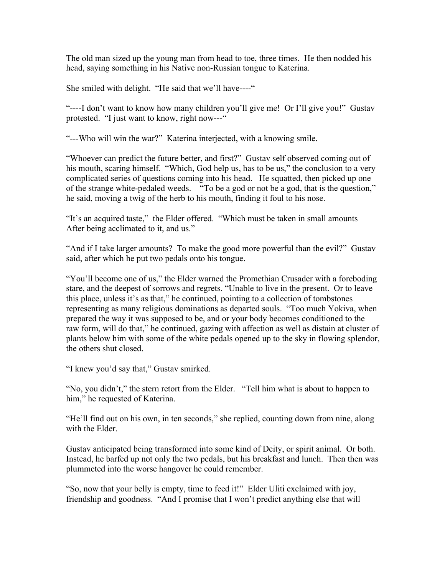The old man sized up the young man from head to toe, three times. He then nodded his head, saying something in his Native non-Russian tongue to Katerina.

She smiled with delight. "He said that we'll have----"

"----I don't want to know how many children you'll give me! Or I'll give you!" Gustav protested. "I just want to know, right now---"

"---Who will win the war?" Katerina interjected, with a knowing smile.

"Whoever can predict the future better, and first?" Gustav self observed coming out of his mouth, scaring himself. "Which, God help us, has to be us," the conclusion to a very complicated series of questions coming into his head. He squatted, then picked up one of the strange white-pedaled weeds. "To be a god or not be a god, that is the question," he said, moving a twig of the herb to his mouth, finding it foul to his nose.

"It's an acquired taste," the Elder offered. "Which must be taken in small amounts After being acclimated to it, and us."

"And if I take larger amounts? To make the good more powerful than the evil?" Gustav said, after which he put two pedals onto his tongue.

"You'll become one of us," the Elder warned the Promethian Crusader with a foreboding stare, and the deepest of sorrows and regrets. "Unable to live in the present. Or to leave this place, unless it's as that," he continued, pointing to a collection of tombstones representing as many religious dominations as departed souls. "Too much Yokiva, when prepared the way it was supposed to be, and or your body becomes conditioned to the raw form, will do that," he continued, gazing with affection as well as distain at cluster of plants below him with some of the white pedals opened up to the sky in flowing splendor, the others shut closed.

"I knew you'd say that," Gustav smirked.

"No, you didn't," the stern retort from the Elder. "Tell him what is about to happen to him," he requested of Katerina.

"He'll find out on his own, in ten seconds," she replied, counting down from nine, along with the Elder.

Gustav anticipated being transformed into some kind of Deity, or spirit animal. Or both. Instead, he barfed up not only the two pedals, but his breakfast and lunch. Then then was plummeted into the worse hangover he could remember.

"So, now that your belly is empty, time to feed it!" Elder Uliti exclaimed with joy, friendship and goodness. "And I promise that I won't predict anything else that will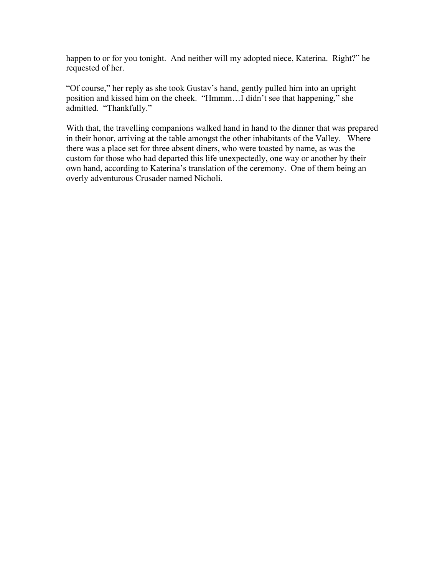happen to or for you tonight. And neither will my adopted niece, Katerina. Right?" he requested of her.

"Of course," her reply as she took Gustav's hand, gently pulled him into an upright position and kissed him on the cheek. "Hmmm…I didn't see that happening," she admitted. "Thankfully."

With that, the travelling companions walked hand in hand to the dinner that was prepared in their honor, arriving at the table amongst the other inhabitants of the Valley. Where there was a place set for three absent diners, who were toasted by name, as was the custom for those who had departed this life unexpectedly, one way or another by their own hand, according to Katerina's translation of the ceremony. One of them being an overly adventurous Crusader named Nicholi.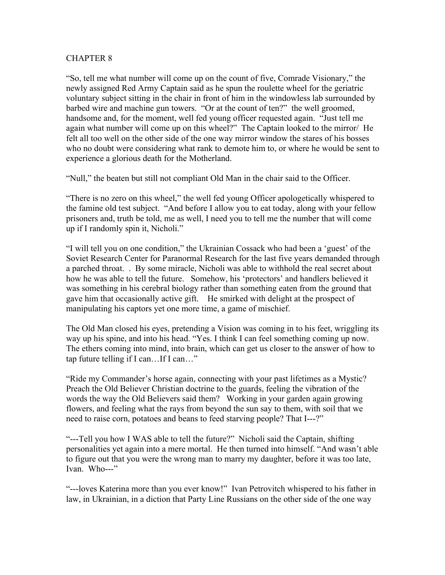"So, tell me what number will come up on the count of five, Comrade Visionary," the newly assigned Red Army Captain said as he spun the roulette wheel for the geriatric voluntary subject sitting in the chair in front of him in the windowless lab surrounded by barbed wire and machine gun towers. "Or at the count of ten?" the well groomed, handsome and, for the moment, well fed young officer requested again. "Just tell me again what number will come up on this wheel?" The Captain looked to the mirror/ He felt all too well on the other side of the one way mirror window the stares of his bosses who no doubt were considering what rank to demote him to, or where he would be sent to experience a glorious death for the Motherland.

"Null," the beaten but still not compliant Old Man in the chair said to the Officer.

"There is no zero on this wheel," the well fed young Officer apologetically whispered to the famine old test subject. "And before I allow you to eat today, along with your fellow prisoners and, truth be told, me as well, I need you to tell me the number that will come up if I randomly spin it, Nicholi."

"I will tell you on one condition," the Ukrainian Cossack who had been a 'guest' of the Soviet Research Center for Paranormal Research for the last five years demanded through a parched throat. . By some miracle, Nicholi was able to withhold the real secret about how he was able to tell the future. Somehow, his 'protectors' and handlers believed it was something in his cerebral biology rather than something eaten from the ground that gave him that occasionally active gift. He smirked with delight at the prospect of manipulating his captors yet one more time, a game of mischief.

The Old Man closed his eyes, pretending a Vision was coming in to his feet, wriggling its way up his spine, and into his head. "Yes. I think I can feel something coming up now. The ethers coming into mind, into brain, which can get us closer to the answer of how to tap future telling if I can…If I can…"

"Ride my Commander's horse again, connecting with your past lifetimes as a Mystic? Preach the Old Believer Christian doctrine to the guards, feeling the vibration of the words the way the Old Believers said them? Working in your garden again growing flowers, and feeling what the rays from beyond the sun say to them, with soil that we need to raise corn, potatoes and beans to feed starving people? That I---?"

"---Tell you how I WAS able to tell the future?" Nicholi said the Captain, shifting personalities yet again into a mere mortal. He then turned into himself. "And wasn't able to figure out that you were the wrong man to marry my daughter, before it was too late, Ivan. Who---"

"---loves Katerina more than you ever know!" Ivan Petrovitch whispered to his father in law, in Ukrainian, in a diction that Party Line Russians on the other side of the one way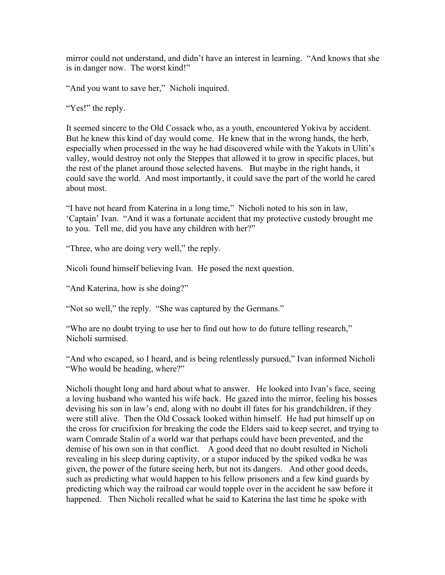mirror could not understand, and didn't have an interest in learning. "And knows that she is in danger now. The worst kind!"

"And you want to save her," Nicholi inquired.

"Yes!" the reply.

It seemed sincere to the Old Cossack who, as a youth, encountered Yokiva by accident. But he knew this kind of day would come. He knew that in the wrong hands, the herb, especially when processed in the way he had discovered while with the Yakuts in Uliti's valley, would destroy not only the Steppes that allowed it to grow in specific places, but the rest of the planet around those selected havens. But maybe in the right hands, it could save the world. And most importantly, it could save the part of the world he cared about most.

"I have not heard from Katerina in a long time," Nicholi noted to his son in law, 'Captain' Ivan. "And it was a fortunate accident that my protective custody brought me to you. Tell me, did you have any children with her?"

"Three, who are doing very well," the reply.

Nicoli found himself believing Ivan. He posed the next question.

"And Katerina, how is she doing?"

"Not so well," the reply. "She was captured by the Germans."

"Who are no doubt trying to use her to find out how to do future telling research," Nicholi surmised.

"And who escaped, so I heard, and is being relentlessly pursued," Ivan informed Nicholi "Who would be heading, where?"

Nicholi thought long and hard about what to answer. He looked into Ivan's face, seeing a loving husband who wanted his wife back. He gazed into the mirror, feeling his bosses devising his son in law's end, along with no doubt ill fates for his grandchildren, if they were still alive. Then the Old Cossack looked within himself. He had put himself up on the cross for crucifixion for breaking the code the Elders said to keep secret, and trying to warn Comrade Stalin of a world war that perhaps could have been prevented, and the demise of his own son in that conflict. A good deed that no doubt resulted in Nicholi revealing in his sleep during captivity, or a stupor induced by the spiked vodka he was given, the power of the future seeing herb, but not its dangers. And other good deeds, such as predicting what would happen to his fellow prisoners and a few kind guards by predicting which way the railroad car would topple over in the accident he saw before it happened. Then Nicholi recalled what he said to Katerina the last time he spoke with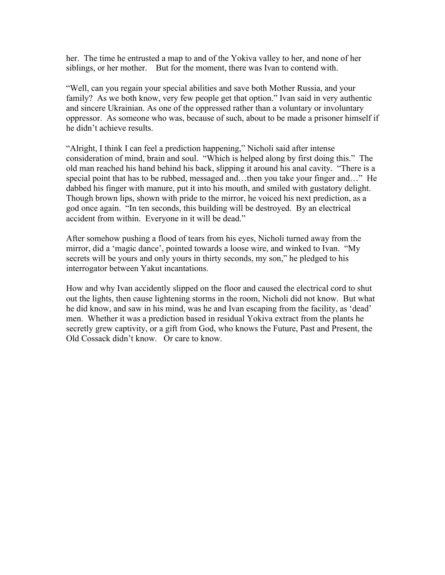her. The time he entrusted a map to and of the Yokiva valley to her, and none of her siblings, or her mother. But for the moment, there was Ivan to contend with.

"Well, can you regain your special abilities and save both Mother Russia, and your family? As we both know, very few people get that option." Ivan said in very authentic and sincere Ukrainian. As one of the oppressed rather than a voluntary or involuntary oppressor. As someone who was, because of such, about to be made a prisoner himself if he didn't achieve results.

"Alright, I think I can feel a prediction happening," Nicholi said after intense consideration of mind, brain and soul. "Which is helped along by first doing this." The old man reached his hand behind his back, slipping it around his anal cavity. "There is a special point that has to be rubbed, messaged and…then you take your finger and…" He dabbed his finger with manure, put it into his mouth, and smiled with gustatory delight. Though brown lips, shown with pride to the mirror, he voiced his next prediction, as a god once again. "In ten seconds, this building will be destroyed. By an electrical accident from within. Everyone in it will be dead."

After somehow pushing a flood of tears from his eyes, Nicholi turned away from the mirror, did a 'magic dance', pointed towards a loose wire, and winked to Ivan. "My secrets will be yours and only yours in thirty seconds, my son," he pledged to his interrogator between Yakut incantations.

How and why Ivan accidently slipped on the floor and caused the electrical cord to shut out the lights, then cause lightening storms in the room, Nicholi did not know. But what he did know, and saw in his mind, was he and Ivan escaping from the facility, as 'dead' men. Whether it was a prediction based in residual Yokiva extract from the plants he secretly grew captivity, or a gift from God, who knows the Future, Past and Present, the Old Cossack didn't know. Or care to know.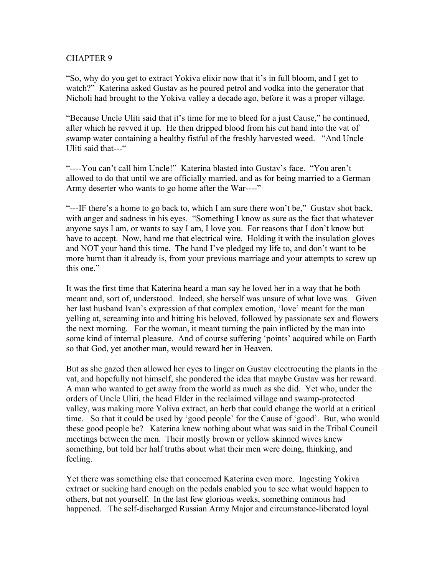"So, why do you get to extract Yokiva elixir now that it's in full bloom, and I get to watch?" Katerina asked Gustav as he poured petrol and vodka into the generator that Nicholi had brought to the Yokiva valley a decade ago, before it was a proper village.

"Because Uncle Uliti said that it's time for me to bleed for a just Cause," he continued, after which he revved it up. He then dripped blood from his cut hand into the vat of swamp water containing a healthy fistful of the freshly harvested weed. "And Uncle Uliti said that---"

"----You can't call him Uncle!" Katerina blasted into Gustav's face. "You aren't allowed to do that until we are officially married, and as for being married to a German Army deserter who wants to go home after the War----"

"---IF there's a home to go back to, which I am sure there won't be," Gustav shot back, with anger and sadness in his eyes. "Something I know as sure as the fact that whatever anyone says I am, or wants to say I am, I love you. For reasons that I don't know but have to accept. Now, hand me that electrical wire. Holding it with the insulation gloves and NOT your hand this time. The hand I've pledged my life to, and don't want to be more burnt than it already is, from your previous marriage and your attempts to screw up this one."

It was the first time that Katerina heard a man say he loved her in a way that he both meant and, sort of, understood. Indeed, she herself was unsure of what love was. Given her last husband Ivan's expression of that complex emotion, 'love' meant for the man yelling at, screaming into and hitting his beloved, followed by passionate sex and flowers the next morning. For the woman, it meant turning the pain inflicted by the man into some kind of internal pleasure. And of course suffering 'points' acquired while on Earth so that God, yet another man, would reward her in Heaven.

But as she gazed then allowed her eyes to linger on Gustav electrocuting the plants in the vat, and hopefully not himself, she pondered the idea that maybe Gustav was her reward. A man who wanted to get away from the world as much as she did. Yet who, under the orders of Uncle Uliti, the head Elder in the reclaimed village and swamp-protected valley, was making more Yoliva extract, an herb that could change the world at a critical time. So that it could be used by 'good people' for the Cause of 'good'. But, who would these good people be? Katerina knew nothing about what was said in the Tribal Council meetings between the men. Their mostly brown or yellow skinned wives knew something, but told her half truths about what their men were doing, thinking, and feeling.

Yet there was something else that concerned Katerina even more. Ingesting Yokiva extract or sucking hard enough on the pedals enabled you to see what would happen to others, but not yourself. In the last few glorious weeks, something ominous had happened. The self-discharged Russian Army Major and circumstance-liberated loyal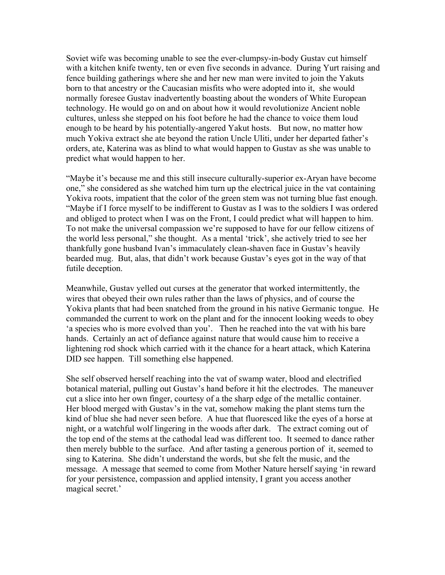Soviet wife was becoming unable to see the ever-clumpsy-in-body Gustav cut himself with a kitchen knife twenty, ten or even five seconds in advance. During Yurt raising and fence building gatherings where she and her new man were invited to join the Yakuts born to that ancestry or the Caucasian misfits who were adopted into it, she would normally foresee Gustav inadvertently boasting about the wonders of White European technology. He would go on and on about how it would revolutionize Ancient noble cultures, unless she stepped on his foot before he had the chance to voice them loud enough to be heard by his potentially-angered Yakut hosts. But now, no matter how much Yokiva extract she ate beyond the ration Uncle Uliti, under her departed father's orders, ate, Katerina was as blind to what would happen to Gustav as she was unable to predict what would happen to her.

"Maybe it's because me and this still insecure culturally-superior ex-Aryan have become one," she considered as she watched him turn up the electrical juice in the vat containing Yokiva roots, impatient that the color of the green stem was not turning blue fast enough. "Maybe if I force myself to be indifferent to Gustav as I was to the soldiers I was ordered and obliged to protect when I was on the Front, I could predict what will happen to him. To not make the universal compassion we're supposed to have for our fellow citizens of the world less personal," she thought. As a mental 'trick', she actively tried to see her thankfully gone husband Ivan's immaculately clean-shaven face in Gustav's heavily bearded mug. But, alas, that didn't work because Gustav's eyes got in the way of that futile deception.

Meanwhile, Gustav yelled out curses at the generator that worked intermittently, the wires that obeyed their own rules rather than the laws of physics, and of course the Yokiva plants that had been snatched from the ground in his native Germanic tongue. He commanded the current to work on the plant and for the innocent looking weeds to obey 'a species who is more evolved than you'. Then he reached into the vat with his bare hands. Certainly an act of defiance against nature that would cause him to receive a lightening rod shock which carried with it the chance for a heart attack, which Katerina DID see happen. Till something else happened.

She self observed herself reaching into the vat of swamp water, blood and electrified botanical material, pulling out Gustav's hand before it hit the electrodes. The maneuver cut a slice into her own finger, courtesy of a the sharp edge of the metallic container. Her blood merged with Gustav's in the vat, somehow making the plant stems turn the kind of blue she had never seen before. A hue that fluoresced like the eyes of a horse at night, or a watchful wolf lingering in the woods after dark. The extract coming out of the top end of the stems at the cathodal lead was different too. It seemed to dance rather then merely bubble to the surface. And after tasting a generous portion of it, seemed to sing to Katerina. She didn't understand the words, but she felt the music, and the message. A message that seemed to come from Mother Nature herself saying 'in reward for your persistence, compassion and applied intensity, I grant you access another magical secret.'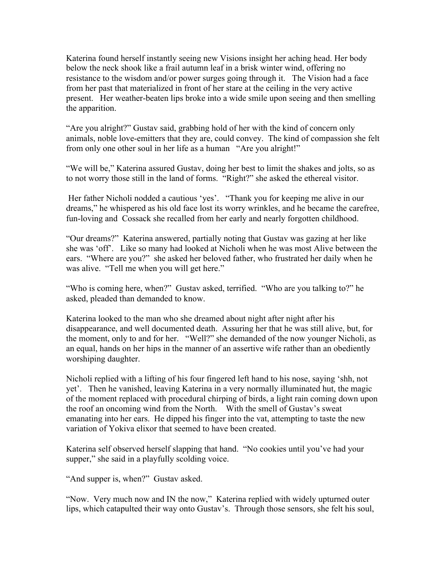Katerina found herself instantly seeing new Visions insight her aching head. Her body below the neck shook like a frail autumn leaf in a brisk winter wind, offering no resistance to the wisdom and/or power surges going through it. The Vision had a face from her past that materialized in front of her stare at the ceiling in the very active present. Her weather-beaten lips broke into a wide smile upon seeing and then smelling the apparition.

"Are you alright?" Gustav said, grabbing hold of her with the kind of concern only animals, noble love-emitters that they are, could convey. The kind of compassion she felt from only one other soul in her life as a human "Are you alright!"

"We will be," Katerina assured Gustav, doing her best to limit the shakes and jolts, so as to not worry those still in the land of forms. "Right?" she asked the ethereal visitor.

Her father Nicholi nodded a cautious 'yes'. "Thank you for keeping me alive in our dreams," he whispered as his old face lost its worry wrinkles, and he became the carefree, fun-loving and Cossack she recalled from her early and nearly forgotten childhood.

"Our dreams?" Katerina answered, partially noting that Gustav was gazing at her like she was 'off'. Like so many had looked at Nicholi when he was most Alive between the ears. "Where are you?" she asked her beloved father, who frustrated her daily when he was alive. "Tell me when you will get here."

"Who is coming here, when?" Gustav asked, terrified. "Who are you talking to?" he asked, pleaded than demanded to know.

Katerina looked to the man who she dreamed about night after night after his disappearance, and well documented death. Assuring her that he was still alive, but, for the moment, only to and for her. "Well?" she demanded of the now younger Nicholi, as an equal, hands on her hips in the manner of an assertive wife rather than an obediently worshiping daughter.

Nicholi replied with a lifting of his four fingered left hand to his nose, saying 'shh, not yet'. Then he vanished, leaving Katerina in a very normally illuminated hut, the magic of the moment replaced with procedural chirping of birds, a light rain coming down upon the roof an oncoming wind from the North. With the smell of Gustav's sweat emanating into her ears. He dipped his finger into the vat, attempting to taste the new variation of Yokiva elixor that seemed to have been created.

Katerina self observed herself slapping that hand. "No cookies until you've had your supper," she said in a playfully scolding voice.

"And supper is, when?" Gustav asked.

"Now. Very much now and IN the now," Katerina replied with widely upturned outer lips, which catapulted their way onto Gustav's. Through those sensors, she felt his soul,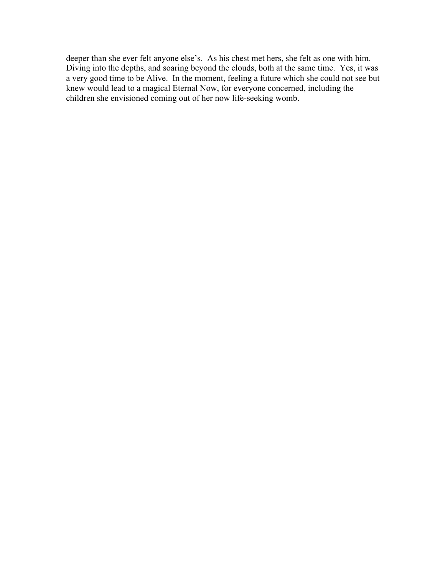deeper than she ever felt anyone else's. As his chest met hers, she felt as one with him. Diving into the depths, and soaring beyond the clouds, both at the same time. Yes, it was a very good time to be Alive. In the moment, feeling a future which she could not see but knew would lead to a magical Eternal Now, for everyone concerned, including the children she envisioned coming out of her now life-seeking womb.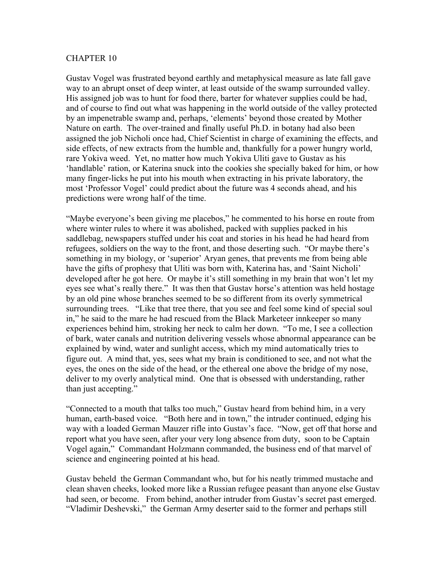Gustav Vogel was frustrated beyond earthly and metaphysical measure as late fall gave way to an abrupt onset of deep winter, at least outside of the swamp surrounded valley. His assigned job was to hunt for food there, barter for whatever supplies could be had, and of course to find out what was happening in the world outside of the valley protected by an impenetrable swamp and, perhaps, 'elements' beyond those created by Mother Nature on earth. The over-trained and finally useful Ph.D. in botany had also been assigned the job Nicholi once had, Chief Scientist in charge of examining the effects, and side effects, of new extracts from the humble and, thankfully for a power hungry world, rare Yokiva weed. Yet, no matter how much Yokiva Uliti gave to Gustav as his 'handlable' ration, or Katerina snuck into the cookies she specially baked for him, or how many finger-licks he put into his mouth when extracting in his private laboratory, the most 'Professor Vogel' could predict about the future was 4 seconds ahead, and his predictions were wrong half of the time.

"Maybe everyone's been giving me placebos," he commented to his horse en route from where winter rules to where it was abolished, packed with supplies packed in his saddlebag, newspapers stuffed under his coat and stories in his head he had heard from refugees, soldiers on the way to the front, and those deserting such. "Or maybe there's something in my biology, or 'superior' Aryan genes, that prevents me from being able have the gifts of prophesy that Uliti was born with, Katerina has, and 'Saint Nicholi' developed after he got here. Or maybe it's still something in my brain that won't let my eyes see what's really there." It was then that Gustav horse's attention was held hostage by an old pine whose branches seemed to be so different from its overly symmetrical surrounding trees. "Like that tree there, that you see and feel some kind of special soul in," he said to the mare he had rescued from the Black Marketeer innkeeper so many experiences behind him, stroking her neck to calm her down. "To me, I see a collection of bark, water canals and nutrition delivering vessels whose abnormal appearance can be explained by wind, water and sunlight access, which my mind automatically tries to figure out. A mind that, yes, sees what my brain is conditioned to see, and not what the eyes, the ones on the side of the head, or the ethereal one above the bridge of my nose, deliver to my overly analytical mind. One that is obsessed with understanding, rather than just accepting."

"Connected to a mouth that talks too much," Gustav heard from behind him, in a very human, earth-based voice. "Both here and in town," the intruder continued, edging his way with a loaded German Mauzer rifle into Gustav's face. "Now, get off that horse and report what you have seen, after your very long absence from duty, soon to be Captain Vogel again," Commandant Holzmann commanded, the business end of that marvel of science and engineering pointed at his head.

Gustav beheld the German Commandant who, but for his neatly trimmed mustache and clean shaven cheeks, looked more like a Russian refugee peasant than anyone else Gustav had seen, or become. From behind, another intruder from Gustav's secret past emerged. "Vladimir Deshevski," the German Army deserter said to the former and perhaps still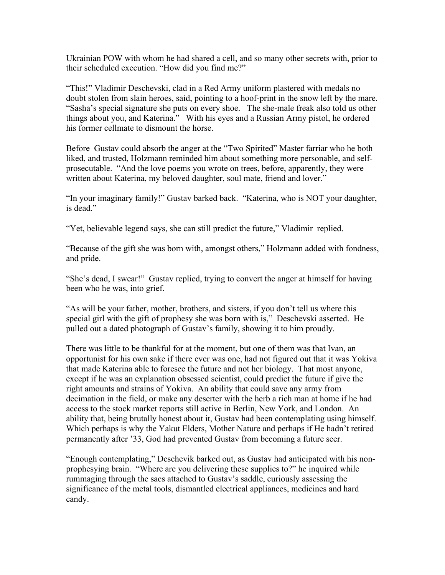Ukrainian POW with whom he had shared a cell, and so many other secrets with, prior to their scheduled execution. "How did you find me?"

"This!" Vladimir Deschevski, clad in a Red Army uniform plastered with medals no doubt stolen from slain heroes, said, pointing to a hoof-print in the snow left by the mare. "Sasha's special signature she puts on every shoe. The she-male freak also told us other things about you, and Katerina." With his eyes and a Russian Army pistol, he ordered his former cellmate to dismount the horse.

Before Gustav could absorb the anger at the "Two Spirited" Master farriar who he both liked, and trusted, Holzmann reminded him about something more personable, and selfprosecutable. "And the love poems you wrote on trees, before, apparently, they were written about Katerina, my beloved daughter, soul mate, friend and lover."

"In your imaginary family!" Gustav barked back. "Katerina, who is NOT your daughter, is dead."

"Yet, believable legend says, she can still predict the future," Vladimir replied.

"Because of the gift she was born with, amongst others," Holzmann added with fondness, and pride.

"She's dead, I swear!" Gustav replied, trying to convert the anger at himself for having been who he was, into grief.

"As will be your father, mother, brothers, and sisters, if you don't tell us where this special girl with the gift of prophesy she was born with is," Deschevski asserted. He pulled out a dated photograph of Gustav's family, showing it to him proudly.

There was little to be thankful for at the moment, but one of them was that Ivan, an opportunist for his own sake if there ever was one, had not figured out that it was Yokiva that made Katerina able to foresee the future and not her biology. That most anyone, except if he was an explanation obsessed scientist, could predict the future if give the right amounts and strains of Yokiva. An ability that could save any army from decimation in the field, or make any deserter with the herb a rich man at home if he had access to the stock market reports still active in Berlin, New York, and London. An ability that, being brutally honest about it, Gustav had been contemplating using himself. Which perhaps is why the Yakut Elders, Mother Nature and perhaps if He hadn't retired permanently after '33, God had prevented Gustav from becoming a future seer.

"Enough contemplating," Deschevik barked out, as Gustav had anticipated with his nonprophesying brain. "Where are you delivering these supplies to?" he inquired while rummaging through the sacs attached to Gustav's saddle, curiously assessing the significance of the metal tools, dismantled electrical appliances, medicines and hard candy.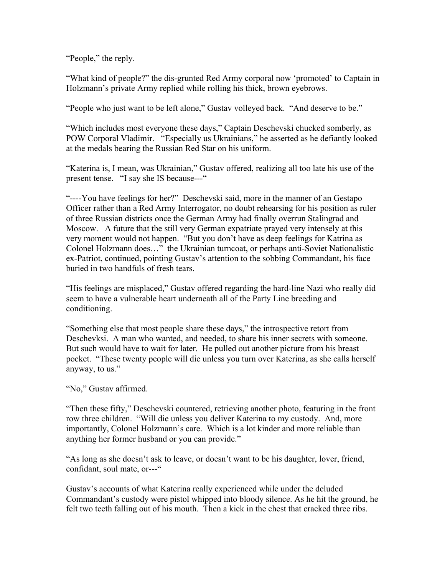"People," the reply.

"What kind of people?" the dis-grunted Red Army corporal now 'promoted' to Captain in Holzmann's private Army replied while rolling his thick, brown eyebrows.

"People who just want to be left alone," Gustav volleyed back. "And deserve to be."

"Which includes most everyone these days," Captain Deschevski chucked somberly, as POW Corporal Vladimir. "Especially us Ukrainians," he asserted as he defiantly looked at the medals bearing the Russian Red Star on his uniform.

"Katerina is, I mean, was Ukrainian," Gustav offered, realizing all too late his use of the present tense. "I say she IS because---"

"----You have feelings for her?" Deschevski said, more in the manner of an Gestapo Officer rather than a Red Army Interrogator, no doubt rehearsing for his position as ruler of three Russian districts once the German Army had finally overrun Stalingrad and Moscow. A future that the still very German expatriate prayed very intensely at this very moment would not happen. "But you don't have as deep feelings for Katrina as Colonel Holzmann does…" the Ukrainian turncoat, or perhaps anti-Soviet Nationalistic ex-Patriot, continued, pointing Gustav's attention to the sobbing Commandant, his face buried in two handfuls of fresh tears.

"His feelings are misplaced," Gustav offered regarding the hard-line Nazi who really did seem to have a vulnerable heart underneath all of the Party Line breeding and conditioning.

"Something else that most people share these days," the introspective retort from Deschevksi. A man who wanted, and needed, to share his inner secrets with someone. But such would have to wait for later. He pulled out another picture from his breast pocket. "These twenty people will die unless you turn over Katerina, as she calls herself anyway, to us."

"No," Gustav affirmed.

"Then these fifty," Deschevski countered, retrieving another photo, featuring in the front row three children. "Will die unless you deliver Katerina to my custody. And, more importantly, Colonel Holzmann's care. Which is a lot kinder and more reliable than anything her former husband or you can provide."

"As long as she doesn't ask to leave, or doesn't want to be his daughter, lover, friend, confidant, soul mate, or---"

Gustav's accounts of what Katerina really experienced while under the deluded Commandant's custody were pistol whipped into bloody silence. As he hit the ground, he felt two teeth falling out of his mouth. Then a kick in the chest that cracked three ribs.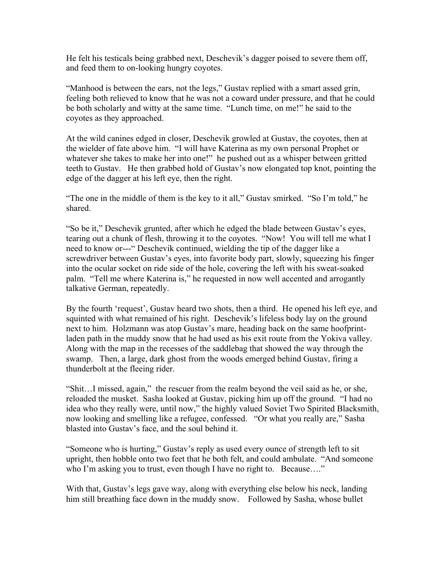He felt his testicals being grabbed next, Deschevik's dagger poised to severe them off, and feed them to on-looking hungry coyotes.

"Manhood is between the ears, not the legs," Gustav replied with a smart assed grin, feeling both relieved to know that he was not a coward under pressure, and that he could be both scholarly and witty at the same time. "Lunch time, on me!" he said to the coyotes as they approached.

At the wild canines edged in closer, Deschevik growled at Gustav, the coyotes, then at the wielder of fate above him. "I will have Katerina as my own personal Prophet or whatever she takes to make her into one!" he pushed out as a whisper between gritted teeth to Gustav. He then grabbed hold of Gustav's now elongated top knot, pointing the edge of the dagger at his left eye, then the right.

"The one in the middle of them is the key to it all," Gustav smirked. "So I'm told," he shared.

"So be it," Deschevik grunted, after which he edged the blade between Gustav's eyes, tearing out a chunk of flesh, throwing it to the coyotes. "Now! You will tell me what I need to know or---" Deschevik continued, wielding the tip of the dagger like a screwdriver between Gustav's eyes, into favorite body part, slowly, squeezing his finger into the ocular socket on ride side of the hole, covering the left with his sweat-soaked palm. "Tell me where Katerina is," he requested in now well accented and arrogantly talkative German, repeatedly.

By the fourth 'request', Gustav heard two shots, then a third. He opened his left eye, and squinted with what remained of his right. Deschevik's lifeless body lay on the ground next to him. Holzmann was atop Gustav's mare, heading back on the same hoofprintladen path in the muddy snow that he had used as his exit route from the Yokiva valley. Along with the map in the recesses of the saddlebag that showed the way through the swamp. Then, a large, dark ghost from the woods emerged behind Gustav, firing a thunderbolt at the fleeing rider.

"Shit…I missed, again," the rescuer from the realm beyond the veil said as he, or she, reloaded the musket. Sasha looked at Gustav, picking him up off the ground. "I had no idea who they really were, until now," the highly valued Soviet Two Spirited Blacksmith, now looking and smelling like a refugee, confessed. "Or what you really are," Sasha blasted into Gustav's face, and the soul behind it.

"Someone who is hurting," Gustav's reply as used every ounce of strength left to sit upright, then hobble onto two feet that he both felt, and could ambulate. "And someone who I'm asking you to trust, even though I have no right to. Because...."

With that, Gustav's legs gave way, along with everything else below his neck, landing him still breathing face down in the muddy snow. Followed by Sasha, whose bullet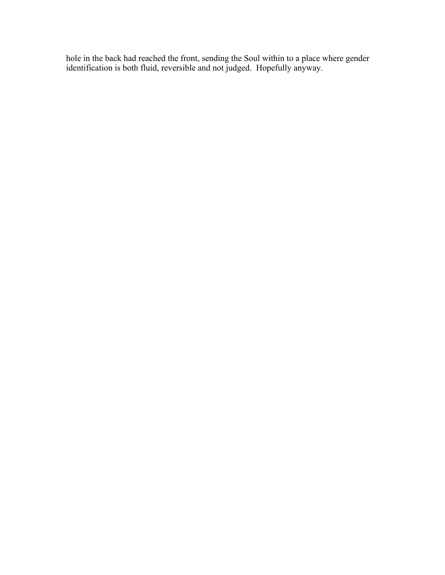hole in the back had reached the front, sending the Soul within to a place where gender identification is both fluid, reversible and not judged. Hopefully anyway.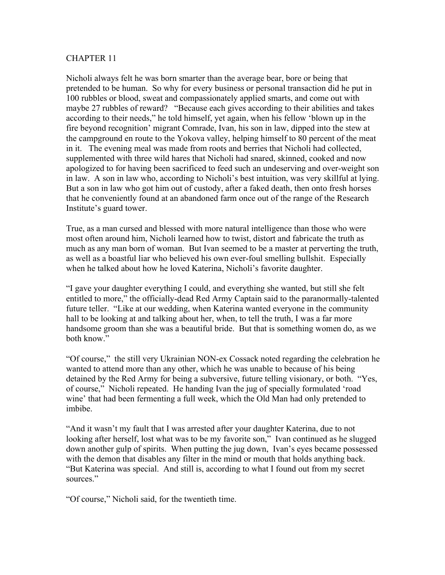Nicholi always felt he was born smarter than the average bear, bore or being that pretended to be human. So why for every business or personal transaction did he put in 100 rubbles or blood, sweat and compassionately applied smarts, and come out with maybe 27 rubbles of reward? "Because each gives according to their abilities and takes according to their needs," he told himself, yet again, when his fellow 'blown up in the fire beyond recognition' migrant Comrade, Ivan, his son in law, dipped into the stew at the campground en route to the Yokova valley, helping himself to 80 percent of the meat in it. The evening meal was made from roots and berries that Nicholi had collected, supplemented with three wild hares that Nicholi had snared, skinned, cooked and now apologized to for having been sacrificed to feed such an undeserving and over-weight son in law. A son in law who, according to Nicholi's best intuition, was very skillful at lying. But a son in law who got him out of custody, after a faked death, then onto fresh horses that he conveniently found at an abandoned farm once out of the range of the Research Institute's guard tower.

True, as a man cursed and blessed with more natural intelligence than those who were most often around him, Nicholi learned how to twist, distort and fabricate the truth as much as any man born of woman. But Ivan seemed to be a master at perverting the truth, as well as a boastful liar who believed his own ever-foul smelling bullshit. Especially when he talked about how he loved Katerina, Nicholi's favorite daughter.

"I gave your daughter everything I could, and everything she wanted, but still she felt entitled to more," the officially-dead Red Army Captain said to the paranormally-talented future teller. "Like at our wedding, when Katerina wanted everyone in the community hall to be looking at and talking about her, when, to tell the truth, I was a far more handsome groom than she was a beautiful bride. But that is something women do, as we both know."

"Of course," the still very Ukrainian NON-ex Cossack noted regarding the celebration he wanted to attend more than any other, which he was unable to because of his being detained by the Red Army for being a subversive, future telling visionary, or both. "Yes, of course," Nicholi repeated. He handing Ivan the jug of specially formulated 'road wine' that had been fermenting a full week, which the Old Man had only pretended to imbibe.

"And it wasn't my fault that I was arrested after your daughter Katerina, due to not looking after herself, lost what was to be my favorite son," Ivan continued as he slugged down another gulp of spirits. When putting the jug down, Ivan's eyes became possessed with the demon that disables any filter in the mind or mouth that holds anything back. "But Katerina was special. And still is, according to what I found out from my secret sources."

"Of course," Nicholi said, for the twentieth time.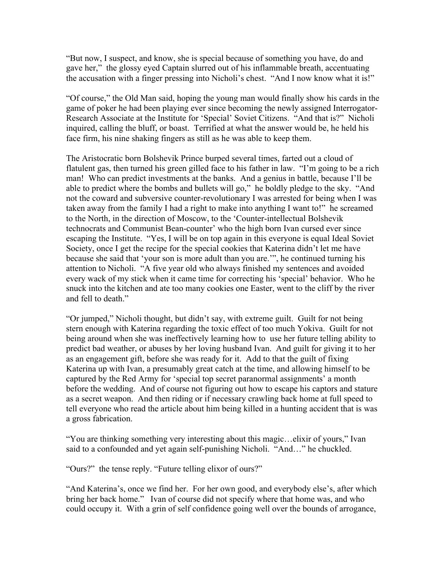"But now, I suspect, and know, she is special because of something you have, do and gave her," the glossy eyed Captain slurred out of his inflammable breath, accentuating the accusation with a finger pressing into Nicholi's chest. "And I now know what it is!"

"Of course," the Old Man said, hoping the young man would finally show his cards in the game of poker he had been playing ever since becoming the newly assigned Interrogator-Research Associate at the Institute for 'Special' Soviet Citizens. "And that is?" Nicholi inquired, calling the bluff, or boast. Terrified at what the answer would be, he held his face firm, his nine shaking fingers as still as he was able to keep them.

The Aristocratic born Bolshevik Prince burped several times, farted out a cloud of flatulent gas, then turned his green gilled face to his father in law. "I'm going to be a rich man! Who can predict investments at the banks. And a genius in battle, because I'll be able to predict where the bombs and bullets will go," he boldly pledge to the sky. "And not the coward and subversive counter-revolutionary I was arrested for being when I was taken away from the family I had a right to make into anything I want to!" he screamed to the North, in the direction of Moscow, to the 'Counter-intellectual Bolshevik technocrats and Communist Bean-counter' who the high born Ivan cursed ever since escaping the Institute. "Yes, I will be on top again in this everyone is equal Ideal Soviet Society, once I get the recipe for the special cookies that Katerina didn't let me have because she said that 'your son is more adult than you are.'", he continued turning his attention to Nicholi. "A five year old who always finished my sentences and avoided every wack of my stick when it came time for correcting his 'special' behavior. Who he snuck into the kitchen and ate too many cookies one Easter, went to the cliff by the river and fell to death."

"Or jumped," Nicholi thought, but didn't say, with extreme guilt. Guilt for not being stern enough with Katerina regarding the toxic effect of too much Yokiva. Guilt for not being around when she was ineffectively learning how to use her future telling ability to predict bad weather, or abuses by her loving husband Ivan. And guilt for giving it to her as an engagement gift, before she was ready for it. Add to that the guilt of fixing Katerina up with Ivan, a presumably great catch at the time, and allowing himself to be captured by the Red Army for 'special top secret paranormal assignments' a month before the wedding. And of course not figuring out how to escape his captors and stature as a secret weapon. And then riding or if necessary crawling back home at full speed to tell everyone who read the article about him being killed in a hunting accident that is was a gross fabrication.

"You are thinking something very interesting about this magic…elixir of yours," Ivan said to a confounded and yet again self-punishing Nicholi. "And…" he chuckled.

"Ours?" the tense reply. "Future telling elixor of ours?"

"And Katerina's, once we find her. For her own good, and everybody else's, after which bring her back home." Ivan of course did not specify where that home was, and who could occupy it. With a grin of self confidence going well over the bounds of arrogance,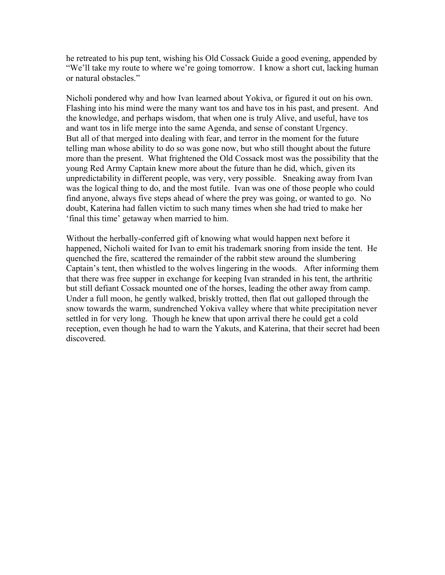he retreated to his pup tent, wishing his Old Cossack Guide a good evening, appended by "We'll take my route to where we're going tomorrow. I know a short cut, lacking human or natural obstacles."

Nicholi pondered why and how Ivan learned about Yokiva, or figured it out on his own. Flashing into his mind were the many want tos and have tos in his past, and present. And the knowledge, and perhaps wisdom, that when one is truly Alive, and useful, have tos and want tos in life merge into the same Agenda, and sense of constant Urgency. But all of that merged into dealing with fear, and terror in the moment for the future telling man whose ability to do so was gone now, but who still thought about the future more than the present. What frightened the Old Cossack most was the possibility that the young Red Army Captain knew more about the future than he did, which, given its unpredictability in different people, was very, very possible. Sneaking away from Ivan was the logical thing to do, and the most futile. Ivan was one of those people who could find anyone, always five steps ahead of where the prey was going, or wanted to go. No doubt, Katerina had fallen victim to such many times when she had tried to make her 'final this time' getaway when married to him.

Without the herbally-conferred gift of knowing what would happen next before it happened, Nicholi waited for Ivan to emit his trademark snoring from inside the tent. He quenched the fire, scattered the remainder of the rabbit stew around the slumbering Captain's tent, then whistled to the wolves lingering in the woods. After informing them that there was free supper in exchange for keeping Ivan stranded in his tent, the arthritic but still defiant Cossack mounted one of the horses, leading the other away from camp. Under a full moon, he gently walked, briskly trotted, then flat out galloped through the snow towards the warm, sundrenched Yokiva valley where that white precipitation never settled in for very long. Though he knew that upon arrival there he could get a cold reception, even though he had to warn the Yakuts, and Katerina, that their secret had been discovered.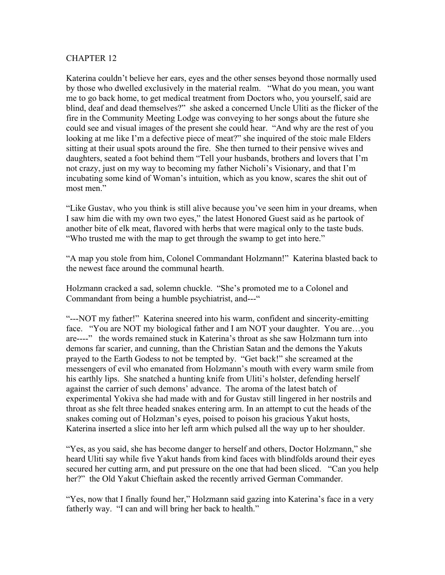Katerina couldn't believe her ears, eyes and the other senses beyond those normally used by those who dwelled exclusively in the material realm. "What do you mean, you want me to go back home, to get medical treatment from Doctors who, you yourself, said are blind, deaf and dead themselves?" she asked a concerned Uncle Uliti as the flicker of the fire in the Community Meeting Lodge was conveying to her songs about the future she could see and visual images of the present she could hear. "And why are the rest of you looking at me like I'm a defective piece of meat?" she inquired of the stoic male Elders sitting at their usual spots around the fire. She then turned to their pensive wives and daughters, seated a foot behind them "Tell your husbands, brothers and lovers that I'm not crazy, just on my way to becoming my father Nicholi's Visionary, and that I'm incubating some kind of Woman's intuition, which as you know, scares the shit out of most men."

"Like Gustav, who you think is still alive because you've seen him in your dreams, when I saw him die with my own two eyes," the latest Honored Guest said as he partook of another bite of elk meat, flavored with herbs that were magical only to the taste buds. "Who trusted me with the map to get through the swamp to get into here."

"A map you stole from him, Colonel Commandant Holzmann!" Katerina blasted back to the newest face around the communal hearth.

Holzmann cracked a sad, solemn chuckle. "She's promoted me to a Colonel and Commandant from being a humble psychiatrist, and---"

"---NOT my father!" Katerina sneered into his warm, confident and sincerity-emitting face. "You are NOT my biological father and I am NOT your daughter. You are…you are----" the words remained stuck in Katerina's throat as she saw Holzmann turn into demons far scarier, and cunning, than the Christian Satan and the demons the Yakuts prayed to the Earth Godess to not be tempted by. "Get back!" she screamed at the messengers of evil who emanated from Holzmann's mouth with every warm smile from his earthly lips. She snatched a hunting knife from Uliti's holster, defending herself against the carrier of such demons' advance. The aroma of the latest batch of experimental Yokiva she had made with and for Gustav still lingered in her nostrils and throat as she felt three headed snakes entering arm. In an attempt to cut the heads of the snakes coming out of Holzman's eyes, poised to poison his gracious Yakut hosts, Katerina inserted a slice into her left arm which pulsed all the way up to her shoulder.

"Yes, as you said, she has become danger to herself and others, Doctor Holzmann," she heard Uliti say while five Yakut hands from kind faces with blindfolds around their eyes secured her cutting arm, and put pressure on the one that had been sliced. "Can you help her?" the Old Yakut Chieftain asked the recently arrived German Commander.

"Yes, now that I finally found her," Holzmann said gazing into Katerina's face in a very fatherly way. "I can and will bring her back to health."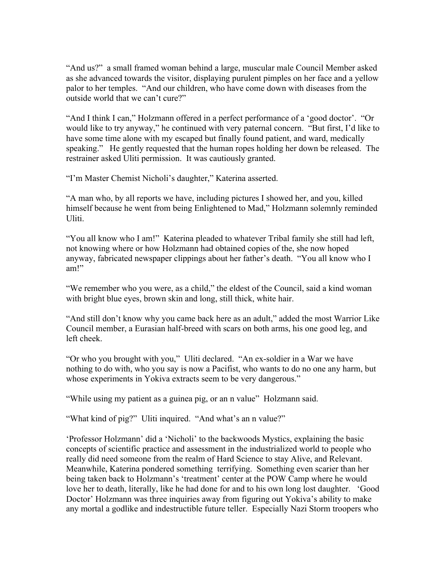"And us?" a small framed woman behind a large, muscular male Council Member asked as she advanced towards the visitor, displaying purulent pimples on her face and a yellow palor to her temples. "And our children, who have come down with diseases from the outside world that we can't cure?"

"And I think I can," Holzmann offered in a perfect performance of a 'good doctor'. "Or would like to try anyway," he continued with very paternal concern. "But first, I'd like to have some time alone with my escaped but finally found patient, and ward, medically speaking." He gently requested that the human ropes holding her down be released. The restrainer asked Uliti permission. It was cautiously granted.

"I'm Master Chemist Nicholi's daughter," Katerina asserted.

"A man who, by all reports we have, including pictures I showed her, and you, killed himself because he went from being Enlightened to Mad," Holzmann solemnly reminded Uliti.

"You all know who I am!" Katerina pleaded to whatever Tribal family she still had left, not knowing where or how Holzmann had obtained copies of the, she now hoped anyway, fabricated newspaper clippings about her father's death. "You all know who I am!"

"We remember who you were, as a child," the eldest of the Council, said a kind woman with bright blue eyes, brown skin and long, still thick, white hair.

"And still don't know why you came back here as an adult," added the most Warrior Like Council member, a Eurasian half-breed with scars on both arms, his one good leg, and left cheek.

"Or who you brought with you," Uliti declared. "An ex-soldier in a War we have nothing to do with, who you say is now a Pacifist, who wants to do no one any harm, but whose experiments in Yokiva extracts seem to be very dangerous."

"While using my patient as a guinea pig, or an n value" Holzmann said.

"What kind of pig?" Uliti inquired. "And what's an n value?"

'Professor Holzmann' did a 'Nicholi' to the backwoods Mystics, explaining the basic concepts of scientific practice and assessment in the industrialized world to people who really did need someone from the realm of Hard Science to stay Alive, and Relevant. Meanwhile, Katerina pondered something terrifying. Something even scarier than her being taken back to Holzmann's 'treatment' center at the POW Camp where he would love her to death, literally, like he had done for and to his own long lost daughter. 'Good Doctor' Holzmann was three inquiries away from figuring out Yokiva's ability to make any mortal a godlike and indestructible future teller. Especially Nazi Storm troopers who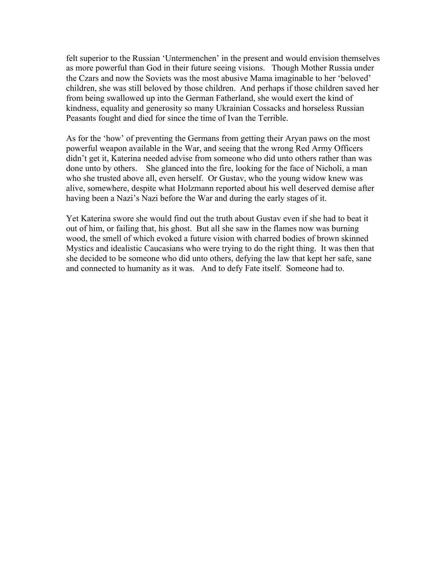felt superior to the Russian 'Untermenchen' in the present and would envision themselves as more powerful than God in their future seeing visions. Though Mother Russia under the Czars and now the Soviets was the most abusive Mama imaginable to her 'beloved' children, she was still beloved by those children. And perhaps if those children saved her from being swallowed up into the German Fatherland, she would exert the kind of kindness, equality and generosity so many Ukrainian Cossacks and horseless Russian Peasants fought and died for since the time of Ivan the Terrible.

As for the 'how' of preventing the Germans from getting their Aryan paws on the most powerful weapon available in the War, and seeing that the wrong Red Army Officers didn't get it, Katerina needed advise from someone who did unto others rather than was done unto by others. She glanced into the fire, looking for the face of Nicholi, a man who she trusted above all, even herself. Or Gustav, who the young widow knew was alive, somewhere, despite what Holzmann reported about his well deserved demise after having been a Nazi's Nazi before the War and during the early stages of it.

Yet Katerina swore she would find out the truth about Gustav even if she had to beat it out of him, or failing that, his ghost. But all she saw in the flames now was burning wood, the smell of which evoked a future vision with charred bodies of brown skinned Mystics and idealistic Caucasians who were trying to do the right thing. It was then that she decided to be someone who did unto others, defying the law that kept her safe, sane and connected to humanity as it was. And to defy Fate itself. Someone had to.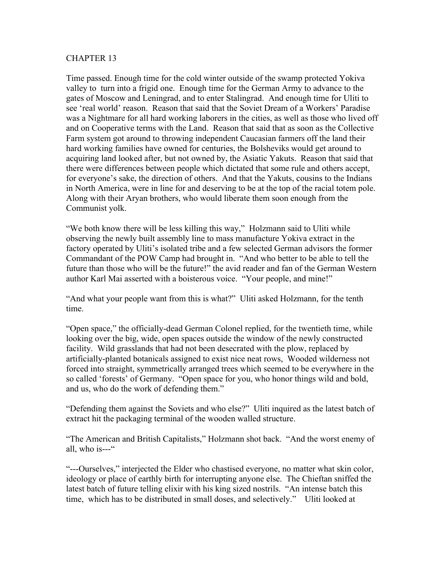Time passed. Enough time for the cold winter outside of the swamp protected Yokiva valley to turn into a frigid one. Enough time for the German Army to advance to the gates of Moscow and Leningrad, and to enter Stalingrad. And enough time for Uliti to see 'real world' reason. Reason that said that the Soviet Dream of a Workers' Paradise was a Nightmare for all hard working laborers in the cities, as well as those who lived off and on Cooperative terms with the Land. Reason that said that as soon as the Collective Farm system got around to throwing independent Caucasian farmers off the land their hard working families have owned for centuries, the Bolsheviks would get around to acquiring land looked after, but not owned by, the Asiatic Yakuts. Reason that said that there were differences between people which dictated that some rule and others accept, for everyone's sake, the direction of others. And that the Yakuts, cousins to the Indians in North America, were in line for and deserving to be at the top of the racial totem pole. Along with their Aryan brothers, who would liberate them soon enough from the Communist yolk.

"We both know there will be less killing this way," Holzmann said to Uliti while observing the newly built assembly line to mass manufacture Yokiva extract in the factory operated by Uliti's isolated tribe and a few selected German advisors the former Commandant of the POW Camp had brought in. "And who better to be able to tell the future than those who will be the future!" the avid reader and fan of the German Western author Karl Mai asserted with a boisterous voice. "Your people, and mine!"

"And what your people want from this is what?" Uliti asked Holzmann, for the tenth time.

"Open space," the officially-dead German Colonel replied, for the twentieth time, while looking over the big, wide, open spaces outside the window of the newly constructed facility. Wild grasslands that had not been desecrated with the plow, replaced by artificially-planted botanicals assigned to exist nice neat rows, Wooded wilderness not forced into straight, symmetrically arranged trees which seemed to be everywhere in the so called 'forests' of Germany. "Open space for you, who honor things wild and bold, and us, who do the work of defending them."

"Defending them against the Soviets and who else?" Uliti inquired as the latest batch of extract hit the packaging terminal of the wooden walled structure.

"The American and British Capitalists," Holzmann shot back. "And the worst enemy of all, who is- $-$ "

"---Ourselves," interjected the Elder who chastised everyone, no matter what skin color, ideology or place of earthly birth for interrupting anyone else. The Chieftan sniffed the latest batch of future telling elixir with his king sized nostrils. "An intense batch this time, which has to be distributed in small doses, and selectively." Uliti looked at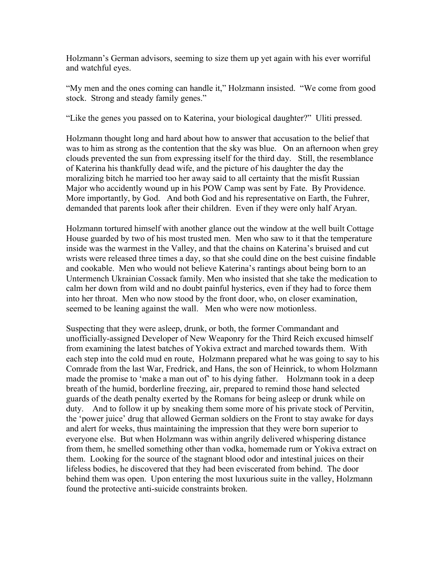Holzmann's German advisors, seeming to size them up yet again with his ever worriful and watchful eyes.

"My men and the ones coming can handle it," Holzmann insisted. "We come from good stock. Strong and steady family genes."

"Like the genes you passed on to Katerina, your biological daughter?" Uliti pressed.

Holzmann thought long and hard about how to answer that accusation to the belief that was to him as strong as the contention that the sky was blue. On an afternoon when grey clouds prevented the sun from expressing itself for the third day. Still, the resemblance of Katerina his thankfully dead wife, and the picture of his daughter the day the moralizing bitch he married too her away said to all certainty that the misfit Russian Major who accidently wound up in his POW Camp was sent by Fate. By Providence. More importantly, by God. And both God and his representative on Earth, the Fuhrer, demanded that parents look after their children. Even if they were only half Aryan.

Holzmann tortured himself with another glance out the window at the well built Cottage House guarded by two of his most trusted men. Men who saw to it that the temperature inside was the warmest in the Valley, and that the chains on Katerina's bruised and cut wrists were released three times a day, so that she could dine on the best cuisine findable and cookable. Men who would not believe Katerina's rantings about being born to an Untermench Ukrainian Cossack family. Men who insisted that she take the medication to calm her down from wild and no doubt painful hysterics, even if they had to force them into her throat. Men who now stood by the front door, who, on closer examination, seemed to be leaning against the wall. Men who were now motionless.

Suspecting that they were asleep, drunk, or both, the former Commandant and unofficially-assigned Developer of New Weaponry for the Third Reich excused himself from examining the latest batches of Yokiva extract and marched towards them. With each step into the cold mud en route, Holzmann prepared what he was going to say to his Comrade from the last War, Fredrick, and Hans, the son of Heinrick, to whom Holzmann made the promise to 'make a man out of' to his dying father. Holzmann took in a deep breath of the humid, borderline freezing, air, prepared to remind those hand selected guards of the death penalty exerted by the Romans for being asleep or drunk while on duty. And to follow it up by sneaking them some more of his private stock of Pervitin, the 'power juice' drug that allowed German soldiers on the Front to stay awake for days and alert for weeks, thus maintaining the impression that they were born superior to everyone else. But when Holzmann was within angrily delivered whispering distance from them, he smelled something other than vodka, homemade rum or Yokiva extract on them. Looking for the source of the stagnant blood odor and intestinal juices on their lifeless bodies, he discovered that they had been eviscerated from behind. The door behind them was open. Upon entering the most luxurious suite in the valley, Holzmann found the protective anti-suicide constraints broken.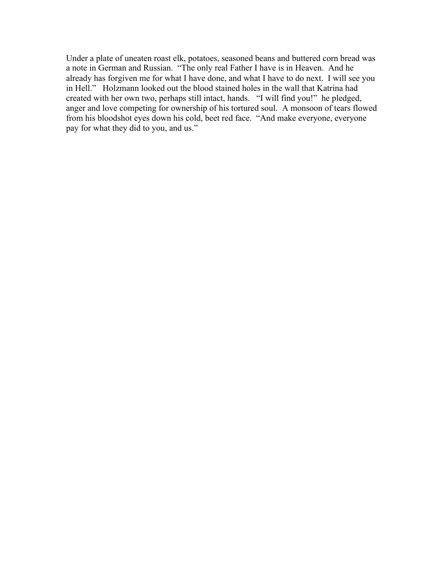Under a plate of uneaten roast elk, potatoes, seasoned beans and buttered corn bread was a note in German and Russian. "The only real Father I have is in Heaven. And he already has forgiven me for what I have done, and what I have to do next. I will see you in Hell." Holzmann looked out the blood stained holes in the wall that Katrina had created with her own two, perhaps still intact, hands. "I will find you!" he pledged, anger and love competing for ownership of his tortured soul. A monsoon of tears flowed from his bloodshot eyes down his cold, beet red face. "And make everyone, everyone pay for what they did to you, and us."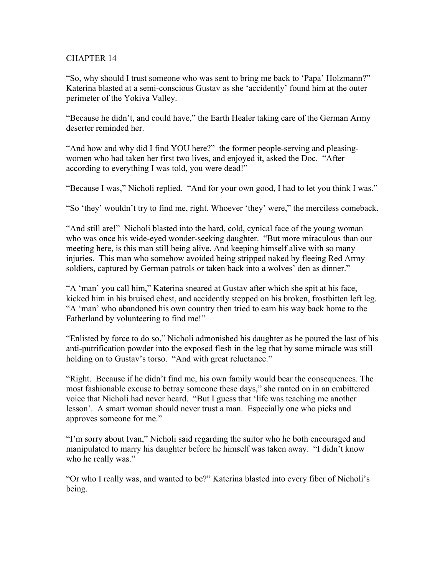"So, why should I trust someone who was sent to bring me back to 'Papa' Holzmann?" Katerina blasted at a semi-conscious Gustav as she 'accidently' found him at the outer perimeter of the Yokiva Valley.

"Because he didn't, and could have," the Earth Healer taking care of the German Army deserter reminded her.

"And how and why did I find YOU here?" the former people-serving and pleasingwomen who had taken her first two lives, and enjoyed it, asked the Doc. "After according to everything I was told, you were dead!"

"Because I was," Nicholi replied. "And for your own good, I had to let you think I was."

"So 'they' wouldn't try to find me, right. Whoever 'they' were," the merciless comeback.

"And still are!" Nicholi blasted into the hard, cold, cynical face of the young woman who was once his wide-eyed wonder-seeking daughter. "But more miraculous than our meeting here, is this man still being alive. And keeping himself alive with so many injuries. This man who somehow avoided being stripped naked by fleeing Red Army soldiers, captured by German patrols or taken back into a wolves' den as dinner."

"A 'man' you call him," Katerina sneared at Gustav after which she spit at his face, kicked him in his bruised chest, and accidently stepped on his broken, frostbitten left leg. "A 'man' who abandoned his own country then tried to earn his way back home to the Fatherland by volunteering to find me!"

"Enlisted by force to do so," Nicholi admonished his daughter as he poured the last of his anti-putrification powder into the exposed flesh in the leg that by some miracle was still holding on to Gustav's torso. "And with great reluctance."

"Right. Because if he didn't find me, his own family would bear the consequences. The most fashionable excuse to betray someone these days," she ranted on in an embittered voice that Nicholi had never heard. "But I guess that 'life was teaching me another lesson'. A smart woman should never trust a man. Especially one who picks and approves someone for me."

"I'm sorry about Ivan," Nicholi said regarding the suitor who he both encouraged and manipulated to marry his daughter before he himself was taken away. "I didn't know who he really was."

"Or who I really was, and wanted to be?" Katerina blasted into every fiber of Nicholi's being.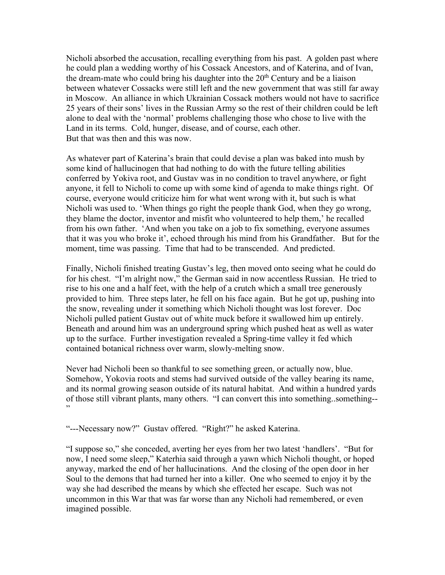Nicholi absorbed the accusation, recalling everything from his past. A golden past where he could plan a wedding worthy of his Cossack Ancestors, and of Katerina, and of Ivan, the dream-mate who could bring his daughter into the  $20<sup>th</sup>$  Century and be a liaison between whatever Cossacks were still left and the new government that was still far away in Moscow. An alliance in which Ukrainian Cossack mothers would not have to sacrifice 25 years of their sons' lives in the Russian Army so the rest of their children could be left alone to deal with the 'normal' problems challenging those who chose to live with the Land in its terms. Cold, hunger, disease, and of course, each other. But that was then and this was now.

As whatever part of Katerina's brain that could devise a plan was baked into mush by some kind of hallucinogen that had nothing to do with the future telling abilities conferred by Yokiva root, and Gustav was in no condition to travel anywhere, or fight anyone, it fell to Nicholi to come up with some kind of agenda to make things right. Of course, everyone would criticize him for what went wrong with it, but such is what Nicholi was used to. 'When things go right the people thank God, when they go wrong, they blame the doctor, inventor and misfit who volunteered to help them,' he recalled from his own father. 'And when you take on a job to fix something, everyone assumes that it was you who broke it', echoed through his mind from his Grandfather. But for the moment, time was passing. Time that had to be transcended. And predicted.

Finally, Nicholi finished treating Gustav's leg, then moved onto seeing what he could do for his chest. "I'm alright now," the German said in now accentless Russian. He tried to rise to his one and a half feet, with the help of a crutch which a small tree generously provided to him. Three steps later, he fell on his face again. But he got up, pushing into the snow, revealing under it something which Nicholi thought was lost forever. Doc Nicholi pulled patient Gustav out of white muck before it swallowed him up entirely. Beneath and around him was an underground spring which pushed heat as well as water up to the surface. Further investigation revealed a Spring-time valley it fed which contained botanical richness over warm, slowly-melting snow.

Never had Nicholi been so thankful to see something green, or actually now, blue. Somehow, Yokovia roots and stems had survived outside of the valley bearing its name, and its normal growing season outside of its natural habitat. And within a hundred yards of those still vibrant plants, many others. "I can convert this into something..something-- "

"---Necessary now?" Gustav offered. "Right?" he asked Katerina.

"I suppose so," she conceded, averting her eyes from her two latest 'handlers'. "But for now, I need some sleep," Katerhia said through a yawn which Nicholi thought, or hoped anyway, marked the end of her hallucinations. And the closing of the open door in her Soul to the demons that had turned her into a killer. One who seemed to enjoy it by the way she had described the means by which she effected her escape. Such was not uncommon in this War that was far worse than any Nicholi had remembered, or even imagined possible.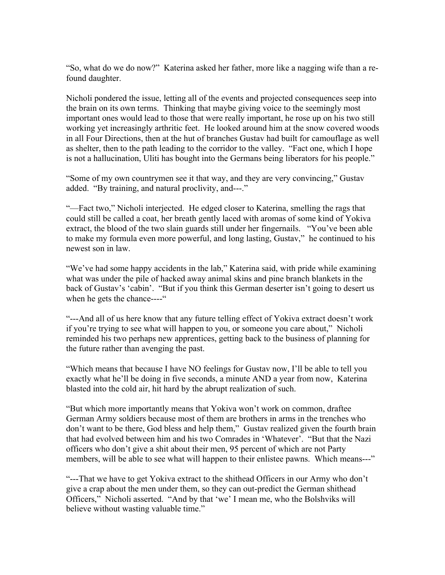"So, what do we do now?" Katerina asked her father, more like a nagging wife than a refound daughter.

Nicholi pondered the issue, letting all of the events and projected consequences seep into the brain on its own terms. Thinking that maybe giving voice to the seemingly most important ones would lead to those that were really important, he rose up on his two still working yet increasingly arthritic feet. He looked around him at the snow covered woods in all Four Directions, then at the hut of branches Gustav had built for camouflage as well as shelter, then to the path leading to the corridor to the valley. "Fact one, which I hope is not a hallucination, Uliti has bought into the Germans being liberators for his people."

"Some of my own countrymen see it that way, and they are very convincing," Gustav added. "By training, and natural proclivity, and---."

"—Fact two," Nicholi interjected. He edged closer to Katerina, smelling the rags that could still be called a coat, her breath gently laced with aromas of some kind of Yokiva extract, the blood of the two slain guards still under her fingernails. "You've been able to make my formula even more powerful, and long lasting, Gustav," he continued to his newest son in law.

"We've had some happy accidents in the lab," Katerina said, with pride while examining what was under the pile of hacked away animal skins and pine branch blankets in the back of Gustav's 'cabin'. "But if you think this German deserter isn't going to desert us when he gets the chance----"

"---And all of us here know that any future telling effect of Yokiva extract doesn't work if you're trying to see what will happen to you, or someone you care about," Nicholi reminded his two perhaps new apprentices, getting back to the business of planning for the future rather than avenging the past.

"Which means that because I have NO feelings for Gustav now, I'll be able to tell you exactly what he'll be doing in five seconds, a minute AND a year from now, Katerina blasted into the cold air, hit hard by the abrupt realization of such.

"But which more importantly means that Yokiva won't work on common, draftee German Army soldiers because most of them are brothers in arms in the trenches who don't want to be there, God bless and help them," Gustav realized given the fourth brain that had evolved between him and his two Comrades in 'Whatever'. "But that the Nazi officers who don't give a shit about their men, 95 percent of which are not Party members, will be able to see what will happen to their enlistee pawns. Which means---"

"---That we have to get Yokiva extract to the shithead Officers in our Army who don't give a crap about the men under them, so they can out-predict the German shithead Officers," Nicholi asserted. "And by that 'we' I mean me, who the Bolshviks will believe without wasting valuable time."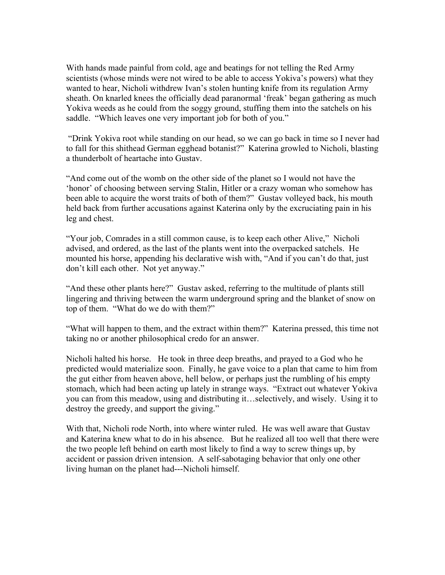With hands made painful from cold, age and beatings for not telling the Red Army scientists (whose minds were not wired to be able to access Yokiva's powers) what they wanted to hear, Nicholi withdrew Ivan's stolen hunting knife from its regulation Army sheath. On knarled knees the officially dead paranormal 'freak' began gathering as much Yokiva weeds as he could from the soggy ground, stuffing them into the satchels on his saddle. "Which leaves one very important job for both of you."

"Drink Yokiva root while standing on our head, so we can go back in time so I never had to fall for this shithead German egghead botanist?" Katerina growled to Nicholi, blasting a thunderbolt of heartache into Gustav.

"And come out of the womb on the other side of the planet so I would not have the 'honor' of choosing between serving Stalin, Hitler or a crazy woman who somehow has been able to acquire the worst traits of both of them?" Gustav volleyed back, his mouth held back from further accusations against Katerina only by the excruciating pain in his leg and chest.

"Your job, Comrades in a still common cause, is to keep each other Alive," Nicholi advised, and ordered, as the last of the plants went into the overpacked satchels. He mounted his horse, appending his declarative wish with, "And if you can't do that, just don't kill each other. Not yet anyway."

"And these other plants here?" Gustav asked, referring to the multitude of plants still lingering and thriving between the warm underground spring and the blanket of snow on top of them. "What do we do with them?"

"What will happen to them, and the extract within them?" Katerina pressed, this time not taking no or another philosophical credo for an answer.

Nicholi halted his horse. He took in three deep breaths, and prayed to a God who he predicted would materialize soon. Finally, he gave voice to a plan that came to him from the gut either from heaven above, hell below, or perhaps just the rumbling of his empty stomach, which had been acting up lately in strange ways. "Extract out whatever Yokiva you can from this meadow, using and distributing it…selectively, and wisely. Using it to destroy the greedy, and support the giving."

With that, Nicholi rode North, into where winter ruled. He was well aware that Gustav and Katerina knew what to do in his absence. But he realized all too well that there were the two people left behind on earth most likely to find a way to screw things up, by accident or passion driven intension. A self-sabotaging behavior that only one other living human on the planet had---Nicholi himself.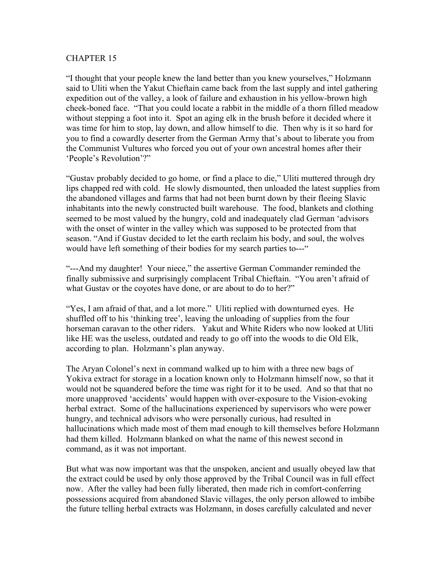"I thought that your people knew the land better than you knew yourselves," Holzmann said to Uliti when the Yakut Chieftain came back from the last supply and intel gathering expedition out of the valley, a look of failure and exhaustion in his yellow-brown high cheek-boned face. "That you could locate a rabbit in the middle of a thorn filled meadow without stepping a foot into it. Spot an aging elk in the brush before it decided where it was time for him to stop, lay down, and allow himself to die. Then why is it so hard for you to find a cowardly deserter from the German Army that's about to liberate you from the Communist Vultures who forced you out of your own ancestral homes after their 'People's Revolution'?"

"Gustav probably decided to go home, or find a place to die," Uliti muttered through dry lips chapped red with cold. He slowly dismounted, then unloaded the latest supplies from the abandoned villages and farms that had not been burnt down by their fleeing Slavic inhabitants into the newly constructed built warehouse. The food, blankets and clothing seemed to be most valued by the hungry, cold and inadequately clad German 'advisors with the onset of winter in the valley which was supposed to be protected from that season. "And if Gustav decided to let the earth reclaim his body, and soul, the wolves would have left something of their bodies for my search parties to---"

"---And my daughter! Your niece," the assertive German Commander reminded the finally submissive and surprisingly complacent Tribal Chieftain. "You aren't afraid of what Gustav or the coyotes have done, or are about to do to her?"

"Yes, I am afraid of that, and a lot more." Uliti replied with downturned eyes. He shuffled off to his 'thinking tree', leaving the unloading of supplies from the four horseman caravan to the other riders. Yakut and White Riders who now looked at Uliti like HE was the useless, outdated and ready to go off into the woods to die Old Elk, according to plan. Holzmann's plan anyway.

The Aryan Colonel's next in command walked up to him with a three new bags of Yokiva extract for storage in a location known only to Holzmann himself now, so that it would not be squandered before the time was right for it to be used. And so that that no more unapproved 'accidents' would happen with over-exposure to the Vision-evoking herbal extract. Some of the hallucinations experienced by supervisors who were power hungry, and technical advisors who were personally curious, had resulted in hallucinations which made most of them mad enough to kill themselves before Holzmann had them killed. Holzmann blanked on what the name of this newest second in command, as it was not important.

But what was now important was that the unspoken, ancient and usually obeyed law that the extract could be used by only those approved by the Tribal Council was in full effect now. After the valley had been fully liberated, then made rich in comfort-conferring possessions acquired from abandoned Slavic villages, the only person allowed to imbibe the future telling herbal extracts was Holzmann, in doses carefully calculated and never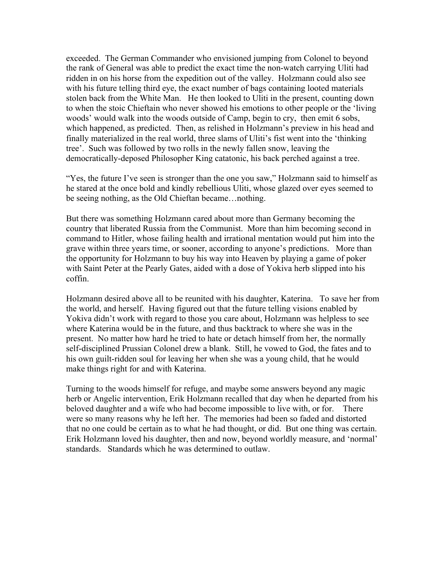exceeded. The German Commander who envisioned jumping from Colonel to beyond the rank of General was able to predict the exact time the non-watch carrying Uliti had ridden in on his horse from the expedition out of the valley. Holzmann could also see with his future telling third eye, the exact number of bags containing looted materials stolen back from the White Man. He then looked to Uliti in the present, counting down to when the stoic Chieftain who never showed his emotions to other people or the 'living woods' would walk into the woods outside of Camp, begin to cry, then emit 6 sobs, which happened, as predicted. Then, as relished in Holzmann's preview in his head and finally materialized in the real world, three slams of Uliti's fist went into the 'thinking tree'. Such was followed by two rolls in the newly fallen snow, leaving the democratically-deposed Philosopher King catatonic, his back perched against a tree.

"Yes, the future I've seen is stronger than the one you saw," Holzmann said to himself as he stared at the once bold and kindly rebellious Uliti, whose glazed over eyes seemed to be seeing nothing, as the Old Chieftan became…nothing.

But there was something Holzmann cared about more than Germany becoming the country that liberated Russia from the Communist. More than him becoming second in command to Hitler, whose failing health and irrational mentation would put him into the grave within three years time, or sooner, according to anyone's predictions. More than the opportunity for Holzmann to buy his way into Heaven by playing a game of poker with Saint Peter at the Pearly Gates, aided with a dose of Yokiva herb slipped into his coffin.

Holzmann desired above all to be reunited with his daughter, Katerina. To save her from the world, and herself. Having figured out that the future telling visions enabled by Yokiva didn't work with regard to those you care about, Holzmann was helpless to see where Katerina would be in the future, and thus backtrack to where she was in the present. No matter how hard he tried to hate or detach himself from her, the normally self-disciplined Prussian Colonel drew a blank. Still, he vowed to God, the fates and to his own guilt-ridden soul for leaving her when she was a young child, that he would make things right for and with Katerina.

Turning to the woods himself for refuge, and maybe some answers beyond any magic herb or Angelic intervention, Erik Holzmann recalled that day when he departed from his beloved daughter and a wife who had become impossible to live with, or for. There were so many reasons why he left her. The memories had been so faded and distorted that no one could be certain as to what he had thought, or did. But one thing was certain. Erik Holzmann loved his daughter, then and now, beyond worldly measure, and 'normal' standards. Standards which he was determined to outlaw.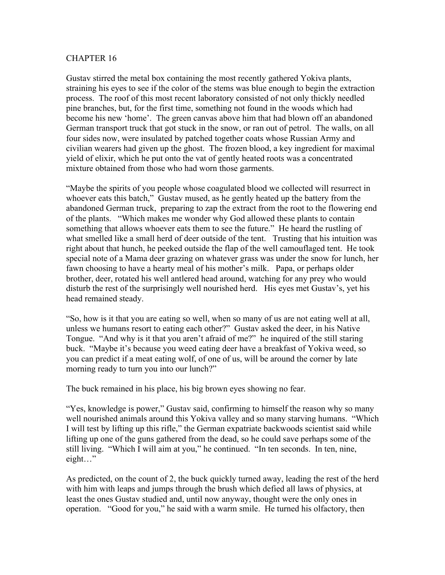Gustav stirred the metal box containing the most recently gathered Yokiva plants, straining his eyes to see if the color of the stems was blue enough to begin the extraction process. The roof of this most recent laboratory consisted of not only thickly needled pine branches, but, for the first time, something not found in the woods which had become his new 'home'. The green canvas above him that had blown off an abandoned German transport truck that got stuck in the snow, or ran out of petrol. The walls, on all four sides now, were insulated by patched together coats whose Russian Army and civilian wearers had given up the ghost. The frozen blood, a key ingredient for maximal yield of elixir, which he put onto the vat of gently heated roots was a concentrated mixture obtained from those who had worn those garments.

"Maybe the spirits of you people whose coagulated blood we collected will resurrect in whoever eats this batch," Gustav mused, as he gently heated up the battery from the abandoned German truck, preparing to zap the extract from the root to the flowering end of the plants. "Which makes me wonder why God allowed these plants to contain something that allows whoever eats them to see the future." He heard the rustling of what smelled like a small herd of deer outside of the tent. Trusting that his intuition was right about that hunch, he peeked outside the flap of the well camouflaged tent. He took special note of a Mama deer grazing on whatever grass was under the snow for lunch, her fawn choosing to have a hearty meal of his mother's milk. Papa, or perhaps older brother, deer, rotated his well antlered head around, watching for any prey who would disturb the rest of the surprisingly well nourished herd. His eyes met Gustav's, yet his head remained steady.

"So, how is it that you are eating so well, when so many of us are not eating well at all, unless we humans resort to eating each other?" Gustav asked the deer, in his Native Tongue. "And why is it that you aren't afraid of me?" he inquired of the still staring buck. "Maybe it's because you weed eating deer have a breakfast of Yokiva weed, so you can predict if a meat eating wolf, of one of us, will be around the corner by late morning ready to turn you into our lunch?"

The buck remained in his place, his big brown eyes showing no fear.

"Yes, knowledge is power," Gustav said, confirming to himself the reason why so many well nourished animals around this Yokiva valley and so many starving humans. "Which I will test by lifting up this rifle," the German expatriate backwoods scientist said while lifting up one of the guns gathered from the dead, so he could save perhaps some of the still living. "Which I will aim at you," he continued. "In ten seconds. In ten, nine, eight…"

As predicted, on the count of 2, the buck quickly turned away, leading the rest of the herd with him with leaps and jumps through the brush which defied all laws of physics, at least the ones Gustav studied and, until now anyway, thought were the only ones in operation. "Good for you," he said with a warm smile. He turned his olfactory, then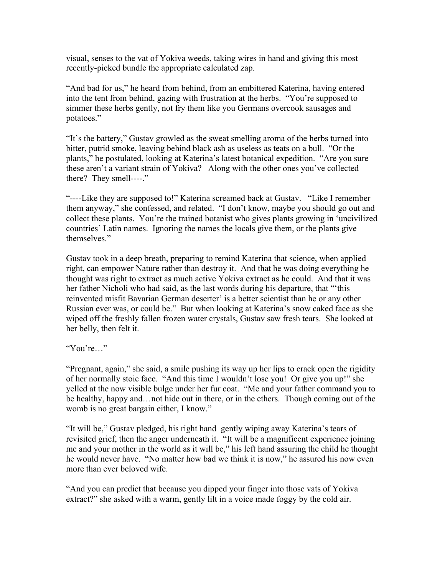visual, senses to the vat of Yokiva weeds, taking wires in hand and giving this most recently-picked bundle the appropriate calculated zap.

"And bad for us," he heard from behind, from an embittered Katerina, having entered into the tent from behind, gazing with frustration at the herbs. "You're supposed to simmer these herbs gently, not fry them like you Germans overcook sausages and potatoes."

"It's the battery," Gustav growled as the sweat smelling aroma of the herbs turned into bitter, putrid smoke, leaving behind black ash as useless as teats on a bull. "Or the plants," he postulated, looking at Katerina's latest botanical expedition. "Are you sure these aren't a variant strain of Yokiva? Along with the other ones you've collected there? They smell----."

"----Like they are supposed to!" Katerina screamed back at Gustav. "Like I remember them anyway," she confessed, and related. "I don't know, maybe you should go out and collect these plants. You're the trained botanist who gives plants growing in 'uncivilized countries' Latin names. Ignoring the names the locals give them, or the plants give themselves."

Gustav took in a deep breath, preparing to remind Katerina that science, when applied right, can empower Nature rather than destroy it. And that he was doing everything he thought was right to extract as much active Yokiva extract as he could. And that it was her father Nicholi who had said, as the last words during his departure, that "'this reinvented misfit Bavarian German deserter' is a better scientist than he or any other Russian ever was, or could be." But when looking at Katerina's snow caked face as she wiped off the freshly fallen frozen water crystals, Gustav saw fresh tears. She looked at her belly, then felt it.

"You're…"

"Pregnant, again," she said, a smile pushing its way up her lips to crack open the rigidity of her normally stoic face. "And this time I wouldn't lose you! Or give you up!" she yelled at the now visible bulge under her fur coat. "Me and your father command you to be healthy, happy and…not hide out in there, or in the ethers. Though coming out of the womb is no great bargain either, I know."

"It will be," Gustav pledged, his right hand gently wiping away Katerina's tears of revisited grief, then the anger underneath it. "It will be a magnificent experience joining me and your mother in the world as it will be," his left hand assuring the child he thought he would never have. "No matter how bad we think it is now," he assured his now even more than ever beloved wife.

"And you can predict that because you dipped your finger into those vats of Yokiva extract?" she asked with a warm, gently lilt in a voice made foggy by the cold air.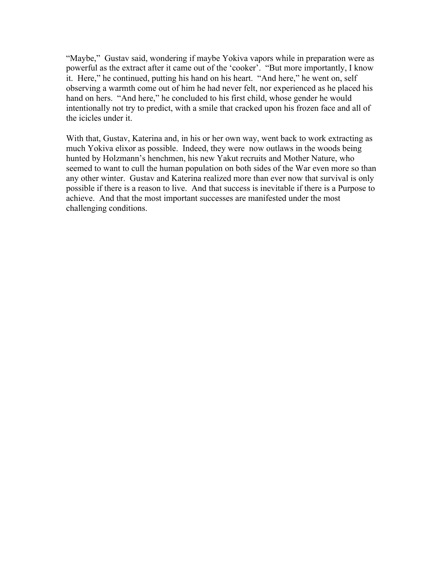"Maybe," Gustav said, wondering if maybe Yokiva vapors while in preparation were as powerful as the extract after it came out of the 'cooker'. "But more importantly, I know it. Here," he continued, putting his hand on his heart. "And here," he went on, self observing a warmth come out of him he had never felt, nor experienced as he placed his hand on hers. "And here," he concluded to his first child, whose gender he would intentionally not try to predict, with a smile that cracked upon his frozen face and all of the icicles under it.

With that, Gustav, Katerina and, in his or her own way, went back to work extracting as much Yokiva elixor as possible. Indeed, they were now outlaws in the woods being hunted by Holzmann's henchmen, his new Yakut recruits and Mother Nature, who seemed to want to cull the human population on both sides of the War even more so than any other winter. Gustav and Katerina realized more than ever now that survival is only possible if there is a reason to live. And that success is inevitable if there is a Purpose to achieve. And that the most important successes are manifested under the most challenging conditions.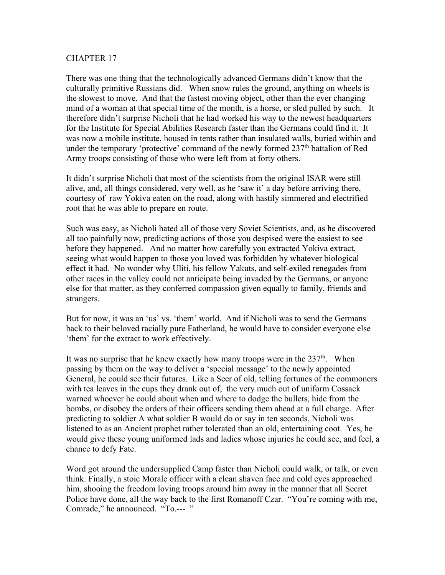There was one thing that the technologically advanced Germans didn't know that the culturally primitive Russians did. When snow rules the ground, anything on wheels is the slowest to move. And that the fastest moving object, other than the ever changing mind of a woman at that special time of the month, is a horse, or sled pulled by such. It therefore didn't surprise Nicholi that he had worked his way to the newest headquarters for the Institute for Special Abilities Research faster than the Germans could find it. It was now a mobile institute, housed in tents rather than insulated walls, buried within and under the temporary 'protective' command of the newly formed 237<sup>th</sup> battalion of Red Army troops consisting of those who were left from at forty others.

It didn't surprise Nicholi that most of the scientists from the original ISAR were still alive, and, all things considered, very well, as he 'saw it' a day before arriving there, courtesy of raw Yokiva eaten on the road, along with hastily simmered and electrified root that he was able to prepare en route.

Such was easy, as Nicholi hated all of those very Soviet Scientists, and, as he discovered all too painfully now, predicting actions of those you despised were the easiest to see before they happened. And no matter how carefully you extracted Yokiva extract, seeing what would happen to those you loved was forbidden by whatever biological effect it had. No wonder why Uliti, his fellow Yakuts, and self-exiled renegades from other races in the valley could not anticipate being invaded by the Germans, or anyone else for that matter, as they conferred compassion given equally to family, friends and strangers.

But for now, it was an 'us' vs. 'them' world. And if Nicholi was to send the Germans back to their beloved racially pure Fatherland, he would have to consider everyone else 'them' for the extract to work effectively.

It was no surprise that he knew exactly how many troops were in the  $237<sup>th</sup>$ . When passing by them on the way to deliver a 'special message' to the newly appointed General, he could see their futures. Like a Seer of old, telling fortunes of the commoners with tea leaves in the cups they drank out of, the very much out of uniform Cossack warned whoever he could about when and where to dodge the bullets, hide from the bombs, or disobey the orders of their officers sending them ahead at a full charge. After predicting to soldier A what soldier B would do or say in ten seconds, Nicholi was listened to as an Ancient prophet rather tolerated than an old, entertaining coot. Yes, he would give these young uniformed lads and ladies whose injuries he could see, and feel, a chance to defy Fate.

Word got around the undersupplied Camp faster than Nicholi could walk, or talk, or even think. Finally, a stoic Morale officer with a clean shaven face and cold eyes approached him, shooing the freedom loving troops around him away in the manner that all Secret Police have done, all the way back to the first Romanoff Czar. "You're coming with me, Comrade," he announced. "To.--- "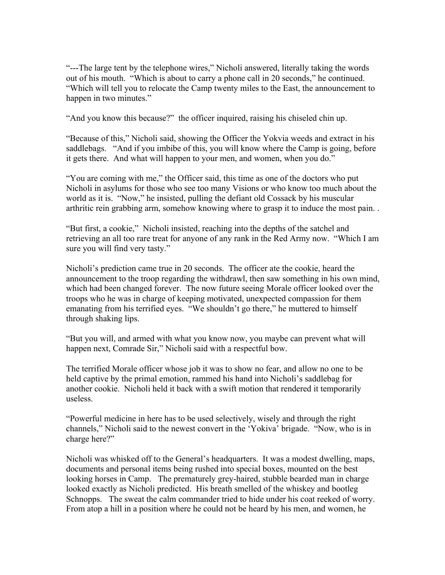"---The large tent by the telephone wires," Nicholi answered, literally taking the words out of his mouth. "Which is about to carry a phone call in 20 seconds," he continued. "Which will tell you to relocate the Camp twenty miles to the East, the announcement to happen in two minutes."

"And you know this because?" the officer inquired, raising his chiseled chin up.

"Because of this," Nicholi said, showing the Officer the Yokvia weeds and extract in his saddlebags. "And if you imbibe of this, you will know where the Camp is going, before it gets there. And what will happen to your men, and women, when you do."

"You are coming with me," the Officer said, this time as one of the doctors who put Nicholi in asylums for those who see too many Visions or who know too much about the world as it is. "Now," he insisted, pulling the defiant old Cossack by his muscular arthritic rein grabbing arm, somehow knowing where to grasp it to induce the most pain. .

"But first, a cookie," Nicholi insisted, reaching into the depths of the satchel and retrieving an all too rare treat for anyone of any rank in the Red Army now. "Which I am sure you will find very tasty."

Nicholi's prediction came true in 20 seconds. The officer ate the cookie, heard the announcement to the troop regarding the withdrawl, then saw something in his own mind, which had been changed forever. The now future seeing Morale officer looked over the troops who he was in charge of keeping motivated, unexpected compassion for them emanating from his terrified eyes. "We shouldn't go there," he muttered to himself through shaking lips.

"But you will, and armed with what you know now, you maybe can prevent what will happen next, Comrade Sir," Nicholi said with a respectful bow.

The terrified Morale officer whose job it was to show no fear, and allow no one to be held captive by the primal emotion, rammed his hand into Nicholi's saddlebag for another cookie. Nicholi held it back with a swift motion that rendered it temporarily useless.

"Powerful medicine in here has to be used selectively, wisely and through the right channels," Nicholi said to the newest convert in the 'Yokiva' brigade. "Now, who is in charge here?"

Nicholi was whisked off to the General's headquarters. It was a modest dwelling, maps, documents and personal items being rushed into special boxes, mounted on the best looking horses in Camp. The prematurely grey-haired, stubble bearded man in charge looked exactly as Nicholi predicted. His breath smelled of the whiskey and bootleg Schnopps. The sweat the calm commander tried to hide under his coat reeked of worry. From atop a hill in a position where he could not be heard by his men, and women, he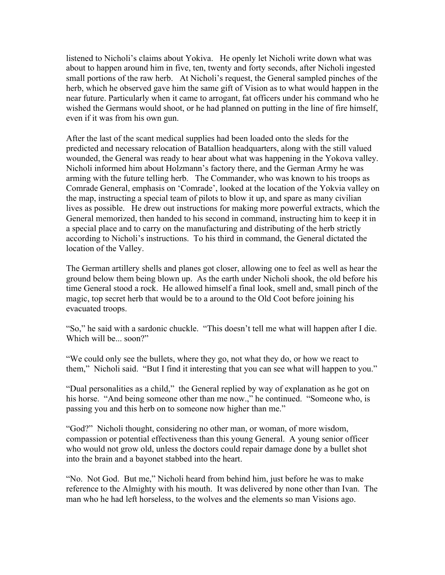listened to Nicholi's claims about Yokiva. He openly let Nicholi write down what was about to happen around him in five, ten, twenty and forty seconds, after Nicholi ingested small portions of the raw herb. At Nicholi's request, the General sampled pinches of the herb, which he observed gave him the same gift of Vision as to what would happen in the near future. Particularly when it came to arrogant, fat officers under his command who he wished the Germans would shoot, or he had planned on putting in the line of fire himself, even if it was from his own gun.

After the last of the scant medical supplies had been loaded onto the sleds for the predicted and necessary relocation of Batallion headquarters, along with the still valued wounded, the General was ready to hear about what was happening in the Yokova valley. Nicholi informed him about Holzmann's factory there, and the German Army he was arming with the future telling herb. The Commander, who was known to his troops as Comrade General, emphasis on 'Comrade', looked at the location of the Yokvia valley on the map, instructing a special team of pilots to blow it up, and spare as many civilian lives as possible. He drew out instructions for making more powerful extracts, which the General memorized, then handed to his second in command, instructing him to keep it in a special place and to carry on the manufacturing and distributing of the herb strictly according to Nicholi's instructions. To his third in command, the General dictated the location of the Valley.

The German artillery shells and planes got closer, allowing one to feel as well as hear the ground below them being blown up. As the earth under Nicholi shook, the old before his time General stood a rock. He allowed himself a final look, smell and, small pinch of the magic, top secret herb that would be to a around to the Old Coot before joining his evacuated troops.

"So," he said with a sardonic chuckle. "This doesn't tell me what will happen after I die. Which will be... soon?"

"We could only see the bullets, where they go, not what they do, or how we react to them," Nicholi said. "But I find it interesting that you can see what will happen to you."

"Dual personalities as a child," the General replied by way of explanation as he got on his horse. "And being someone other than me now.," he continued. "Someone who, is passing you and this herb on to someone now higher than me."

"God?" Nicholi thought, considering no other man, or woman, of more wisdom, compassion or potential effectiveness than this young General. A young senior officer who would not grow old, unless the doctors could repair damage done by a bullet shot into the brain and a bayonet stabbed into the heart.

"No. Not God. But me," Nicholi heard from behind him, just before he was to make reference to the Almighty with his mouth. It was delivered by none other than Ivan. The man who he had left horseless, to the wolves and the elements so man Visions ago.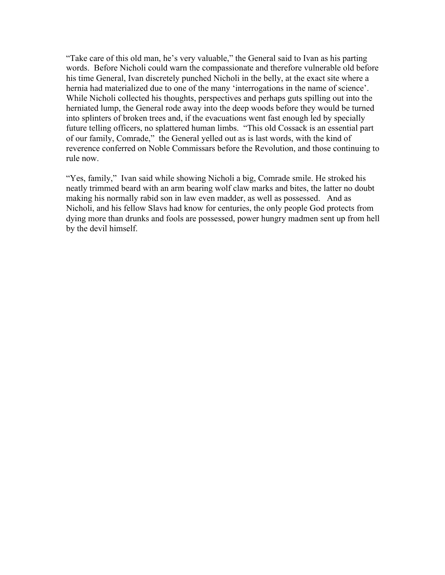"Take care of this old man, he's very valuable," the General said to Ivan as his parting words. Before Nicholi could warn the compassionate and therefore vulnerable old before his time General, Ivan discretely punched Nicholi in the belly, at the exact site where a hernia had materialized due to one of the many 'interrogations in the name of science'. While Nicholi collected his thoughts, perspectives and perhaps guts spilling out into the herniated lump, the General rode away into the deep woods before they would be turned into splinters of broken trees and, if the evacuations went fast enough led by specially future telling officers, no splattered human limbs. "This old Cossack is an essential part of our family, Comrade," the General yelled out as is last words, with the kind of reverence conferred on Noble Commissars before the Revolution, and those continuing to rule now.

"Yes, family," Ivan said while showing Nicholi a big, Comrade smile. He stroked his neatly trimmed beard with an arm bearing wolf claw marks and bites, the latter no doubt making his normally rabid son in law even madder, as well as possessed. And as Nicholi, and his fellow Slavs had know for centuries, the only people God protects from dying more than drunks and fools are possessed, power hungry madmen sent up from hell by the devil himself.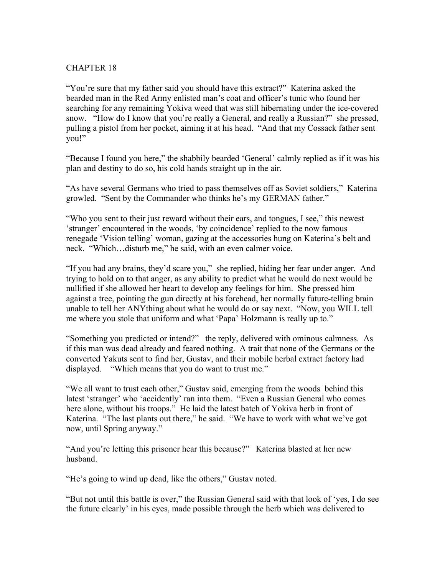"You're sure that my father said you should have this extract?" Katerina asked the bearded man in the Red Army enlisted man's coat and officer's tunic who found her searching for any remaining Yokiva weed that was still hibernating under the ice-covered snow. "How do I know that you're really a General, and really a Russian?" she pressed, pulling a pistol from her pocket, aiming it at his head. "And that my Cossack father sent you!"

"Because I found you here," the shabbily bearded 'General' calmly replied as if it was his plan and destiny to do so, his cold hands straight up in the air.

"As have several Germans who tried to pass themselves off as Soviet soldiers," Katerina growled. "Sent by the Commander who thinks he's my GERMAN father."

"Who you sent to their just reward without their ears, and tongues, I see," this newest 'stranger' encountered in the woods, 'by coincidence' replied to the now famous renegade 'Vision telling' woman, gazing at the accessories hung on Katerina's belt and neck. "Which…disturb me," he said, with an even calmer voice.

"If you had any brains, they'd scare you," she replied, hiding her fear under anger. And trying to hold on to that anger, as any ability to predict what he would do next would be nullified if she allowed her heart to develop any feelings for him. She pressed him against a tree, pointing the gun directly at his forehead, her normally future-telling brain unable to tell her ANYthing about what he would do or say next. "Now, you WILL tell me where you stole that uniform and what 'Papa' Holzmann is really up to."

"Something you predicted or intend?" the reply, delivered with ominous calmness. As if this man was dead already and feared nothing. A trait that none of the Germans or the converted Yakuts sent to find her, Gustav, and their mobile herbal extract factory had displayed. "Which means that you do want to trust me."

"We all want to trust each other," Gustav said, emerging from the woods behind this latest 'stranger' who 'accidently' ran into them. "Even a Russian General who comes here alone, without his troops." He laid the latest batch of Yokiva herb in front of Katerina. "The last plants out there," he said. "We have to work with what we've got now, until Spring anyway."

"And you're letting this prisoner hear this because?" Katerina blasted at her new husband.

"He's going to wind up dead, like the others," Gustav noted.

"But not until this battle is over," the Russian General said with that look of 'yes, I do see the future clearly' in his eyes, made possible through the herb which was delivered to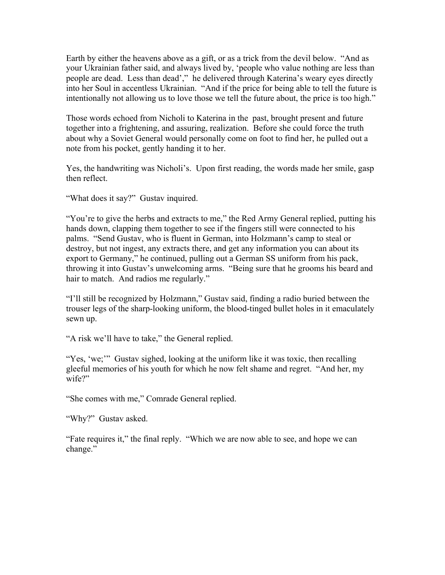Earth by either the heavens above as a gift, or as a trick from the devil below. "And as your Ukrainian father said, and always lived by, 'people who value nothing are less than people are dead. Less than dead'," he delivered through Katerina's weary eyes directly into her Soul in accentless Ukrainian. "And if the price for being able to tell the future is intentionally not allowing us to love those we tell the future about, the price is too high."

Those words echoed from Nicholi to Katerina in the past, brought present and future together into a frightening, and assuring, realization. Before she could force the truth about why a Soviet General would personally come on foot to find her, he pulled out a note from his pocket, gently handing it to her.

Yes, the handwriting was Nicholi's. Upon first reading, the words made her smile, gasp then reflect.

"What does it say?" Gustav inquired.

"You're to give the herbs and extracts to me," the Red Army General replied, putting his hands down, clapping them together to see if the fingers still were connected to his palms. "Send Gustav, who is fluent in German, into Holzmann's camp to steal or destroy, but not ingest, any extracts there, and get any information you can about its export to Germany," he continued, pulling out a German SS uniform from his pack, throwing it into Gustav's unwelcoming arms. "Being sure that he grooms his beard and hair to match. And radios me regularly."

"I'll still be recognized by Holzmann," Gustav said, finding a radio buried between the trouser legs of the sharp-looking uniform, the blood-tinged bullet holes in it emaculately sewn up.

"A risk we'll have to take," the General replied.

"Yes, 'we;"" Gustav sighed, looking at the uniform like it was toxic, then recalling gleeful memories of his youth for which he now felt shame and regret. "And her, my wife?"

"She comes with me," Comrade General replied.

"Why?" Gustav asked.

"Fate requires it," the final reply. "Which we are now able to see, and hope we can change."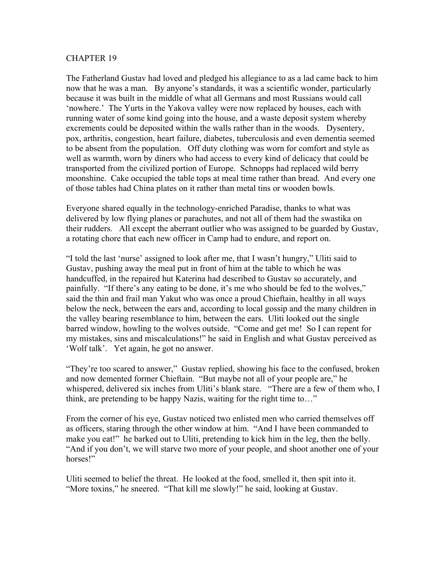The Fatherland Gustav had loved and pledged his allegiance to as a lad came back to him now that he was a man. By anyone's standards, it was a scientific wonder, particularly because it was built in the middle of what all Germans and most Russians would call 'nowhere.' The Yurts in the Yakova valley were now replaced by houses, each with running water of some kind going into the house, and a waste deposit system whereby excrements could be deposited within the walls rather than in the woods. Dysentery, pox, arthritis, congestion, heart failure, diabetes, tuberculosis and even dementia seemed to be absent from the population. Off duty clothing was worn for comfort and style as well as warmth, worn by diners who had access to every kind of delicacy that could be transported from the civilized portion of Europe. Schnopps had replaced wild berry moonshine. Cake occupied the table tops at meal time rather than bread. And every one of those tables had China plates on it rather than metal tins or wooden bowls.

Everyone shared equally in the technology-enriched Paradise, thanks to what was delivered by low flying planes or parachutes, and not all of them had the swastika on their rudders. All except the aberrant outlier who was assigned to be guarded by Gustav, a rotating chore that each new officer in Camp had to endure, and report on.

"I told the last 'nurse' assigned to look after me, that I wasn't hungry," Uliti said to Gustav, pushing away the meal put in front of him at the table to which he was handcuffed, in the repaired hut Katerina had described to Gustav so accurately, and painfully. "If there's any eating to be done, it's me who should be fed to the wolves," said the thin and frail man Yakut who was once a proud Chieftain, healthy in all ways below the neck, between the ears and, according to local gossip and the many children in the valley bearing resemblance to him, between the ears. Uliti looked out the single barred window, howling to the wolves outside. "Come and get me! So I can repent for my mistakes, sins and miscalculations!" he said in English and what Gustav perceived as 'Wolf talk'. Yet again, he got no answer.

"They're too scared to answer," Gustav replied, showing his face to the confused, broken and now demented former Chieftain. "But maybe not all of your people are," he whispered, delivered six inches from Uliti's blank stare. "There are a few of them who, I think, are pretending to be happy Nazis, waiting for the right time to…"

From the corner of his eye, Gustav noticed two enlisted men who carried themselves off as officers, staring through the other window at him. "And I have been commanded to make you eat!" he barked out to Uliti, pretending to kick him in the leg, then the belly. "And if you don't, we will starve two more of your people, and shoot another one of your horses!"

Uliti seemed to belief the threat. He looked at the food, smelled it, then spit into it. "More toxins," he sneered. "That kill me slowly!" he said, looking at Gustav.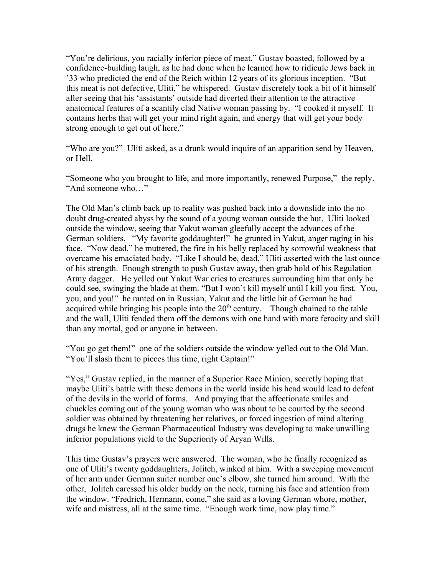"You're delirious, you racially inferior piece of meat," Gustav boasted, followed by a confidence-building laugh, as he had done when he learned how to ridicule Jews back in '33 who predicted the end of the Reich within 12 years of its glorious inception. "But this meat is not defective, Uliti," he whispered. Gustav discretely took a bit of it himself after seeing that his 'assistants' outside had diverted their attention to the attractive anatomical features of a scantily clad Native woman passing by. "I cooked it myself. It contains herbs that will get your mind right again, and energy that will get your body strong enough to get out of here."

"Who are you?" Uliti asked, as a drunk would inquire of an apparition send by Heaven, or Hell.

"Someone who you brought to life, and more importantly, renewed Purpose," the reply. "And someone who…"

The Old Man's climb back up to reality was pushed back into a downslide into the no doubt drug-created abyss by the sound of a young woman outside the hut. Uliti looked outside the window, seeing that Yakut woman gleefully accept the advances of the German soldiers. "My favorite goddaughter!" he grunted in Yakut, anger raging in his face. "Now dead," he muttered, the fire in his belly replaced by sorrowful weakness that overcame his emaciated body. "Like I should be, dead," Uliti asserted with the last ounce of his strength. Enough strength to push Gustav away, then grab hold of his Regulation Army dagger. He yelled out Yakut War cries to creatures surrounding him that only he could see, swinging the blade at them. "But I won't kill myself until I kill you first. You, you, and you!" he ranted on in Russian, Yakut and the little bit of German he had acquired while bringing his people into the  $20<sup>th</sup>$  century. Though chained to the table and the wall, Uliti fended them off the demons with one hand with more ferocity and skill than any mortal, god or anyone in between.

"You go get them!" one of the soldiers outside the window yelled out to the Old Man. "You'll slash them to pieces this time, right Captain!"

"Yes," Gustav replied, in the manner of a Superior Race Minion, secretly hoping that maybe Uliti's battle with these demons in the world inside his head would lead to defeat of the devils in the world of forms. And praying that the affectionate smiles and chuckles coming out of the young woman who was about to be courted by the second soldier was obtained by threatening her relatives, or forced ingestion of mind altering drugs he knew the German Pharmaceutical Industry was developing to make unwilling inferior populations yield to the Superiority of Aryan Wills.

This time Gustav's prayers were answered. The woman, who he finally recognized as one of Uliti's twenty goddaughters, Joliteh, winked at him. With a sweeping movement of her arm under German suiter number one's elbow, she turned him around. With the other, Joliteh caressed his older buddy on the neck, turning his face and attention from the window. "Fredrich, Hermann, come," she said as a loving German whore, mother, wife and mistress, all at the same time. "Enough work time, now play time."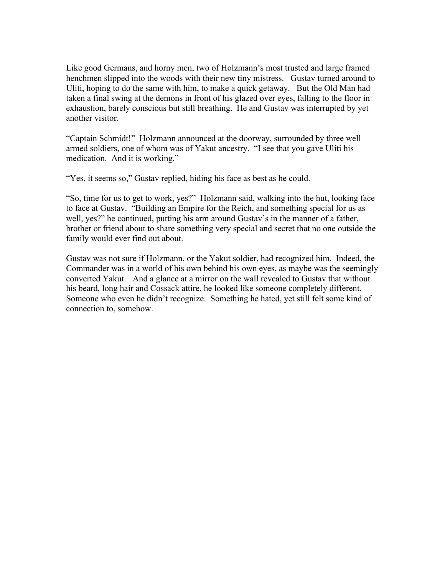Like good Germans, and horny men, two of Holzmann's most trusted and large framed henchmen slipped into the woods with their new tiny mistress. Gustav turned around to Uliti, hoping to do the same with him, to make a quick getaway. But the Old Man had taken a final swing at the demons in front of his glazed over eyes, falling to the floor in exhaustion, barely conscious but still breathing. He and Gustav was interrupted by yet another visitor.

"Captain Schmidt!" Holzmann announced at the doorway, surrounded by three well armed soldiers, one of whom was of Yakut ancestry. "I see that you gave Uliti his medication. And it is working."

"Yes, it seems so," Gustav replied, hiding his face as best as he could.

"So, time for us to get to work, yes?" Holzmann said, walking into the hut, looking face to face at Gustav. "Building an Empire for the Reich, and something special for us as well, yes?" he continued, putting his arm around Gustav's in the manner of a father, brother or friend about to share something very special and secret that no one outside the family would ever find out about.

Gustav was not sure if Holzmann, or the Yakut soldier, had recognized him. Indeed, the Commander was in a world of his own behind his own eyes, as maybe was the seemingly converted Yakut. And a glance at a mirror on the wall revealed to Gustav that without his beard, long hair and Cossack attire, he looked like someone completely different. Someone who even he didn't recognize. Something he hated, yet still felt some kind of connection to, somehow.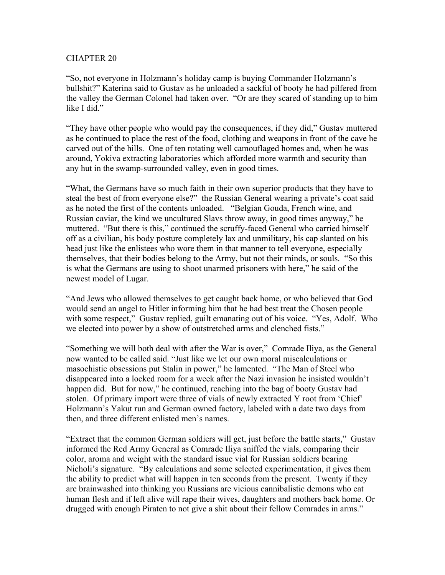"So, not everyone in Holzmann's holiday camp is buying Commander Holzmann's bullshit?" Katerina said to Gustav as he unloaded a sackful of booty he had pilfered from the valley the German Colonel had taken over. "Or are they scared of standing up to him like I did."

"They have other people who would pay the consequences, if they did," Gustav muttered as he continued to place the rest of the food, clothing and weapons in front of the cave he carved out of the hills. One of ten rotating well camouflaged homes and, when he was around, Yokiva extracting laboratories which afforded more warmth and security than any hut in the swamp-surrounded valley, even in good times.

"What, the Germans have so much faith in their own superior products that they have to steal the best of from everyone else?" the Russian General wearing a private's coat said as he noted the first of the contents unloaded. "Belgian Gouda, French wine, and Russian caviar, the kind we uncultured Slavs throw away, in good times anyway," he muttered. "But there is this," continued the scruffy-faced General who carried himself off as a civilian, his body posture completely lax and unmilitary, his cap slanted on his head just like the enlistees who wore them in that manner to tell everyone, especially themselves, that their bodies belong to the Army, but not their minds, or souls. "So this is what the Germans are using to shoot unarmed prisoners with here," he said of the newest model of Lugar.

"And Jews who allowed themselves to get caught back home, or who believed that God would send an angel to Hitler informing him that he had best treat the Chosen people with some respect," Gustav replied, guilt emanating out of his voice. "Yes, Adolf. Who we elected into power by a show of outstretched arms and clenched fists."

"Something we will both deal with after the War is over," Comrade Iliya, as the General now wanted to be called said. "Just like we let our own moral miscalculations or masochistic obsessions put Stalin in power," he lamented. "The Man of Steel who disappeared into a locked room for a week after the Nazi invasion he insisted wouldn't happen did. But for now," he continued, reaching into the bag of booty Gustav had stolen. Of primary import were three of vials of newly extracted Y root from 'Chief' Holzmann's Yakut run and German owned factory, labeled with a date two days from then, and three different enlisted men's names.

"Extract that the common German soldiers will get, just before the battle starts," Gustav informed the Red Army General as Comrade Iliya sniffed the vials, comparing their color, aroma and weight with the standard issue vial for Russian soldiers bearing Nicholi's signature. "By calculations and some selected experimentation, it gives them the ability to predict what will happen in ten seconds from the present. Twenty if they are brainwashed into thinking you Russians are vicious cannibalistic demons who eat human flesh and if left alive will rape their wives, daughters and mothers back home. Or drugged with enough Piraten to not give a shit about their fellow Comrades in arms."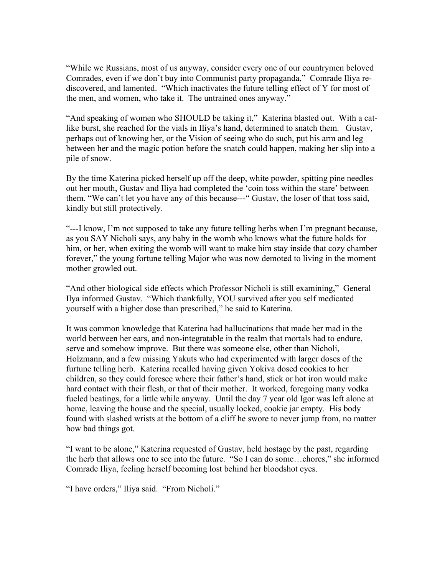"While we Russians, most of us anyway, consider every one of our countrymen beloved Comrades, even if we don't buy into Communist party propaganda," Comrade Iliya rediscovered, and lamented. "Which inactivates the future telling effect of Y for most of the men, and women, who take it. The untrained ones anyway."

"And speaking of women who SHOULD be taking it," Katerina blasted out. With a catlike burst, she reached for the vials in Iliya's hand, determined to snatch them. Gustav, perhaps out of knowing her, or the Vision of seeing who do such, put his arm and leg between her and the magic potion before the snatch could happen, making her slip into a pile of snow.

By the time Katerina picked herself up off the deep, white powder, spitting pine needles out her mouth, Gustav and Iliya had completed the 'coin toss within the stare' between them. "We can't let you have any of this because---" Gustav, the loser of that toss said, kindly but still protectively.

"---I know, I'm not supposed to take any future telling herbs when I'm pregnant because, as you SAY Nicholi says, any baby in the womb who knows what the future holds for him, or her, when exiting the womb will want to make him stay inside that cozy chamber forever," the young fortune telling Major who was now demoted to living in the moment mother growled out.

"And other biological side effects which Professor Nicholi is still examining," General Ilya informed Gustav. "Which thankfully, YOU survived after you self medicated yourself with a higher dose than prescribed," he said to Katerina.

It was common knowledge that Katerina had hallucinations that made her mad in the world between her ears, and non-integratable in the realm that mortals had to endure, serve and somehow improve. But there was someone else, other than Nicholi, Holzmann, and a few missing Yakuts who had experimented with larger doses of the furtune telling herb. Katerina recalled having given Yokiva dosed cookies to her children, so they could foresee where their father's hand, stick or hot iron would make hard contact with their flesh, or that of their mother. It worked, foregoing many vodka fueled beatings, for a little while anyway. Until the day 7 year old Igor was left alone at home, leaving the house and the special, usually locked, cookie jar empty. His body found with slashed wrists at the bottom of a cliff he swore to never jump from, no matter how bad things got.

"I want to be alone," Katerina requested of Gustav, held hostage by the past, regarding the herb that allows one to see into the future. "So I can do some…chores," she informed Comrade Iliya, feeling herself becoming lost behind her bloodshot eyes.

"I have orders," Iliya said. "From Nicholi."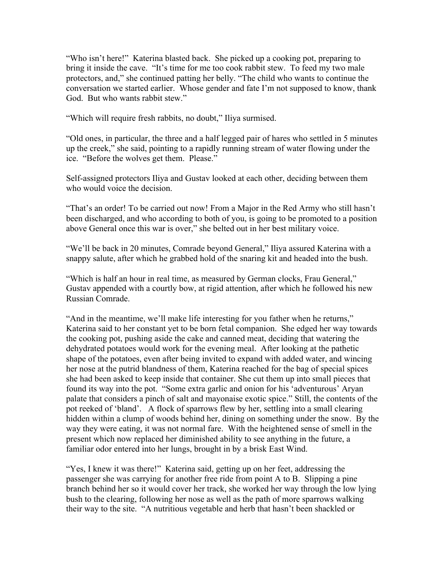"Who isn't here!" Katerina blasted back. She picked up a cooking pot, preparing to bring it inside the cave. "It's time for me too cook rabbit stew. To feed my two male protectors, and," she continued patting her belly. "The child who wants to continue the conversation we started earlier. Whose gender and fate I'm not supposed to know, thank God. But who wants rabbit stew."

"Which will require fresh rabbits, no doubt," Iliya surmised.

"Old ones, in particular, the three and a half legged pair of hares who settled in 5 minutes up the creek," she said, pointing to a rapidly running stream of water flowing under the ice. "Before the wolves get them. Please."

Self-assigned protectors Iliya and Gustav looked at each other, deciding between them who would voice the decision.

"That's an order! To be carried out now! From a Major in the Red Army who still hasn't been discharged, and who according to both of you, is going to be promoted to a position above General once this war is over," she belted out in her best military voice.

"We'll be back in 20 minutes, Comrade beyond General," Iliya assured Katerina with a snappy salute, after which he grabbed hold of the snaring kit and headed into the bush.

"Which is half an hour in real time, as measured by German clocks, Frau General," Gustav appended with a courtly bow, at rigid attention, after which he followed his new Russian Comrade.

"And in the meantime, we'll make life interesting for you father when he returns," Katerina said to her constant yet to be born fetal companion. She edged her way towards the cooking pot, pushing aside the cake and canned meat, deciding that watering the dehydrated potatoes would work for the evening meal. After looking at the pathetic shape of the potatoes, even after being invited to expand with added water, and wincing her nose at the putrid blandness of them, Katerina reached for the bag of special spices she had been asked to keep inside that container. She cut them up into small pieces that found its way into the pot. "Some extra garlic and onion for his 'adventurous' Aryan palate that considers a pinch of salt and mayonaise exotic spice." Still, the contents of the pot reeked of 'bland'. A flock of sparrows flew by her, settling into a small clearing hidden within a clump of woods behind her, dining on something under the snow. By the way they were eating, it was not normal fare. With the heightened sense of smell in the present which now replaced her diminished ability to see anything in the future, a familiar odor entered into her lungs, brought in by a brisk East Wind.

"Yes, I knew it was there!" Katerina said, getting up on her feet, addressing the passenger she was carrying for another free ride from point A to B. Slipping a pine branch behind her so it would cover her track, she worked her way through the low lying bush to the clearing, following her nose as well as the path of more sparrows walking their way to the site. "A nutritious vegetable and herb that hasn't been shackled or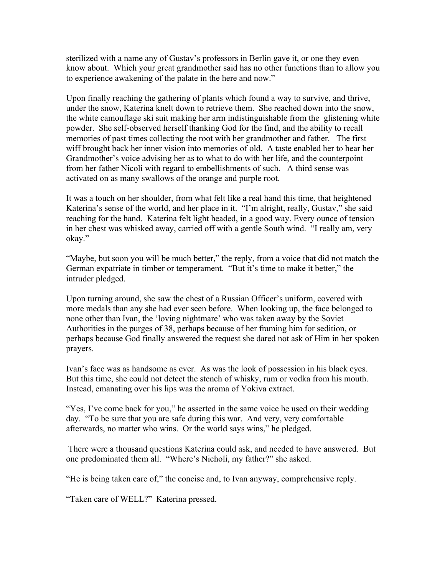sterilized with a name any of Gustav's professors in Berlin gave it, or one they even know about. Which your great grandmother said has no other functions than to allow you to experience awakening of the palate in the here and now."

Upon finally reaching the gathering of plants which found a way to survive, and thrive, under the snow, Katerina knelt down to retrieve them. She reached down into the snow, the white camouflage ski suit making her arm indistinguishable from the glistening white powder. She self-observed herself thanking God for the find, and the ability to recall memories of past times collecting the root with her grandmother and father. The first wiff brought back her inner vision into memories of old. A taste enabled her to hear her Grandmother's voice advising her as to what to do with her life, and the counterpoint from her father Nicoli with regard to embellishments of such. A third sense was activated on as many swallows of the orange and purple root.

It was a touch on her shoulder, from what felt like a real hand this time, that heightened Katerina's sense of the world, and her place in it. "I'm alright, really, Gustav," she said reaching for the hand. Katerina felt light headed, in a good way. Every ounce of tension in her chest was whisked away, carried off with a gentle South wind. "I really am, very okay."

"Maybe, but soon you will be much better," the reply, from a voice that did not match the German expatriate in timber or temperament. "But it's time to make it better," the intruder pledged.

Upon turning around, she saw the chest of a Russian Officer's uniform, covered with more medals than any she had ever seen before. When looking up, the face belonged to none other than Ivan, the 'loving nightmare' who was taken away by the Soviet Authorities in the purges of 38, perhaps because of her framing him for sedition, or perhaps because God finally answered the request she dared not ask of Him in her spoken prayers.

Ivan's face was as handsome as ever. As was the look of possession in his black eyes. But this time, she could not detect the stench of whisky, rum or vodka from his mouth. Instead, emanating over his lips was the aroma of Yokiva extract.

"Yes, I've come back for you," he asserted in the same voice he used on their wedding day. "To be sure that you are safe during this war. And very, very comfortable afterwards, no matter who wins. Or the world says wins," he pledged.

There were a thousand questions Katerina could ask, and needed to have answered. But one predominated them all. "Where's Nicholi, my father?" she asked.

"He is being taken care of," the concise and, to Ivan anyway, comprehensive reply.

"Taken care of WELL?" Katerina pressed.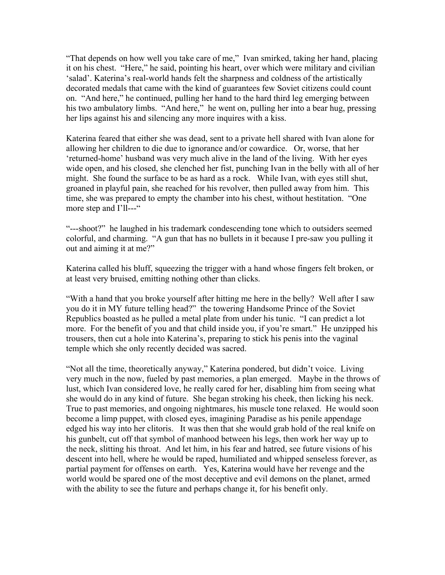"That depends on how well you take care of me," Ivan smirked, taking her hand, placing it on his chest. "Here," he said, pointing his heart, over which were military and civilian 'salad'. Katerina's real-world hands felt the sharpness and coldness of the artistically decorated medals that came with the kind of guarantees few Soviet citizens could count on. "And here," he continued, pulling her hand to the hard third leg emerging between his two ambulatory limbs. "And here," he went on, pulling her into a bear hug, pressing her lips against his and silencing any more inquires with a kiss.

Katerina feared that either she was dead, sent to a private hell shared with Ivan alone for allowing her children to die due to ignorance and/or cowardice. Or, worse, that her 'returned-home' husband was very much alive in the land of the living. With her eyes wide open, and his closed, she clenched her fist, punching Ivan in the belly with all of her might. She found the surface to be as hard as a rock. While Ivan, with eyes still shut, groaned in playful pain, she reached for his revolver, then pulled away from him. This time, she was prepared to empty the chamber into his chest, without hestitation. "One more step and I'll---"

"---shoot?" he laughed in his trademark condescending tone which to outsiders seemed colorful, and charming. "A gun that has no bullets in it because I pre-saw you pulling it out and aiming it at me?"

Katerina called his bluff, squeezing the trigger with a hand whose fingers felt broken, or at least very bruised, emitting nothing other than clicks.

"With a hand that you broke yourself after hitting me here in the belly? Well after I saw you do it in MY future telling head?" the towering Handsome Prince of the Soviet Republics boasted as he pulled a metal plate from under his tunic. "I can predict a lot more. For the benefit of you and that child inside you, if you're smart." He unzipped his trousers, then cut a hole into Katerina's, preparing to stick his penis into the vaginal temple which she only recently decided was sacred.

"Not all the time, theoretically anyway," Katerina pondered, but didn't voice. Living very much in the now, fueled by past memories, a plan emerged. Maybe in the throws of lust, which Ivan considered love, he really cared for her, disabling him from seeing what she would do in any kind of future. She began stroking his cheek, then licking his neck. True to past memories, and ongoing nightmares, his muscle tone relaxed. He would soon become a limp puppet, with closed eyes, imagining Paradise as his penile appendage edged his way into her clitoris. It was then that she would grab hold of the real knife on his gunbelt, cut off that symbol of manhood between his legs, then work her way up to the neck, slitting his throat. And let him, in his fear and hatred, see future visions of his descent into hell, where he would be raped, humiliated and whipped senseless forever, as partial payment for offenses on earth. Yes, Katerina would have her revenge and the world would be spared one of the most deceptive and evil demons on the planet, armed with the ability to see the future and perhaps change it, for his benefit only.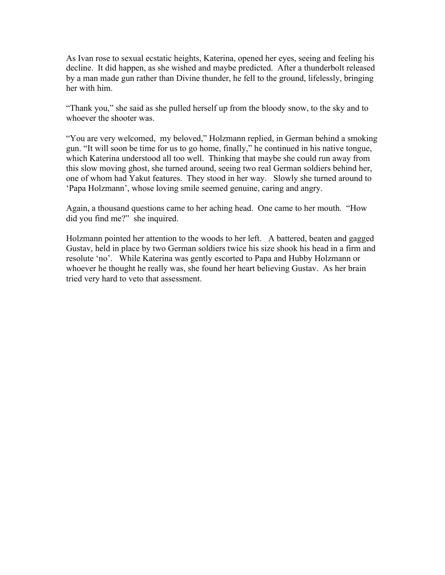As Ivan rose to sexual ecstatic heights, Katerina, opened her eyes, seeing and feeling his decline. It did happen, as she wished and maybe predicted. After a thunderbolt released by a man made gun rather than Divine thunder, he fell to the ground, lifelessly, bringing her with him.

"Thank you," she said as she pulled herself up from the bloody snow, to the sky and to whoever the shooter was.

"You are very welcomed, my beloved," Holzmann replied, in German behind a smoking gun. "It will soon be time for us to go home, finally," he continued in his native tongue, which Katerina understood all too well. Thinking that maybe she could run away from this slow moving ghost, she turned around, seeing two real German soldiers behind her, one of whom had Yakut features. They stood in her way. Slowly she turned around to 'Papa Holzmann', whose loving smile seemed genuine, caring and angry.

Again, a thousand questions came to her aching head. One came to her mouth. "How did you find me?" she inquired.

Holzmann pointed her attention to the woods to her left. A battered, beaten and gagged Gustav, held in place by two German soldiers twice his size shook his head in a firm and resolute 'no'. While Katerina was gently escorted to Papa and Hubby Holzmann or whoever he thought he really was, she found her heart believing Gustav. As her brain tried very hard to veto that assessment.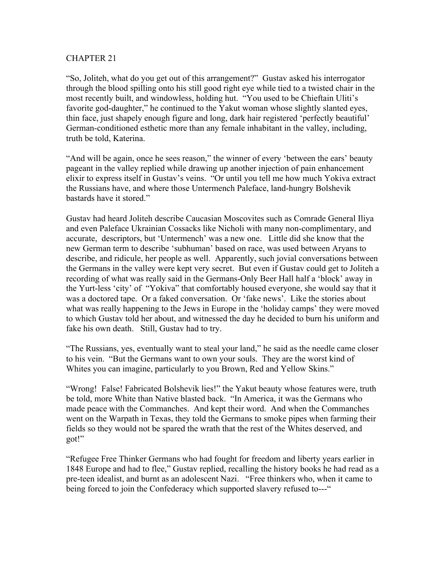"So, Joliteh, what do you get out of this arrangement?" Gustav asked his interrogator through the blood spilling onto his still good right eye while tied to a twisted chair in the most recently built, and windowless, holding hut. "You used to be Chieftain Uliti's favorite god-daughter," he continued to the Yakut woman whose slightly slanted eyes, thin face, just shapely enough figure and long, dark hair registered 'perfectly beautiful' German-conditioned esthetic more than any female inhabitant in the valley, including, truth be told, Katerina.

"And will be again, once he sees reason," the winner of every 'between the ears' beauty pageant in the valley replied while drawing up another injection of pain enhancement elixir to express itself in Gustav's veins. "Or until you tell me how much Yokiva extract the Russians have, and where those Untermench Paleface, land-hungry Bolshevik bastards have it stored."

Gustav had heard Joliteh describe Caucasian Moscovites such as Comrade General Iliya and even Paleface Ukrainian Cossacks like Nicholi with many non-complimentary, and accurate, descriptors, but 'Untermench' was a new one. Little did she know that the new German term to describe 'subhuman' based on race, was used between Aryans to describe, and ridicule, her people as well. Apparently, such jovial conversations between the Germans in the valley were kept very secret. But even if Gustav could get to Joliteh a recording of what was really said in the Germans-Only Beer Hall half a 'block' away in the Yurt-less 'city' of "Yokiva" that comfortably housed everyone, she would say that it was a doctored tape. Or a faked conversation. Or 'fake news'. Like the stories about what was really happening to the Jews in Europe in the 'holiday camps' they were moved to which Gustav told her about, and witnessed the day he decided to burn his uniform and fake his own death. Still, Gustav had to try.

"The Russians, yes, eventually want to steal your land," he said as the needle came closer to his vein. "But the Germans want to own your souls. They are the worst kind of Whites you can imagine, particularly to you Brown, Red and Yellow Skins."

"Wrong! False! Fabricated Bolshevik lies!" the Yakut beauty whose features were, truth be told, more White than Native blasted back. "In America, it was the Germans who made peace with the Commanches. And kept their word. And when the Commanches went on the Warpath in Texas, they told the Germans to smoke pipes when farming their fields so they would not be spared the wrath that the rest of the Whites deserved, and got!"

"Refugee Free Thinker Germans who had fought for freedom and liberty years earlier in 1848 Europe and had to flee," Gustav replied, recalling the history books he had read as a pre-teen idealist, and burnt as an adolescent Nazi. "Free thinkers who, when it came to being forced to join the Confederacy which supported slavery refused to---"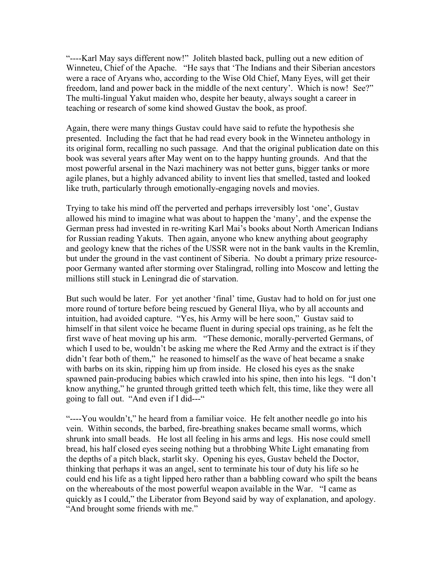"----Karl May says different now!" Joliteh blasted back, pulling out a new edition of Winneteu, Chief of the Apache. "He says that 'The Indians and their Siberian ancestors were a race of Aryans who, according to the Wise Old Chief, Many Eyes, will get their freedom, land and power back in the middle of the next century'. Which is now! See?" The multi-lingual Yakut maiden who, despite her beauty, always sought a career in teaching or research of some kind showed Gustav the book, as proof.

Again, there were many things Gustav could have said to refute the hypothesis she presented. Including the fact that he had read every book in the Winneteu anthology in its original form, recalling no such passage. And that the original publication date on this book was several years after May went on to the happy hunting grounds. And that the most powerful arsenal in the Nazi machinery was not better guns, bigger tanks or more agile planes, but a highly advanced ability to invent lies that smelled, tasted and looked like truth, particularly through emotionally-engaging novels and movies.

Trying to take his mind off the perverted and perhaps irreversibly lost 'one', Gustav allowed his mind to imagine what was about to happen the 'many', and the expense the German press had invested in re-writing Karl Mai's books about North American Indians for Russian reading Yakuts. Then again, anyone who knew anything about geography and geology knew that the riches of the USSR were not in the bank vaults in the Kremlin, but under the ground in the vast continent of Siberia. No doubt a primary prize resourcepoor Germany wanted after storming over Stalingrad, rolling into Moscow and letting the millions still stuck in Leningrad die of starvation.

But such would be later. For yet another 'final' time, Gustav had to hold on for just one more round of torture before being rescued by General Iliya, who by all accounts and intuition, had avoided capture. "Yes, his Army will be here soon," Gustav said to himself in that silent voice he became fluent in during special ops training, as he felt the first wave of heat moving up his arm. "These demonic, morally-perverted Germans, of which I used to be, wouldn't be asking me where the Red Army and the extract is if they didn't fear both of them," he reasoned to himself as the wave of heat became a snake with barbs on its skin, ripping him up from inside. He closed his eyes as the snake spawned pain-producing babies which crawled into his spine, then into his legs. "I don't know anything," he grunted through gritted teeth which felt, this time, like they were all going to fall out. "And even if I did---"

"----You wouldn't," he heard from a familiar voice. He felt another needle go into his vein. Within seconds, the barbed, fire-breathing snakes became small worms, which shrunk into small beads. He lost all feeling in his arms and legs. His nose could smell bread, his half closed eyes seeing nothing but a throbbing White Light emanating from the depths of a pitch black, starlit sky. Opening his eyes, Gustav beheld the Doctor, thinking that perhaps it was an angel, sent to terminate his tour of duty his life so he could end his life as a tight lipped hero rather than a babbling coward who spilt the beans on the whereabouts of the most powerful weapon available in the War. "I came as quickly as I could," the Liberator from Beyond said by way of explanation, and apology. "And brought some friends with me."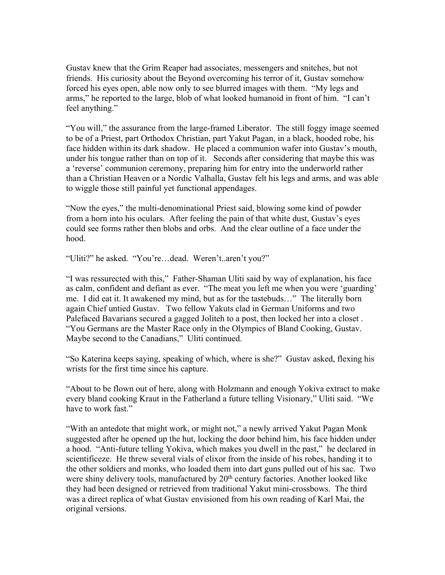Gustav knew that the Grim Reaper had associates, messengers and snitches, but not friends. His curiosity about the Beyond overcoming his terror of it, Gustav somehow forced his eyes open, able now only to see blurred images with them. "My legs and arms," he reported to the large, blob of what looked humanoid in front of him. "I can't feel anything."

"You will," the assurance from the large-framed Liberator. The still foggy image seemed to be of a Priest, part Orthodox Christian, part Yakut Pagan, in a black, hooded robe, his face hidden within its dark shadow. He placed a communion wafer into Gustav's mouth, under his tongue rather than on top of it. Seconds after considering that maybe this was a 'reverse' communion ceremony, preparing him for entry into the underworld rather than a Christian Heaven or a Nordic Valhalla, Gustav felt his legs and arms, and was able to wiggle those still painful yet functional appendages.

"Now the eyes," the multi-denominational Priest said, blowing some kind of powder from a horn into his oculars. After feeling the pain of that white dust, Gustav's eyes could see forms rather then blobs and orbs. And the clear outline of a face under the hood.

"Uliti?" he asked. "You're…dead. Weren't..aren't you?"

"I was ressurected with this," Father-Shaman Uliti said by way of explanation, his face as calm, confident and defiant as ever. "The meat you left me when you were 'guarding' me. I did eat it. It awakened my mind, but as for the tastebuds…" The literally born again Chief untied Gustav. Two fellow Yakuts clad in German Uniforms and two Palefaced Bavarians secured a gagged Joliteh to a post, then locked her into a closet . "You Germans are the Master Race only in the Olympics of Bland Cooking, Gustav. Maybe second to the Canadians," Uliti continued.

"So Katerina keeps saying, speaking of which, where is she?" Gustav asked, flexing his wrists for the first time since his capture.

"About to be flown out of here, along with Holzmann and enough Yokiva extract to make every bland cooking Kraut in the Fatherland a future telling Visionary," Uliti said. "We have to work fast."

"With an antedote that might work, or might not," a newly arrived Yakut Pagan Monk suggested after he opened up the hut, locking the door behind him, his face hidden under a hood. "Anti-future telling Yokiva, which makes you dwell in the past," he declared in scientificeze. He threw several vials of elixor from the inside of his robes, handing it to the other soldiers and monks, who loaded them into dart guns pulled out of his sac. Two were shiny delivery tools, manufactured by 20<sup>th</sup> century factories. Another looked like they had been designed or retrieved from traditional Yakut mini-crossbows. The third was a direct replica of what Gustav envisioned from his own reading of Karl Mai, the original versions.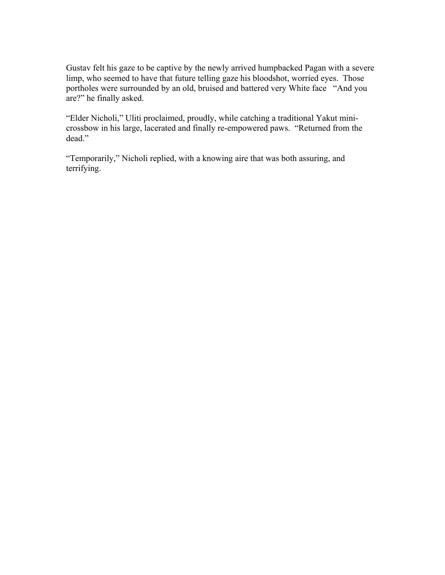Gustav felt his gaze to be captive by the newly arrived humpbacked Pagan with a severe limp, who seemed to have that future telling gaze his bloodshot, worried eyes. Those portholes were surrounded by an old, bruised and battered very White face "And you are?" he finally asked.

"Elder Nicholi," Uliti proclaimed, proudly, while catching a traditional Yakut minicrossbow in his large, lacerated and finally re-empowered paws. "Returned from the dead."

"Temporarily," Nicholi replied, with a knowing aire that was both assuring, and terrifying.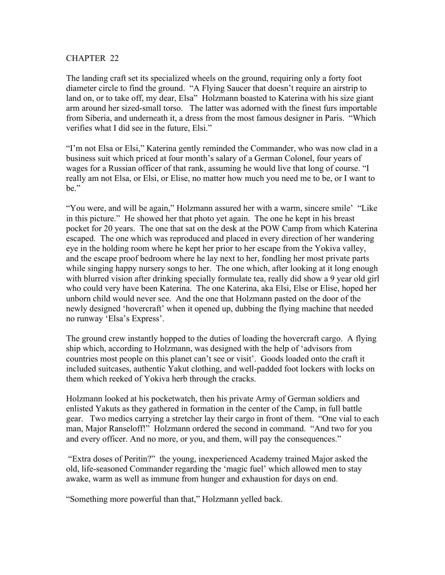The landing craft set its specialized wheels on the ground, requiring only a forty foot diameter circle to find the ground. "A Flying Saucer that doesn't require an airstrip to land on, or to take off, my dear, Elsa" Holzmann boasted to Katerina with his size giant arm around her sized-small torso. The latter was adorned with the finest furs importable from Siberia, and underneath it, a dress from the most famous designer in Paris. "Which verifies what I did see in the future, Elsi."

"I'm not Elsa or Elsi," Katerina gently reminded the Commander, who was now clad in a business suit which priced at four month's salary of a German Colonel, four years of wages for a Russian officer of that rank, assuming he would live that long of course. "I really am not Elsa, or Elsi, or Elise, no matter how much you need me to be, or I want to be."

"You were, and will be again," Holzmann assured her with a warm, sincere smile' "Like in this picture." He showed her that photo yet again. The one he kept in his breast pocket for 20 years. The one that sat on the desk at the POW Camp from which Katerina escaped. The one which was reproduced and placed in every direction of her wandering eye in the holding room where he kept her prior to her escape from the Yokiva valley, and the escape proof bedroom where he lay next to her, fondling her most private parts while singing happy nursery songs to her. The one which, after looking at it long enough with blurred vision after drinking specially formulate tea, really did show a 9 year old girl who could very have been Katerina. The one Katerina, aka Elsi, Else or Elise, hoped her unborn child would never see. And the one that Holzmann pasted on the door of the newly designed 'hovercraft' when it opened up, dubbing the flying machine that needed no runway 'Elsa's Express'.

The ground crew instantly hopped to the duties of loading the hovercraft cargo. A flying ship which, according to Holzmann, was designed with the help of 'advisors from countries most people on this planet can't see or visit'. Goods loaded onto the craft it included suitcases, authentic Yakut clothing, and well-padded foot lockers with locks on them which reeked of Yokiva herb through the cracks.

Holzmann looked at his pocketwatch, then his private Army of German soldiers and enlisted Yakuts as they gathered in formation in the center of the Camp, in full battle gear. Two medics carrying a stretcher lay their cargo in front of them. "One vial to each man, Major Ranseloff!" Holzmann ordered the second in command. "And two for you and every officer. And no more, or you, and them, will pay the consequences."

"Extra doses of Peritin?" the young, inexperienced Academy trained Major asked the old, life-seasoned Commander regarding the 'magic fuel' which allowed men to stay awake, warm as well as immune from hunger and exhaustion for days on end.

"Something more powerful than that," Holzmann yelled back.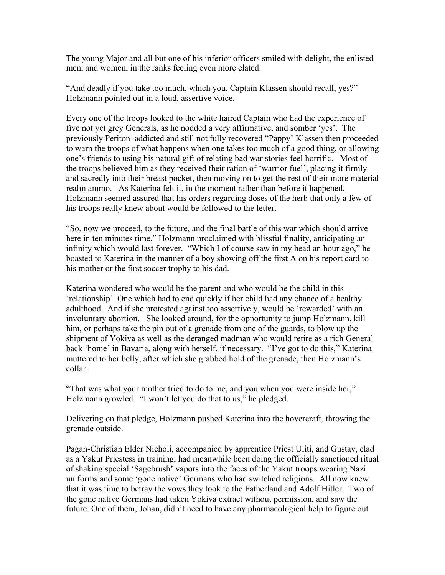The young Major and all but one of his inferior officers smiled with delight, the enlisted men, and women, in the ranks feeling even more elated.

"And deadly if you take too much, which you, Captain Klassen should recall, yes?" Holzmann pointed out in a loud, assertive voice.

Every one of the troops looked to the white haired Captain who had the experience of five not yet grey Generals, as he nodded a very affirmative, and somber 'yes'. The previously Periton–addicted and still not fully recovered "Pappy' Klassen then proceeded to warn the troops of what happens when one takes too much of a good thing, or allowing one's friends to using his natural gift of relating bad war stories feel horrific. Most of the troops believed him as they received their ration of 'warrior fuel', placing it firmly and sacredly into their breast pocket, then moving on to get the rest of their more material realm ammo. As Katerina felt it, in the moment rather than before it happened, Holzmann seemed assured that his orders regarding doses of the herb that only a few of his troops really knew about would be followed to the letter.

"So, now we proceed, to the future, and the final battle of this war which should arrive here in ten minutes time," Holzmann proclaimed with blissful finality, anticipating an infinity which would last forever. "Which I of course saw in my head an hour ago," he boasted to Katerina in the manner of a boy showing off the first A on his report card to his mother or the first soccer trophy to his dad.

Katerina wondered who would be the parent and who would be the child in this 'relationship'. One which had to end quickly if her child had any chance of a healthy adulthood. And if she protested against too assertively, would be 'rewarded' with an involuntary abortion. She looked around, for the opportunity to jump Holzmann, kill him, or perhaps take the pin out of a grenade from one of the guards, to blow up the shipment of Yokiva as well as the deranged madman who would retire as a rich General back 'home' in Bavaria, along with herself, if necessary. "I've got to do this," Katerina muttered to her belly, after which she grabbed hold of the grenade, then Holzmann's collar.

"That was what your mother tried to do to me, and you when you were inside her," Holzmann growled. "I won't let you do that to us," he pledged.

Delivering on that pledge, Holzmann pushed Katerina into the hovercraft, throwing the grenade outside.

Pagan-Christian Elder Nicholi, accompanied by apprentice Priest Uliti, and Gustav, clad as a Yakut Priestess in training, had meanwhile been doing the officially sanctioned ritual of shaking special 'Sagebrush' vapors into the faces of the Yakut troops wearing Nazi uniforms and some 'gone native' Germans who had switched religions. All now knew that it was time to betray the vows they took to the Fatherland and Adolf Hitler. Two of the gone native Germans had taken Yokiva extract without permission, and saw the future. One of them, Johan, didn't need to have any pharmacological help to figure out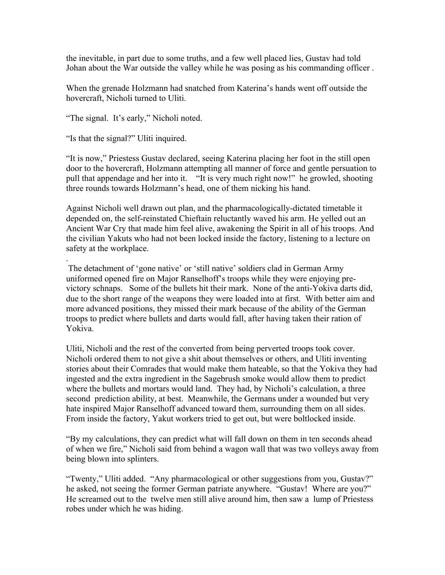the inevitable, in part due to some truths, and a few well placed lies, Gustav had told Johan about the War outside the valley while he was posing as his commanding officer .

When the grenade Holzmann had snatched from Katerina's hands went off outside the hovercraft, Nicholi turned to Uliti.

"The signal. It's early," Nicholi noted.

"Is that the signal?" Uliti inquired.

.

"It is now," Priestess Gustav declared, seeing Katerina placing her foot in the still open door to the hovercraft, Holzmann attempting all manner of force and gentle persuation to pull that appendage and her into it. "It is very much right now!" he growled, shooting three rounds towards Holzmann's head, one of them nicking his hand.

Against Nicholi well drawn out plan, and the pharmacologically-dictated timetable it depended on, the self-reinstated Chieftain reluctantly waved his arm. He yelled out an Ancient War Cry that made him feel alive, awakening the Spirit in all of his troops. And the civilian Yakuts who had not been locked inside the factory, listening to a lecture on safety at the workplace.

The detachment of 'gone native' or 'still native' soldiers clad in German Army uniformed opened fire on Major Ranselhoff's troops while they were enjoying previctory schnaps. Some of the bullets hit their mark. None of the anti-Yokiva darts did, due to the short range of the weapons they were loaded into at first. With better aim and more advanced positions, they missed their mark because of the ability of the German troops to predict where bullets and darts would fall, after having taken their ration of Yokiva.

Uliti, Nicholi and the rest of the converted from being perverted troops took cover. Nicholi ordered them to not give a shit about themselves or others, and Uliti inventing stories about their Comrades that would make them hateable, so that the Yokiva they had ingested and the extra ingredient in the Sagebrush smoke would allow them to predict where the bullets and mortars would land. They had, by Nicholi's calculation, a three second prediction ability, at best. Meanwhile, the Germans under a wounded but very hate inspired Major Ranselhoff advanced toward them, surrounding them on all sides. From inside the factory, Yakut workers tried to get out, but were boltlocked inside.

"By my calculations, they can predict what will fall down on them in ten seconds ahead of when we fire," Nicholi said from behind a wagon wall that was two volleys away from being blown into splinters.

"Twenty," Uliti added. "Any pharmacological or other suggestions from you, Gustav?" he asked, not seeing the former German patriate anywhere. "Gustav! Where are you?" He screamed out to the twelve men still alive around him, then saw a lump of Priestess robes under which he was hiding.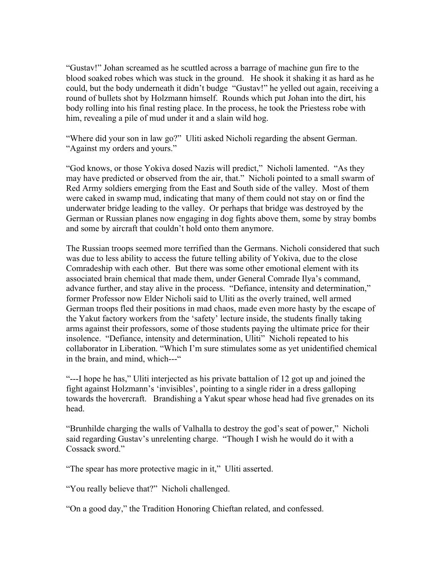"Gustav!" Johan screamed as he scuttled across a barrage of machine gun fire to the blood soaked robes which was stuck in the ground. He shook it shaking it as hard as he could, but the body underneath it didn't budge "Gustav!" he yelled out again, receiving a round of bullets shot by Holzmann himself. Rounds which put Johan into the dirt, his body rolling into his final resting place. In the process, he took the Priestess robe with him, revealing a pile of mud under it and a slain wild hog.

"Where did your son in law go?" Uliti asked Nicholi regarding the absent German. "Against my orders and yours."

"God knows, or those Yokiva dosed Nazis will predict," Nicholi lamented. "As they may have predicted or observed from the air, that." Nicholi pointed to a small swarm of Red Army soldiers emerging from the East and South side of the valley. Most of them were caked in swamp mud, indicating that many of them could not stay on or find the underwater bridge leading to the valley. Or perhaps that bridge was destroyed by the German or Russian planes now engaging in dog fights above them, some by stray bombs and some by aircraft that couldn't hold onto them anymore.

The Russian troops seemed more terrified than the Germans. Nicholi considered that such was due to less ability to access the future telling ability of Yokiva, due to the close Comradeship with each other. But there was some other emotional element with its associated brain chemical that made them, under General Comrade Ilya's command, advance further, and stay alive in the process. "Defiance, intensity and determination," former Professor now Elder Nicholi said to Uliti as the overly trained, well armed German troops fled their positions in mad chaos, made even more hasty by the escape of the Yakut factory workers from the 'safety' lecture inside, the students finally taking arms against their professors, some of those students paying the ultimate price for their insolence. "Defiance, intensity and determination, Uliti" Nicholi repeated to his collaborator in Liberation. "Which I'm sure stimulates some as yet unidentified chemical in the brain, and mind, which---"

"---I hope he has," Uliti interjected as his private battalion of 12 got up and joined the fight against Holzmann's 'invisibles', pointing to a single rider in a dress galloping towards the hovercraft. Brandishing a Yakut spear whose head had five grenades on its head.

"Brunhilde charging the walls of Valhalla to destroy the god's seat of power," Nicholi said regarding Gustav's unrelenting charge. "Though I wish he would do it with a Cossack sword."

"The spear has more protective magic in it," Uliti asserted.

"You really believe that?" Nicholi challenged.

"On a good day," the Tradition Honoring Chieftan related, and confessed.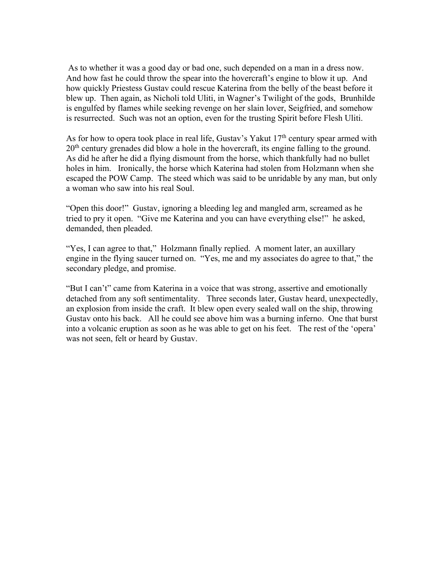As to whether it was a good day or bad one, such depended on a man in a dress now. And how fast he could throw the spear into the hovercraft's engine to blow it up. And how quickly Priestess Gustav could rescue Katerina from the belly of the beast before it blew up. Then again, as Nicholi told Uliti, in Wagner's Twilight of the gods, Brunhilde is engulfed by flames while seeking revenge on her slain lover, Seigfried, and somehow is resurrected. Such was not an option, even for the trusting Spirit before Flesh Uliti.

As for how to opera took place in real life, Gustav's Yakut  $17<sup>th</sup>$  century spear armed with 20<sup>th</sup> century grenades did blow a hole in the hovercraft, its engine falling to the ground. As did he after he did a flying dismount from the horse, which thankfully had no bullet holes in him. Ironically, the horse which Katerina had stolen from Holzmann when she escaped the POW Camp. The steed which was said to be unridable by any man, but only a woman who saw into his real Soul.

"Open this door!" Gustav, ignoring a bleeding leg and mangled arm, screamed as he tried to pry it open. "Give me Katerina and you can have everything else!" he asked, demanded, then pleaded.

"Yes, I can agree to that," Holzmann finally replied. A moment later, an auxillary engine in the flying saucer turned on. "Yes, me and my associates do agree to that," the secondary pledge, and promise.

"But I can't" came from Katerina in a voice that was strong, assertive and emotionally detached from any soft sentimentality. Three seconds later, Gustav heard, unexpectedly, an explosion from inside the craft. It blew open every sealed wall on the ship, throwing Gustav onto his back. All he could see above him was a burning inferno. One that burst into a volcanic eruption as soon as he was able to get on his feet. The rest of the 'opera' was not seen, felt or heard by Gustav.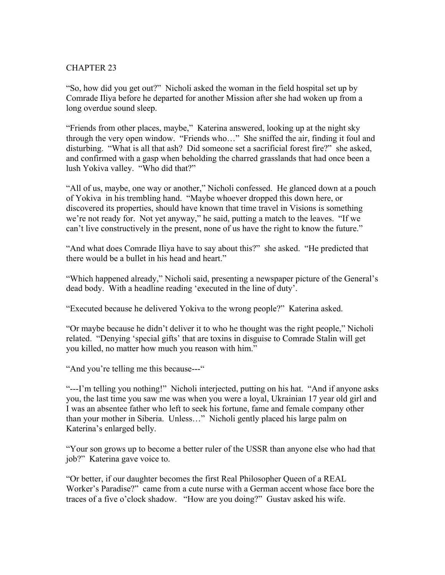"So, how did you get out?" Nicholi asked the woman in the field hospital set up by Comrade Iliya before he departed for another Mission after she had woken up from a long overdue sound sleep.

"Friends from other places, maybe," Katerina answered, looking up at the night sky through the very open window. "Friends who…" She sniffed the air, finding it foul and disturbing. "What is all that ash? Did someone set a sacrificial forest fire?" she asked, and confirmed with a gasp when beholding the charred grasslands that had once been a lush Yokiva valley. "Who did that?"

"All of us, maybe, one way or another," Nicholi confessed. He glanced down at a pouch of Yokiva in his trembling hand. "Maybe whoever dropped this down here, or discovered its properties, should have known that time travel in Visions is something we're not ready for. Not yet anyway," he said, putting a match to the leaves. "If we can't live constructively in the present, none of us have the right to know the future."

"And what does Comrade Iliya have to say about this?" she asked. "He predicted that there would be a bullet in his head and heart."

"Which happened already," Nicholi said, presenting a newspaper picture of the General's dead body. With a headline reading 'executed in the line of duty'.

"Executed because he delivered Yokiva to the wrong people?" Katerina asked.

"Or maybe because he didn't deliver it to who he thought was the right people," Nicholi related. "Denying 'special gifts' that are toxins in disguise to Comrade Stalin will get you killed, no matter how much you reason with him."

"And you're telling me this because---"

"---I'm telling you nothing!" Nicholi interjected, putting on his hat. "And if anyone asks you, the last time you saw me was when you were a loyal, Ukrainian 17 year old girl and I was an absentee father who left to seek his fortune, fame and female company other than your mother in Siberia. Unless…" Nicholi gently placed his large palm on Katerina's enlarged belly.

"Your son grows up to become a better ruler of the USSR than anyone else who had that job?" Katerina gave voice to.

"Or better, if our daughter becomes the first Real Philosopher Queen of a REAL Worker's Paradise?" came from a cute nurse with a German accent whose face bore the traces of a five o'clock shadow. "How are you doing?" Gustav asked his wife.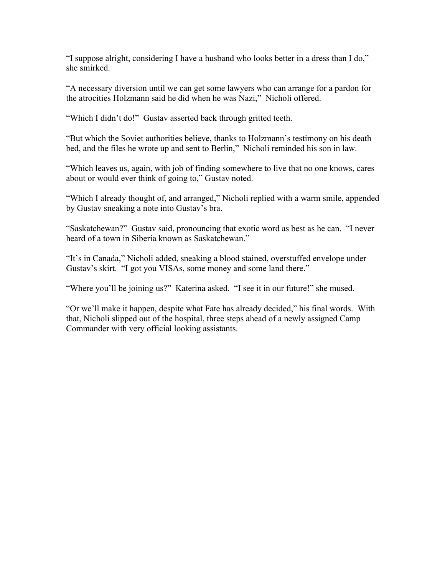"I suppose alright, considering I have a husband who looks better in a dress than I do," she smirked.

"A necessary diversion until we can get some lawyers who can arrange for a pardon for the atrocities Holzmann said he did when he was Nazi," Nicholi offered.

"Which I didn't do!" Gustav asserted back through gritted teeth.

"But which the Soviet authorities believe, thanks to Holzmann's testimony on his death bed, and the files he wrote up and sent to Berlin," Nicholi reminded his son in law.

"Which leaves us, again, with job of finding somewhere to live that no one knows, cares about or would ever think of going to," Gustav noted.

"Which I already thought of, and arranged," Nicholi replied with a warm smile, appended by Gustav sneaking a note into Gustav's bra.

"Saskatchewan?" Gustav said, pronouncing that exotic word as best as he can. "I never heard of a town in Siberia known as Saskatchewan."

"It's in Canada," Nicholi added, sneaking a blood stained, overstuffed envelope under Gustav's skirt. "I got you VISAs, some money and some land there."

"Where you'll be joining us?" Katerina asked. "I see it in our future!" she mused.

"Or we'll make it happen, despite what Fate has already decided," his final words. With that, Nicholi slipped out of the hospital, three steps ahead of a newly assigned Camp Commander with very official looking assistants.